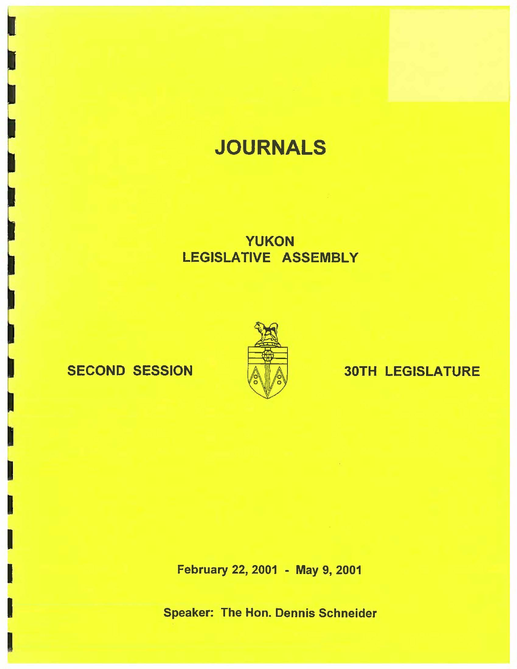# **JOURNALS**

## YUKON LEGISLATIVE ASSEMBLY

I

I

I

I

I



## SECOND SESSION A 4 30TH LEGISLATURE

February 22, 2001 - May 9, 2001

Speaker: The Hon. Dennis Schneider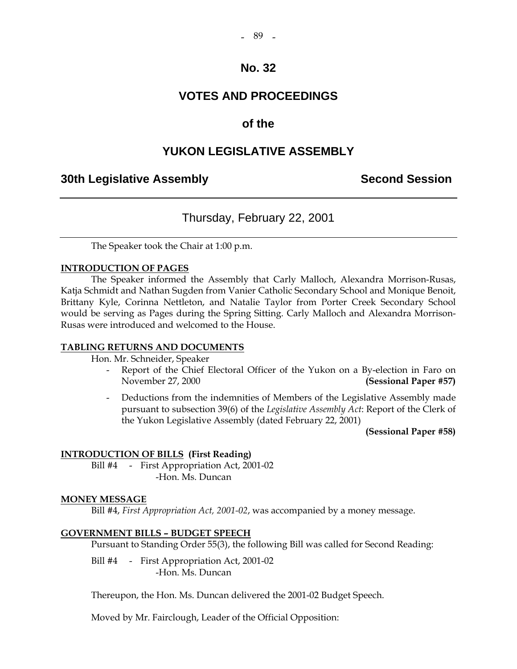#### - 89 -

### **No. 32**

### **VOTES AND PROCEEDINGS**

### **of the**

### **YUKON LEGISLATIVE ASSEMBLY**

### **30th Legislative Assembly Second Session**

### Thursday, February 22, 2001

The Speaker took the Chair at 1:00 p.m.

#### **INTRODUCTION OF PAGES**

 The Speaker informed the Assembly that Carly Malloch, Alexandra Morrison-Rusas, Katja Schmidt and Nathan Sugden from Vanier Catholic Secondary School and Monique Benoit, Brittany Kyle, Corinna Nettleton, and Natalie Taylor from Porter Creek Secondary School would be serving as Pages during the Spring Sitting. Carly Malloch and Alexandra Morrison-Rusas were introduced and welcomed to the House.

#### **TABLING RETURNS AND DOCUMENTS**

Hon. Mr. Schneider, Speaker

- Report of the Chief Electoral Officer of the Yukon on a By-election in Faro on November 27, 2000 **(Sessional Paper #57)**
- Deductions from the indemnities of Members of the Legislative Assembly made pursuant to subsection 39(6) of the *Legislative Assembly Act*: Report of the Clerk of the Yukon Legislative Assembly (dated February 22, 2001)

 **(Sessional Paper #58)** 

#### **INTRODUCTION OF BILLS (First Reading)**

Bill #4 - First Appropriation Act, 2001-02 -Hon. Ms. Duncan

#### **MONEY MESSAGE**

Bill #4, *First Appropriation Act, 2001-02*, was accompanied by a money message.

#### **GOVERNMENT BILLS – BUDGET SPEECH**

Pursuant to Standing Order 55(3), the following Bill was called for Second Reading:

Bill #4 - First Appropriation Act, 2001-02 -Hon. Ms. Duncan

Thereupon, the Hon. Ms. Duncan delivered the 2001-02 Budget Speech.

Moved by Mr. Fairclough, Leader of the Official Opposition: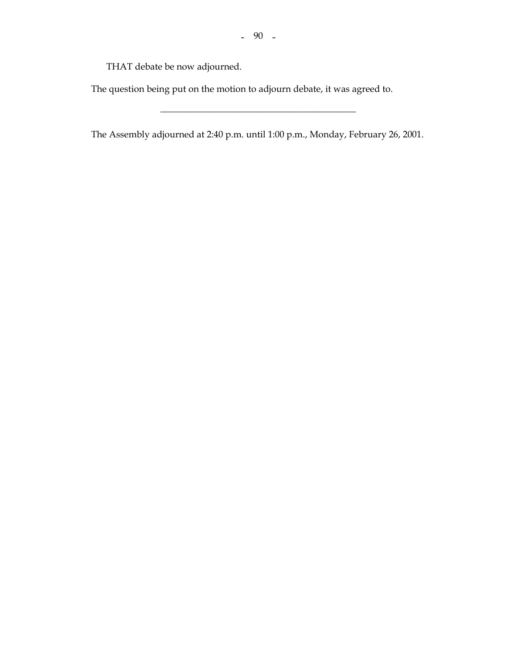THAT debate be now adjourned.

The question being put on the motion to adjourn debate, it was agreed to.

The Assembly adjourned at 2:40 p.m. until 1:00 p.m., Monday, February 26, 2001.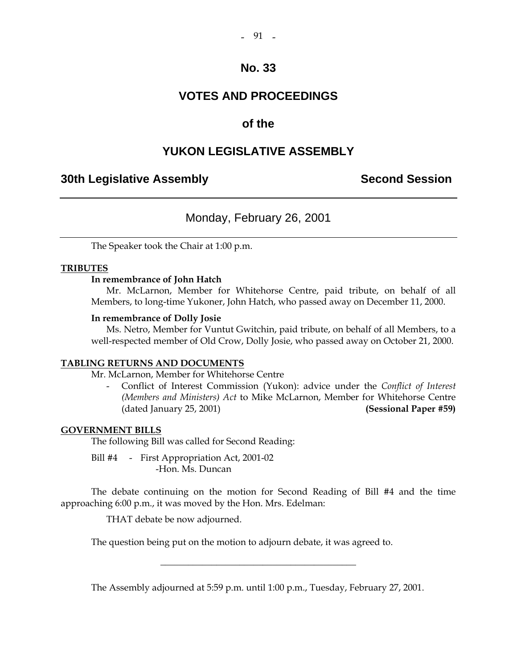#### $-91 -$

### **No. 33**

### **VOTES AND PROCEEDINGS**

### **of the**

### **YUKON LEGISLATIVE ASSEMBLY**

### **30th Legislative Assembly Second Session**

### Monday, February 26, 2001

The Speaker took the Chair at 1:00 p.m.

#### **TRIBUTES**

#### **In remembrance of John Hatch**

 Mr. McLarnon, Member for Whitehorse Centre, paid tribute, on behalf of all Members, to long-time Yukoner, John Hatch, who passed away on December 11, 2000.

#### **In remembrance of Dolly Josie**

 Ms. Netro, Member for Vuntut Gwitchin, paid tribute, on behalf of all Members, to a well-respected member of Old Crow, Dolly Josie, who passed away on October 21, 2000.

#### **TABLING RETURNS AND DOCUMENTS**

Mr. McLarnon, Member for Whitehorse Centre

 - Conflict of Interest Commission (Yukon): advice under the *Conflict of Interest (Members and Ministers) Act* to Mike McLarnon, Member for Whitehorse Centre (dated January 25, 2001) **(Sessional Paper #59)** 

#### **GOVERNMENT BILLS**

The following Bill was called for Second Reading:

Bill #4 - First Appropriation Act, 2001-02 -Hon. Ms. Duncan

 The debate continuing on the motion for Second Reading of Bill #4 and the time approaching 6:00 p.m., it was moved by the Hon. Mrs. Edelman:

THAT debate be now adjourned.

The question being put on the motion to adjourn debate, it was agreed to.

The Assembly adjourned at 5:59 p.m. until 1:00 p.m., Tuesday, February 27, 2001.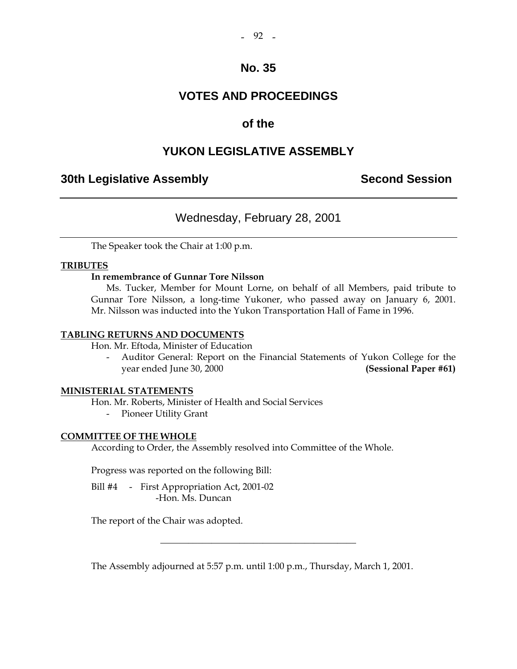### **VOTES AND PROCEEDINGS**

### **of the**

### **YUKON LEGISLATIVE ASSEMBLY**

### **30th Legislative Assembly Second Session**

### Wednesday, February 28, 2001

The Speaker took the Chair at 1:00 p.m.

#### **TRIBUTES**

#### **In remembrance of Gunnar Tore Nilsson**

 Ms. Tucker, Member for Mount Lorne, on behalf of all Members, paid tribute to Gunnar Tore Nilsson, a long-time Yukoner, who passed away on January 6, 2001. Mr. Nilsson was inducted into the Yukon Transportation Hall of Fame in 1996.

#### **TABLING RETURNS AND DOCUMENTS**

Hon. Mr. Eftoda, Minister of Education

Auditor General: Report on the Financial Statements of Yukon College for the year ended June 30, 2000 **(Sessional Paper #61)** 

#### **MINISTERIAL STATEMENTS**

Hon. Mr. Roberts, Minister of Health and Social Services

- Pioneer Utility Grant

#### **COMMITTEE OF THE WHOLE**

According to Order, the Assembly resolved into Committee of the Whole.

Progress was reported on the following Bill:

Bill #4 - First Appropriation Act, 2001-02 -Hon. Ms. Duncan

The report of the Chair was adopted.

The Assembly adjourned at 5:57 p.m. until 1:00 p.m., Thursday, March 1, 2001.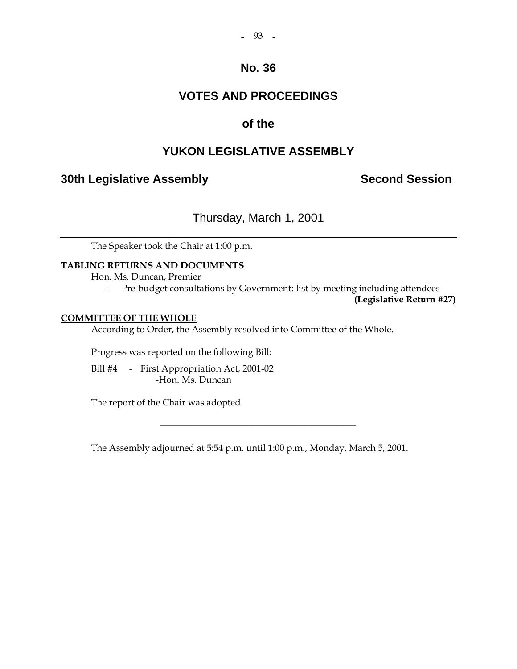#### $-93 -$

### **No. 36**

### **VOTES AND PROCEEDINGS**

### **of the**

### **YUKON LEGISLATIVE ASSEMBLY**

### **30th Legislative Assembly Second Session**

### Thursday, March 1, 2001

The Speaker took the Chair at 1:00 p.m.

#### **TABLING RETURNS AND DOCUMENTS**

Hon. Ms. Duncan, Premier

- Pre-budget consultations by Government: list by meeting including attendees

**(Legislative Return #27)** 

#### **COMMITTEE OF THE WHOLE**

According to Order, the Assembly resolved into Committee of the Whole.

Progress was reported on the following Bill:

Bill #4 - First Appropriation Act, 2001-02 -Hon. Ms. Duncan

The report of the Chair was adopted.

The Assembly adjourned at 5:54 p.m. until 1:00 p.m., Monday, March 5, 2001.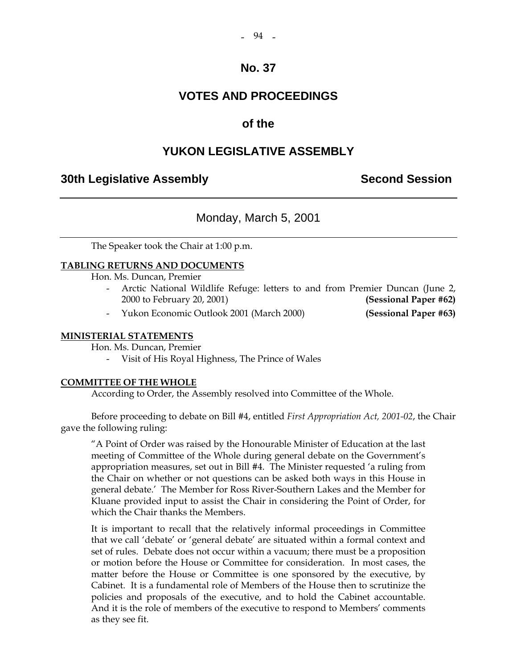#### $-94 -$

### **No. 37**

### **VOTES AND PROCEEDINGS**

### **of the**

### **YUKON LEGISLATIVE ASSEMBLY**

### **30th Legislative Assembly Second Session**

### Monday, March 5, 2001

The Speaker took the Chair at 1:00 p.m.

#### **TABLING RETURNS AND DOCUMENTS**

Hon. Ms. Duncan, Premier

- Arctic National Wildlife Refuge: letters to and from Premier Duncan (June 2, 2000 to February 20, 2001) **(Sessional Paper #62)**
- Yukon Economic Outlook 2001 (March 2000) **(Sessional Paper #63)**

## **MINISTERIAL STATEMENTS**

Hon. Ms. Duncan, Premier

- Visit of His Royal Highness, The Prince of Wales

#### **COMMITTEE OF THE WHOLE**

According to Order, the Assembly resolved into Committee of the Whole.

 Before proceeding to debate on Bill #4, entitled *First Appropriation Act, 2001-02*, the Chair gave the following ruling:

 "A Point of Order was raised by the Honourable Minister of Education at the last meeting of Committee of the Whole during general debate on the Government's appropriation measures, set out in Bill #4. The Minister requested 'a ruling from the Chair on whether or not questions can be asked both ways in this House in general debate.' The Member for Ross River-Southern Lakes and the Member for Kluane provided input to assist the Chair in considering the Point of Order, for which the Chair thanks the Members.

 It is important to recall that the relatively informal proceedings in Committee that we call 'debate' or 'general debate' are situated within a formal context and set of rules. Debate does not occur within a vacuum; there must be a proposition or motion before the House or Committee for consideration. In most cases, the matter before the House or Committee is one sponsored by the executive, by Cabinet. It is a fundamental role of Members of the House then to scrutinize the policies and proposals of the executive, and to hold the Cabinet accountable. And it is the role of members of the executive to respond to Members' comments as they see fit.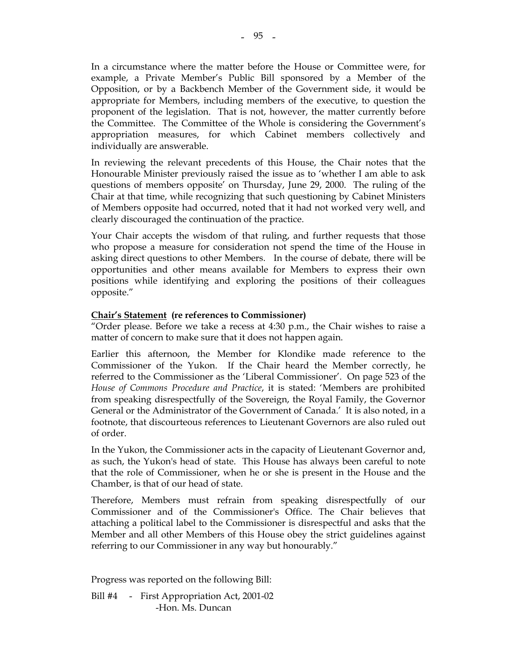In a circumstance where the matter before the House or Committee were, for example, a Private Member's Public Bill sponsored by a Member of the Opposition, or by a Backbench Member of the Government side, it would be appropriate for Members, including members of the executive, to question the proponent of the legislation. That is not, however, the matter currently before the Committee. The Committee of the Whole is considering the Government's appropriation measures, for which Cabinet members collectively and individually are answerable.

 In reviewing the relevant precedents of this House, the Chair notes that the Honourable Minister previously raised the issue as to 'whether I am able to ask questions of members opposite' on Thursday, June 29, 2000. The ruling of the Chair at that time, while recognizing that such questioning by Cabinet Ministers of Members opposite had occurred, noted that it had not worked very well, and clearly discouraged the continuation of the practice.

 Your Chair accepts the wisdom of that ruling, and further requests that those who propose a measure for consideration not spend the time of the House in asking direct questions to other Members. In the course of debate, there will be opportunities and other means available for Members to express their own positions while identifying and exploring the positions of their colleagues opposite."

#### **Chair's Statement (re references to Commissioner)**

"Order please. Before we take a recess at 4:30 p.m., the Chair wishes to raise a matter of concern to make sure that it does not happen again.

Earlier this afternoon, the Member for Klondike made reference to the Commissioner of the Yukon. If the Chair heard the Member correctly, he referred to the Commissioner as the 'Liberal Commissioner'. On page 523 of the *House of Commons Procedure and Practice*, it is stated: 'Members are prohibited from speaking disrespectfully of the Sovereign, the Royal Family, the Governor General or the Administrator of the Government of Canada.' It is also noted, in a footnote, that discourteous references to Lieutenant Governors are also ruled out of order.

In the Yukon, the Commissioner acts in the capacity of Lieutenant Governor and, as such, the Yukon's head of state. This House has always been careful to note that the role of Commissioner, when he or she is present in the House and the Chamber, is that of our head of state.

Therefore, Members must refrain from speaking disrespectfully of our Commissioner and of the Commissioner's Office. The Chair believes that attaching a political label to the Commissioner is disrespectful and asks that the Member and all other Members of this House obey the strict guidelines against referring to our Commissioner in any way but honourably."

Progress was reported on the following Bill:

Bill #4 - First Appropriation Act, 2001-02 -Hon. Ms. Duncan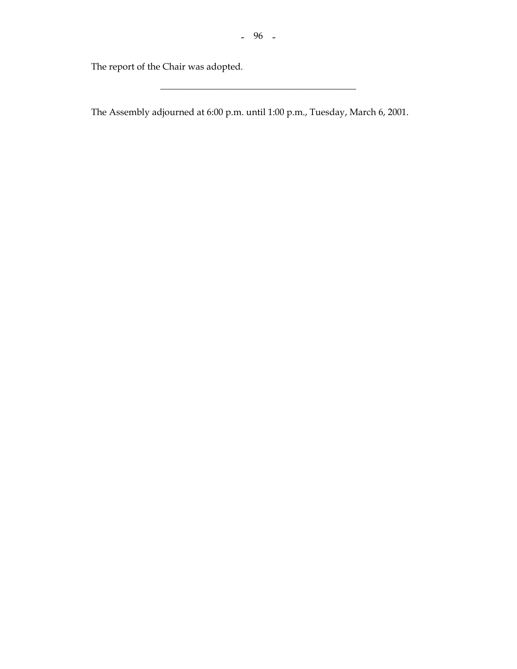\_\_\_\_\_\_\_\_\_\_\_\_\_\_\_\_\_\_\_\_\_\_\_\_\_\_\_\_\_\_\_\_\_\_\_\_\_\_\_\_\_\_

The report of the Chair was adopted.

The Assembly adjourned at 6:00 p.m. until 1:00 p.m., Tuesday, March 6, 2001.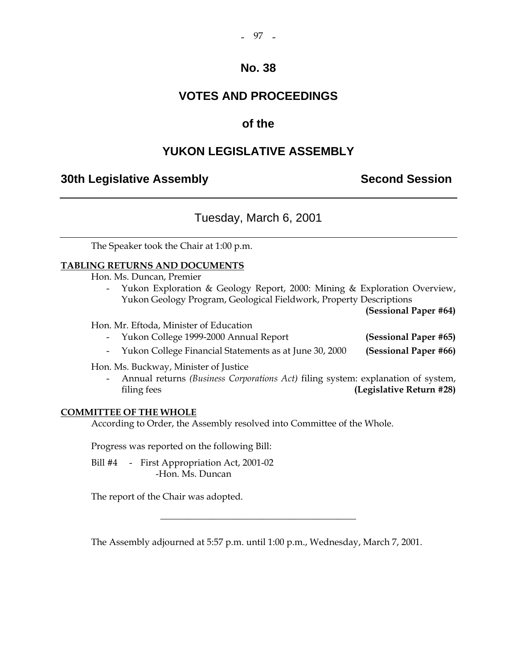#### - 97 -

### **No. 38**

### **VOTES AND PROCEEDINGS**

### **of the**

### **YUKON LEGISLATIVE ASSEMBLY**

### **30th Legislative Assembly Second Session**

### Tuesday, March 6, 2001

The Speaker took the Chair at 1:00 p.m.

#### **TABLING RETURNS AND DOCUMENTS**

Hon. Ms. Duncan, Premier

 - Yukon Exploration & Geology Report, 2000: Mining & Exploration Overview, Yukon Geology Program, Geological Fieldwork, Property Descriptions

**(Sessional Paper #64)** 

Hon. Mr. Eftoda, Minister of Education

- Yukon College 1999-2000 Annual Report **(Sessional Paper #65)**
- Yukon College Financial Statements as at June 30, 2000 **(Sessional Paper #66)**

Hon. Ms. Buckway, Minister of Justice

 - Annual returns *(Business Corporations Act)* filing system: explanation of system, filing fees **(Legislative Return #28)**

#### **COMMITTEE OF THE WHOLE**

According to Order, the Assembly resolved into Committee of the Whole.

Progress was reported on the following Bill:

Bill #4 - First Appropriation Act, 2001-02 -Hon. Ms. Duncan

The report of the Chair was adopted.

The Assembly adjourned at 5:57 p.m. until 1:00 p.m., Wednesday, March 7, 2001.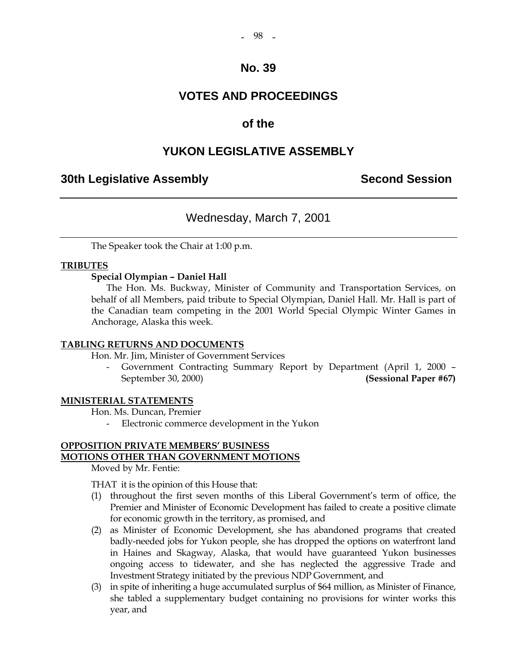#### - 98 -

### **No. 39**

### **VOTES AND PROCEEDINGS**

### **of the**

### **YUKON LEGISLATIVE ASSEMBLY**

### **30th Legislative Assembly Second Session**

### Wednesday, March 7, 2001

The Speaker took the Chair at 1:00 p.m.

#### **TRIBUTES**

#### **Special Olympian – Daniel Hall**

 The Hon. Ms. Buckway, Minister of Community and Transportation Services, on behalf of all Members, paid tribute to Special Olympian, Daniel Hall. Mr. Hall is part of the Canadian team competing in the 2001 World Special Olympic Winter Games in Anchorage, Alaska this week.

#### **TABLING RETURNS AND DOCUMENTS**

Hon. Mr. Jim, Minister of Government Services

 - Government Contracting Summary Report by Department (April 1, 2000 – September 30, 2000) **(Sessional Paper #67)** 

#### **MINISTERIAL STATEMENTS**

Hon. Ms. Duncan, Premier

- Electronic commerce development in the Yukon

#### **OPPOSITION PRIVATE MEMBERS' BUSINESS MOTIONS OTHER THAN GOVERNMENT MOTIONS**

Moved by Mr. Fentie:

THAT it is the opinion of this House that:

- (1) throughout the first seven months of this Liberal Government's term of office, the Premier and Minister of Economic Development has failed to create a positive climate for economic growth in the territory, as promised, and
- (2) as Minister of Economic Development, she has abandoned programs that created badly-needed jobs for Yukon people, she has dropped the options on waterfront land in Haines and Skagway, Alaska, that would have guaranteed Yukon businesses ongoing access to tidewater, and she has neglected the aggressive Trade and Investment Strategy initiated by the previous NDP Government, and
- (3) in spite of inheriting a huge accumulated surplus of \$64 million, as Minister of Finance, she tabled a supplementary budget containing no provisions for winter works this year, and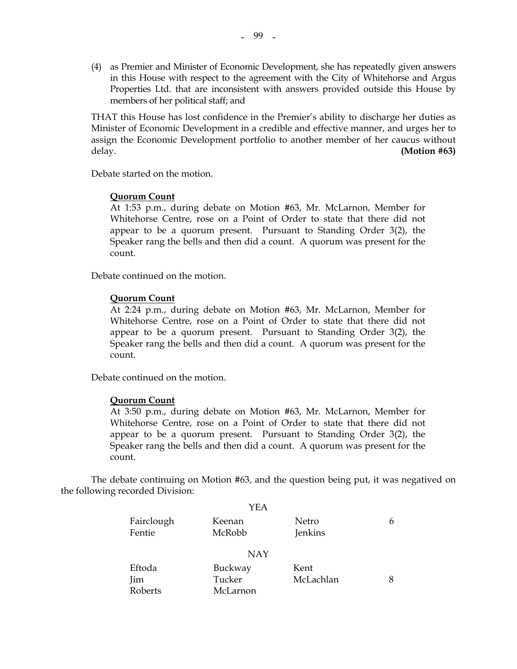(4) as Premier and Minister of Economic Development, she has repeatedly given answers in this House with respect to the agreement with the City of Whitehorse and Argus Properties Ltd. that are inconsistent with answers provided outside this House by members of her political staff; and

THAT this House has lost confidence in the Premier's ability to discharge her duties as Minister of Economic Development in a credible and effective manner, and urges her to assign the Economic Development portfolio to another member of her caucus without delay. **(Motion #63)** 

Debate started on the motion.

#### **Quorum Count**

 At 1:53 p.m., during debate on Motion #63, Mr. McLarnon, Member for Whitehorse Centre, rose on a Point of Order to state that there did not appear to be a quorum present. Pursuant to Standing Order 3(2), the Speaker rang the bells and then did a count. A quorum was present for the count.

Debate continued on the motion.

#### **Quorum Count**

 At 2:24 p.m., during debate on Motion #63, Mr. McLarnon, Member for Whitehorse Centre, rose on a Point of Order to state that there did not appear to be a quorum present. Pursuant to Standing Order 3(2), the Speaker rang the bells and then did a count. A quorum was present for the count.

Debate continued on the motion.

#### **Quorum Count**

 At 3:50 p.m., during debate on Motion #63, Mr. McLarnon, Member for Whitehorse Centre, rose on a Point of Order to state that there did not appear to be a quorum present. Pursuant to Standing Order 3(2), the Speaker rang the bells and then did a count. A quorum was present for the count.

 The debate continuing on Motion #63, and the question being put, it was negatived on the following recorded Division:

| YEA      |            |   |
|----------|------------|---|
| Keenan   | Netro      | 6 |
| McRobb   | Jenkins    |   |
|          |            |   |
|          |            |   |
| Buckway  | Kent       |   |
| Tucker   | McLachlan  | 8 |
| McLarnon |            |   |
|          | <b>NAY</b> |   |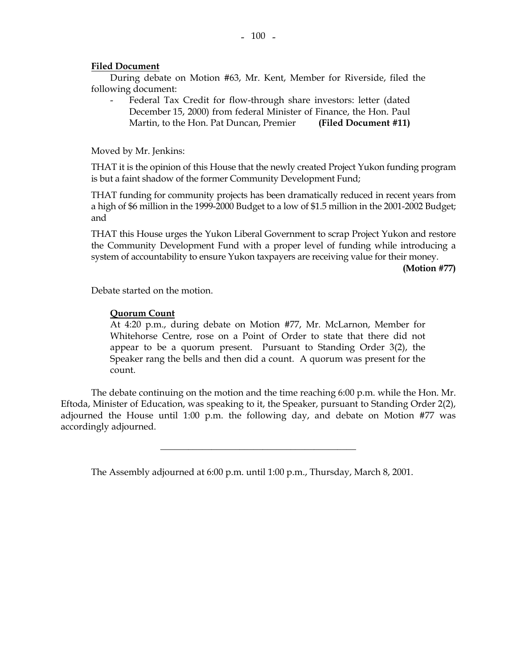#### **Filed Document**

 During debate on Motion #63, Mr. Kent, Member for Riverside, filed the following document:

Federal Tax Credit for flow-through share investors: letter (dated December 15, 2000) from federal Minister of Finance, the Hon. Paul Martin, to the Hon. Pat Duncan, Premier **(Filed Document #11)** 

Moved by Mr. Jenkins:

 THAT it is the opinion of this House that the newly created Project Yukon funding program is but a faint shadow of the former Community Development Fund;

 THAT funding for community projects has been dramatically reduced in recent years from a high of \$6 million in the 1999-2000 Budget to a low of \$1.5 million in the 2001-2002 Budget; and

 THAT this House urges the Yukon Liberal Government to scrap Project Yukon and restore the Community Development Fund with a proper level of funding while introducing a system of accountability to ensure Yukon taxpayers are receiving value for their money.

**(Motion #77)** 

Debate started on the motion.

#### **Quorum Count**

 At 4:20 p.m., during debate on Motion #77, Mr. McLarnon, Member for Whitehorse Centre, rose on a Point of Order to state that there did not appear to be a quorum present. Pursuant to Standing Order 3(2), the Speaker rang the bells and then did a count. A quorum was present for the count.

 The debate continuing on the motion and the time reaching 6:00 p.m. while the Hon. Mr. Eftoda, Minister of Education, was speaking to it, the Speaker, pursuant to Standing Order 2(2), adjourned the House until 1:00 p.m. the following day, and debate on Motion #77 was accordingly adjourned.

\_\_\_\_\_\_\_\_\_\_\_\_\_\_\_\_\_\_\_\_\_\_\_\_\_\_\_\_\_\_\_\_\_\_\_\_\_\_\_\_\_\_

The Assembly adjourned at 6:00 p.m. until 1:00 p.m., Thursday, March 8, 2001.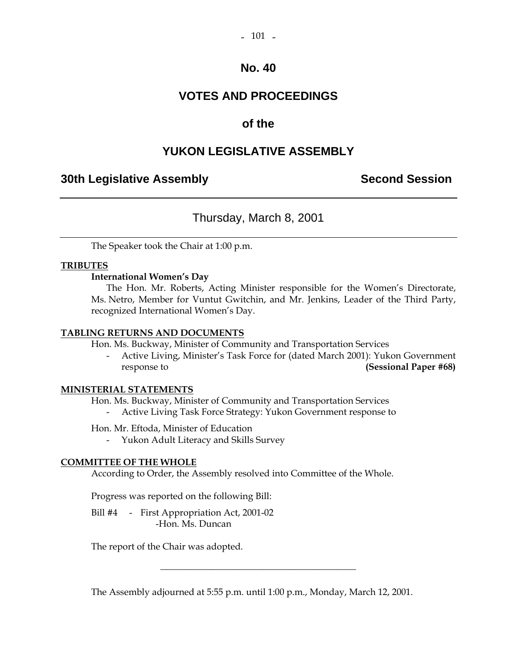#### $-101 -$

### **No. 40**

### **VOTES AND PROCEEDINGS**

### **of the**

### **YUKON LEGISLATIVE ASSEMBLY**

### **30th Legislative Assembly Second Session**

### Thursday, March 8, 2001

The Speaker took the Chair at 1:00 p.m.

#### **TRIBUTES**

#### **International Women's Day**

 The Hon. Mr. Roberts, Acting Minister responsible for the Women's Directorate, Ms. Netro, Member for Vuntut Gwitchin, and Mr. Jenkins, Leader of the Third Party, recognized International Women's Day.

#### **TABLING RETURNS AND DOCUMENTS**

Hon. Ms. Buckway, Minister of Community and Transportation Services

 - Active Living, Minister's Task Force for (dated March 2001): Yukon Government response to **(Sessional Paper #68)** 

#### **MINISTERIAL STATEMENTS**

Hon. Ms. Buckway, Minister of Community and Transportation Services

- Active Living Task Force Strategy: Yukon Government response to

Hon. Mr. Eftoda, Minister of Education

- Yukon Adult Literacy and Skills Survey

#### **COMMITTEE OF THE WHOLE**

According to Order, the Assembly resolved into Committee of the Whole.

Progress was reported on the following Bill:

Bill #4 - First Appropriation Act, 2001-02 -Hon. Ms. Duncan

The report of the Chair was adopted.

The Assembly adjourned at 5:55 p.m. until 1:00 p.m., Monday, March 12, 2001.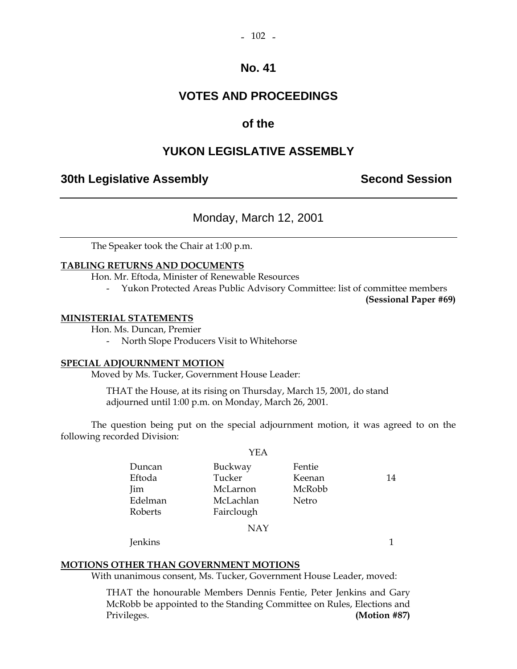## **VOTES AND PROCEEDINGS**

### **of the**

### **YUKON LEGISLATIVE ASSEMBLY**

### **30th Legislative Assembly Second Session**

### Monday, March 12, 2001

The Speaker took the Chair at 1:00 p.m.

#### **TABLING RETURNS AND DOCUMENTS**

Hon. Mr. Eftoda, Minister of Renewable Resources

- Yukon Protected Areas Public Advisory Committee: list of committee members

**(Sessional Paper #69)** 

#### **MINISTERIAL STATEMENTS**

Hon. Ms. Duncan, Premier

- North Slope Producers Visit to Whitehorse

#### **SPECIAL ADJOURNMENT MOTION**

Moved by Ms. Tucker, Government House Leader:

 THAT the House, at its rising on Thursday, March 15, 2001, do stand adjourned until 1:00 p.m. on Monday, March 26, 2001.

 The question being put on the special adjournment motion, it was agreed to on the following recorded Division:

|         | YEA        |        |    |
|---------|------------|--------|----|
| Duncan  | Buckway    | Fentie |    |
| Eftoda  | Tucker     | Keenan | 14 |
| Jim     | McLarnon   | McRobb |    |
| Edelman | McLachlan  | Netro  |    |
| Roberts | Fairclough |        |    |
|         | <b>NAY</b> |        |    |

Jenkins 1

### **MOTIONS OTHER THAN GOVERNMENT MOTIONS**

With unanimous consent, Ms. Tucker, Government House Leader, moved:

 THAT the honourable Members Dennis Fentie, Peter Jenkins and Gary McRobb be appointed to the Standing Committee on Rules, Elections and Privileges. **(Motion #87)**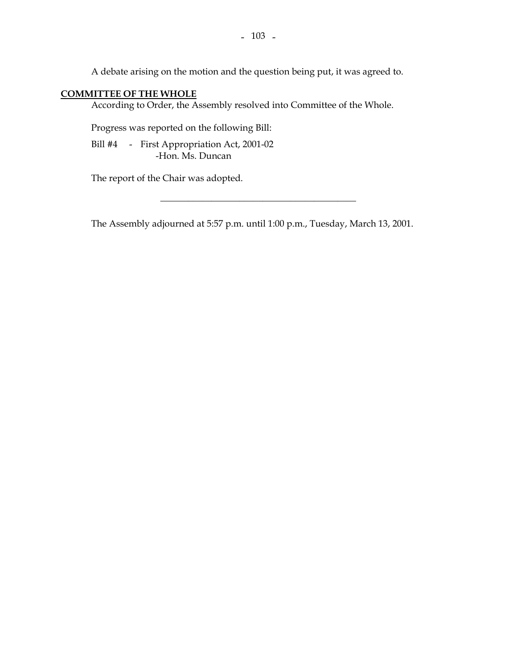A debate arising on the motion and the question being put, it was agreed to.

### **COMMITTEE OF THE WHOLE**

According to Order, the Assembly resolved into Committee of the Whole.

Progress was reported on the following Bill:

 Bill #4 - First Appropriation Act, 2001-02 -Hon. Ms. Duncan

The report of the Chair was adopted.

The Assembly adjourned at 5:57 p.m. until 1:00 p.m., Tuesday, March 13, 2001.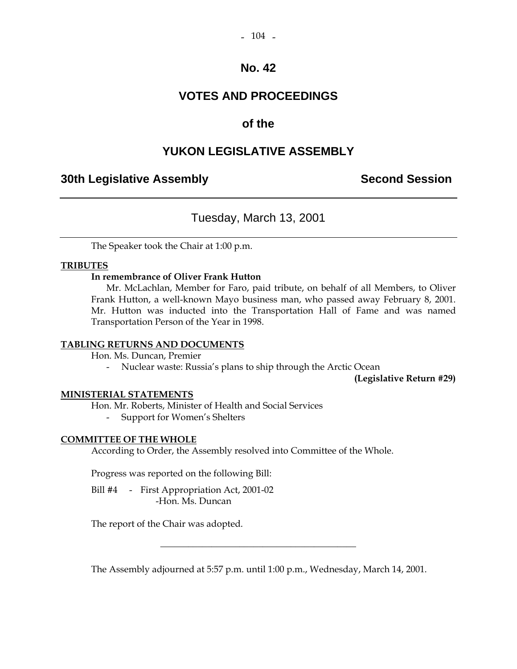#### $-104 -$

### **No. 42**

### **VOTES AND PROCEEDINGS**

### **of the**

### **YUKON LEGISLATIVE ASSEMBLY**

### **30th Legislative Assembly Second Session**

### Tuesday, March 13, 2001

The Speaker took the Chair at 1:00 p.m.

#### **TRIBUTES**

#### **In remembrance of Oliver Frank Hutton**

 Mr. McLachlan, Member for Faro, paid tribute, on behalf of all Members, to Oliver Frank Hutton, a well-known Mayo business man, who passed away February 8, 2001. Mr. Hutton was inducted into the Transportation Hall of Fame and was named Transportation Person of the Year in 1998.

#### **TABLING RETURNS AND DOCUMENTS**

Hon. Ms. Duncan, Premier

- Nuclear waste: Russia's plans to ship through the Arctic Ocean

**(Legislative Return #29)** 

#### **MINISTERIAL STATEMENTS**

Hon. Mr. Roberts, Minister of Health and Social Services

- Support for Women's Shelters

#### **COMMITTEE OF THE WHOLE**

According to Order, the Assembly resolved into Committee of the Whole.

Progress was reported on the following Bill:

Bill #4 - First Appropriation Act, 2001-02 -Hon. Ms. Duncan

The report of the Chair was adopted.

The Assembly adjourned at 5:57 p.m. until 1:00 p.m., Wednesday, March 14, 2001.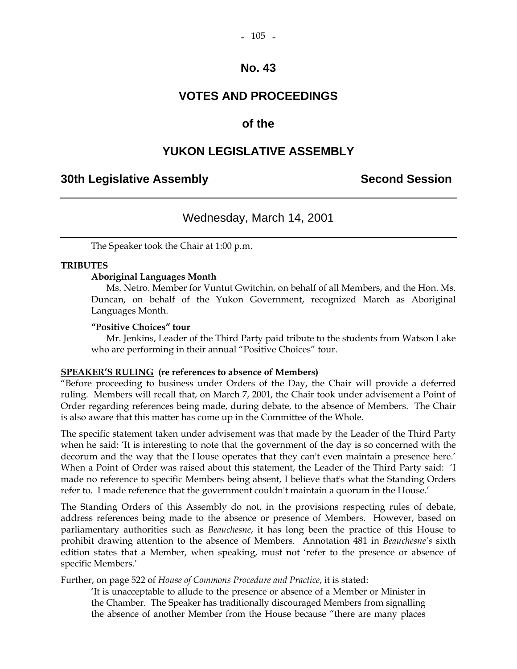### **VOTES AND PROCEEDINGS**

### **of the**

### **YUKON LEGISLATIVE ASSEMBLY**

### **30th Legislative Assembly Second Session**

### Wednesday, March 14, 2001

The Speaker took the Chair at 1:00 p.m.

#### **TRIBUTES**

#### **Aboriginal Languages Month**

 Ms. Netro. Member for Vuntut Gwitchin, on behalf of all Members, and the Hon. Ms. Duncan, on behalf of the Yukon Government, recognized March as Aboriginal Languages Month.

#### **"Positive Choices" tour**

 Mr. Jenkins, Leader of the Third Party paid tribute to the students from Watson Lake who are performing in their annual "Positive Choices" tour.

#### **SPEAKER'S RULING (re references to absence of Members)**

"Before proceeding to business under Orders of the Day, the Chair will provide a deferred ruling. Members will recall that, on March 7, 2001, the Chair took under advisement a Point of Order regarding references being made, during debate, to the absence of Members. The Chair is also aware that this matter has come up in the Committee of the Whole.

The specific statement taken under advisement was that made by the Leader of the Third Party when he said: 'It is interesting to note that the government of the day is so concerned with the decorum and the way that the House operates that they can't even maintain a presence here.' When a Point of Order was raised about this statement, the Leader of the Third Party said: 'I made no reference to specific Members being absent, I believe that's what the Standing Orders refer to. I made reference that the government couldn't maintain a quorum in the House.'

The Standing Orders of this Assembly do not, in the provisions respecting rules of debate, address references being made to the absence or presence of Members. However, based on parliamentary authorities such as *Beauchesne*, it has long been the practice of this House to prohibit drawing attention to the absence of Members. Annotation 481 in *Beauchesne's* sixth edition states that a Member, when speaking, must not 'refer to the presence or absence of specific Members.'

Further, on page 522 of *House of Commons Procedure and Practice*, it is stated:

 'It is unacceptable to allude to the presence or absence of a Member or Minister in the Chamber. The Speaker has traditionally discouraged Members from signalling the absence of another Member from the House because "there are many places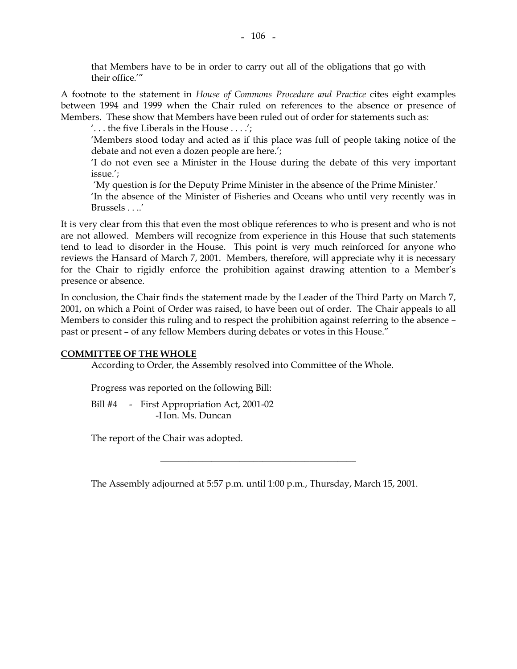A footnote to the statement in *House of Commons Procedure and Practice* cites eight examples between 1994 and 1999 when the Chair ruled on references to the absence or presence of Members. These show that Members have been ruled out of order for statements such as:

'. . . the five Liberals in the House . . . .';

'Members stood today and acted as if this place was full of people taking notice of the debate and not even a dozen people are here.';

'I do not even see a Minister in the House during the debate of this very important issue.';

'My question is for the Deputy Prime Minister in the absence of the Prime Minister.'

'In the absence of the Minister of Fisheries and Oceans who until very recently was in Brussels . . ..'

It is very clear from this that even the most oblique references to who is present and who is not are not allowed. Members will recognize from experience in this House that such statements tend to lead to disorder in the House. This point is very much reinforced for anyone who reviews the Hansard of March 7, 2001. Members, therefore, will appreciate why it is necessary for the Chair to rigidly enforce the prohibition against drawing attention to a Member's presence or absence.

In conclusion, the Chair finds the statement made by the Leader of the Third Party on March 7, 2001, on which a Point of Order was raised, to have been out of order. The Chair appeals to all Members to consider this ruling and to respect the prohibition against referring to the absence – past or present – of any fellow Members during debates or votes in this House."

#### **COMMITTEE OF THE WHOLE**

According to Order, the Assembly resolved into Committee of the Whole.

Progress was reported on the following Bill:

Bill #4 - First Appropriation Act, 2001-02 -Hon. Ms. Duncan

The report of the Chair was adopted.

The Assembly adjourned at 5:57 p.m. until 1:00 p.m., Thursday, March 15, 2001.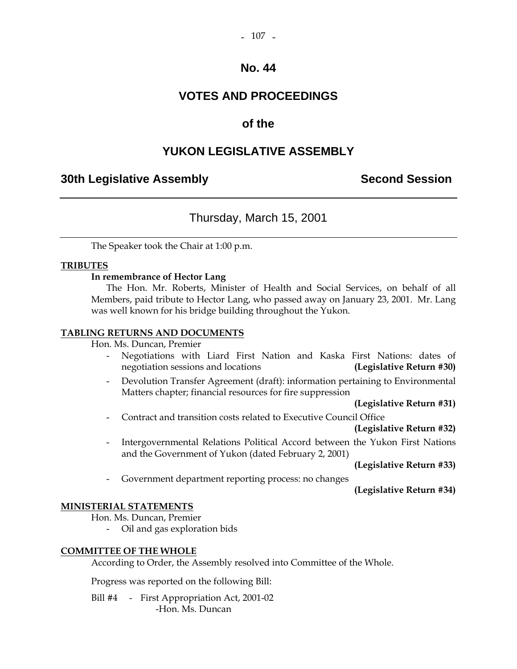### **VOTES AND PROCEEDINGS**

### **of the**

### **YUKON LEGISLATIVE ASSEMBLY**

### **30th Legislative Assembly Second Session**

### Thursday, March 15, 2001

The Speaker took the Chair at 1:00 p.m.

#### **TRIBUTES**

#### **In remembrance of Hector Lang**

 The Hon. Mr. Roberts, Minister of Health and Social Services, on behalf of all Members, paid tribute to Hector Lang, who passed away on January 23, 2001. Mr. Lang was well known for his bridge building throughout the Yukon.

#### **TABLING RETURNS AND DOCUMENTS**

Hon. Ms. Duncan, Premier

- Negotiations with Liard First Nation and Kaska First Nations: dates of negotiation sessions and locations **(Legislative Return #30)**
- Devolution Transfer Agreement (draft): information pertaining to Environmental Matters chapter; financial resources for fire suppression

**(Legislative Return #31)**

- Contract and transition costs related to Executive Council Office

### **(Legislative Return #32)**

 - Intergovernmental Relations Political Accord between the Yukon First Nations and the Government of Yukon (dated February 2, 2001)

**(Legislative Return #33)**

Government department reporting process: no changes

**(Legislative Return #34)** 

#### **MINISTERIAL STATEMENTS**

Hon. Ms. Duncan, Premier

- Oil and gas exploration bids

#### **COMMITTEE OF THE WHOLE**

According to Order, the Assembly resolved into Committee of the Whole.

Progress was reported on the following Bill:

Bill #4 - First Appropriation Act, 2001-02 -Hon. Ms. Duncan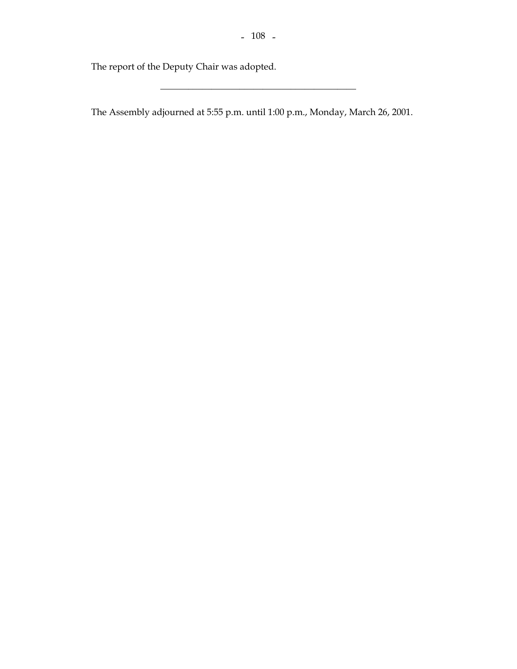\_\_\_\_\_\_\_\_\_\_\_\_\_\_\_\_\_\_\_\_\_\_\_\_\_\_\_\_\_\_\_\_\_\_\_\_\_\_\_\_\_\_

The report of the Deputy Chair was adopted.

The Assembly adjourned at 5:55 p.m. until 1:00 p.m., Monday, March 26, 2001.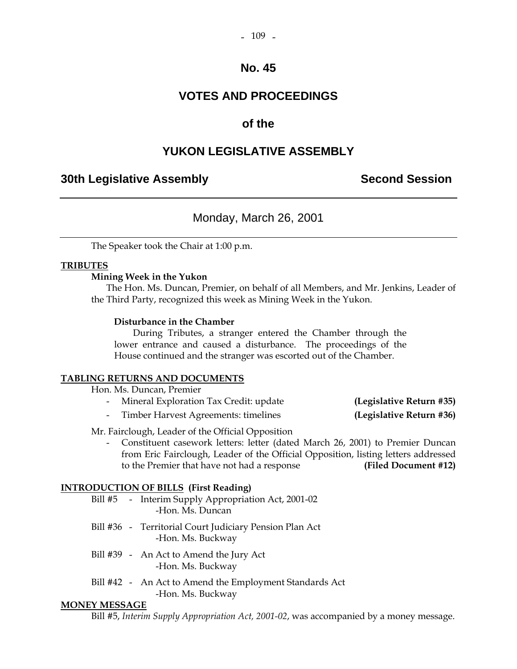### **VOTES AND PROCEEDINGS**

### **of the**

### **YUKON LEGISLATIVE ASSEMBLY**

### **30th Legislative Assembly Second Session**

### Monday, March 26, 2001

The Speaker took the Chair at 1:00 p.m.

#### **TRIBUTES**

#### **Mining Week in the Yukon**

 The Hon. Ms. Duncan, Premier, on behalf of all Members, and Mr. Jenkins, Leader of the Third Party, recognized this week as Mining Week in the Yukon.

#### **Disturbance in the Chamber**

 During Tributes, a stranger entered the Chamber through the lower entrance and caused a disturbance. The proceedings of the House continued and the stranger was escorted out of the Chamber.

#### **TABLING RETURNS AND DOCUMENTS**

Hon. Ms. Duncan, Premier

- Mineral Exploration Tax Credit: update **(Legislative Return #35)**
- Timber Harvest Agreements: timelines **(Legislative Return #36)**

Mr. Fairclough, Leader of the Official Opposition

 - Constituent casework letters: letter (dated March 26, 2001) to Premier Duncan from Eric Fairclough, Leader of the Official Opposition, listing letters addressed to the Premier that have not had a response **(Filed Document #12)** 

#### **INTRODUCTION OF BILLS (First Reading)**

|  | Bill #5 - Interim Supply Appropriation Act, 2001-02<br>-Hon. Ms. Duncan      |
|--|------------------------------------------------------------------------------|
|  | Bill #36 - Territorial Court Judiciary Pension Plan Act<br>-Hon. Ms. Buckway |
|  | Bill #39 - An Act to Amend the Jury Act                                      |

-Hon. Ms. Buckway

 Bill #42 - An Act to Amend the Employment Standards Act -Hon. Ms. Buckway

#### **MONEY MESSAGE**

Bill #5, *Interim Supply Appropriation Act, 2001-02*, was accompanied by a money message.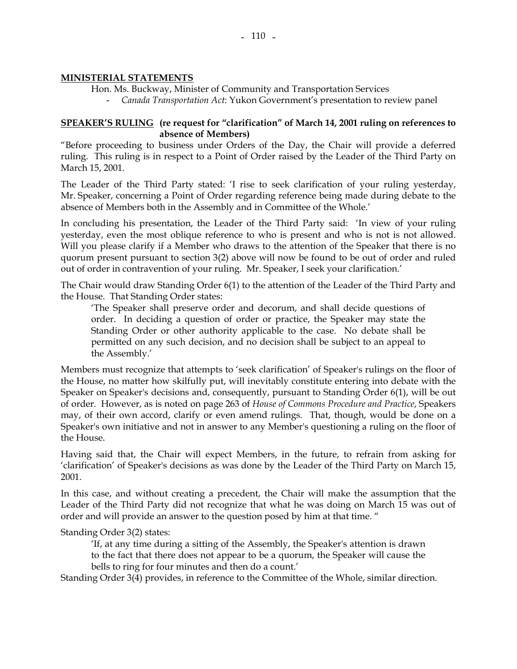#### **MINISTERIAL STATEMENTS**

Hon. Ms. Buckway, Minister of Community and Transportation Services

- *Canada Transportation Act*: Yukon Government's presentation to review panel

#### **SPEAKER'S RULING (re request for "clarification" of March 14, 2001 ruling on references to absence of Members)**

"Before proceeding to business under Orders of the Day, the Chair will provide a deferred ruling. This ruling is in respect to a Point of Order raised by the Leader of the Third Party on March 15, 2001.

The Leader of the Third Party stated: 'I rise to seek clarification of your ruling yesterday, Mr. Speaker, concerning a Point of Order regarding reference being made during debate to the absence of Members both in the Assembly and in Committee of the Whole.'

In concluding his presentation, the Leader of the Third Party said: 'In view of your ruling yesterday, even the most oblique reference to who is present and who is not is not allowed. Will you please clarify if a Member who draws to the attention of the Speaker that there is no quorum present pursuant to section 3(2) above will now be found to be out of order and ruled out of order in contravention of your ruling. Mr. Speaker, I seek your clarification.'

The Chair would draw Standing Order 6(1) to the attention of the Leader of the Third Party and the House. That Standing Order states:

 'The Speaker shall preserve order and decorum, and shall decide questions of order. In deciding a question of order or practice, the Speaker may state the Standing Order or other authority applicable to the case. No debate shall be permitted on any such decision, and no decision shall be subject to an appeal to the Assembly.'

Members must recognize that attempts to 'seek clarification' of Speaker's rulings on the floor of the House, no matter how skilfully put, will inevitably constitute entering into debate with the Speaker on Speaker's decisions and, consequently, pursuant to Standing Order 6(1), will be out of order. However, as is noted on page 263 of *House of Commons Procedure and Practice*, Speakers may, of their own accord, clarify or even amend rulings. That, though, would be done on a Speaker's own initiative and not in answer to any Member's questioning a ruling on the floor of the House.

Having said that, the Chair will expect Members, in the future, to refrain from asking for 'clarification' of Speaker's decisions as was done by the Leader of the Third Party on March 15, 2001.

In this case, and without creating a precedent, the Chair will make the assumption that the Leader of the Third Party did not recognize that what he was doing on March 15 was out of order and will provide an answer to the question posed by him at that time. "

Standing Order 3(2) states:

'If, at any time during a sitting of the Assembly, the Speaker's attention is drawn to the fact that there does not appear to be a quorum, the Speaker will cause the bells to ring for four minutes and then do a count.'

Standing Order 3(4) provides, in reference to the Committee of the Whole, similar direction.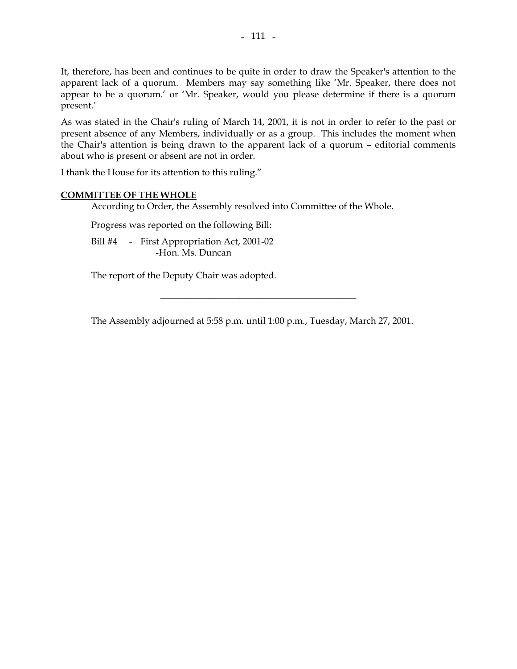It, therefore, has been and continues to be quite in order to draw the Speaker's attention to the apparent lack of a quorum. Members may say something like 'Mr. Speaker, there does not appear to be a quorum.' or 'Mr. Speaker, would you please determine if there is a quorum present.'

As was stated in the Chair's ruling of March 14, 2001, it is not in order to refer to the past or present absence of any Members, individually or as a group. This includes the moment when the Chair's attention is being drawn to the apparent lack of a quorum – editorial comments about who is present or absent are not in order.

I thank the House for its attention to this ruling."

#### **COMMITTEE OF THE WHOLE**

According to Order, the Assembly resolved into Committee of the Whole.

Progress was reported on the following Bill:

 Bill #4 - First Appropriation Act, 2001-02 -Hon. Ms. Duncan

The report of the Deputy Chair was adopted.

The Assembly adjourned at 5:58 p.m. until 1:00 p.m., Tuesday, March 27, 2001.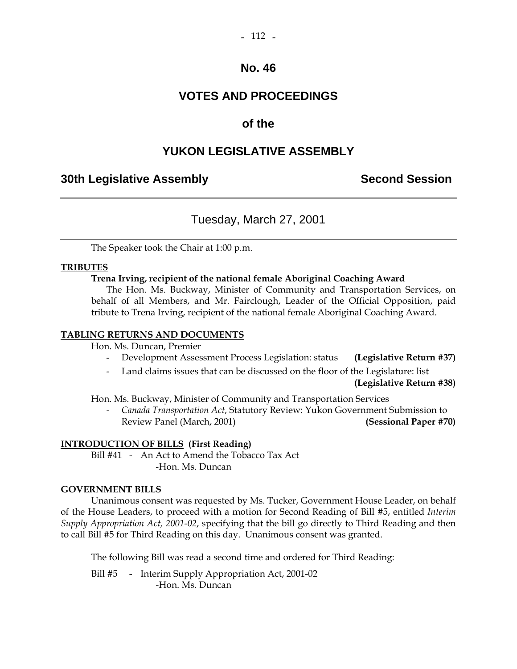### **VOTES AND PROCEEDINGS**

### **of the**

### **YUKON LEGISLATIVE ASSEMBLY**

### **30th Legislative Assembly Second Session**

### Tuesday, March 27, 2001

The Speaker took the Chair at 1:00 p.m.

#### **TRIBUTES**

#### **Trena Irving, recipient of the national female Aboriginal Coaching Award**

 The Hon. Ms. Buckway, Minister of Community and Transportation Services, on behalf of all Members, and Mr. Fairclough, Leader of the Official Opposition, paid tribute to Trena Irving, recipient of the national female Aboriginal Coaching Award.

#### **TABLING RETURNS AND DOCUMENTS**

Hon. Ms. Duncan, Premier

- Development Assessment Process Legislation: status **(Legislative Return #37)**
- Land claims issues that can be discussed on the floor of the Legislature: list

**(Legislative Return #38)**

Hon. Ms. Buckway, Minister of Community and Transportation Services

 - *Canada Transportation Act*, Statutory Review: Yukon Government Submission to Review Panel (March, 2001) **(Sessional Paper #70)** 

#### **INTRODUCTION OF BILLS (First Reading)**

 Bill #41 - An Act to Amend the Tobacco Tax Act -Hon. Ms. Duncan

#### **GOVERNMENT BILLS**

Unanimous consent was requested by Ms. Tucker, Government House Leader, on behalf of the House Leaders, to proceed with a motion for Second Reading of Bill #5, entitled *Interim Supply Appropriation Act, 2001-02*, specifying that the bill go directly to Third Reading and then to call Bill #5 for Third Reading on this day. Unanimous consent was granted.

The following Bill was read a second time and ordered for Third Reading:

Bill #5 - Interim Supply Appropriation Act, 2001-02 -Hon. Ms. Duncan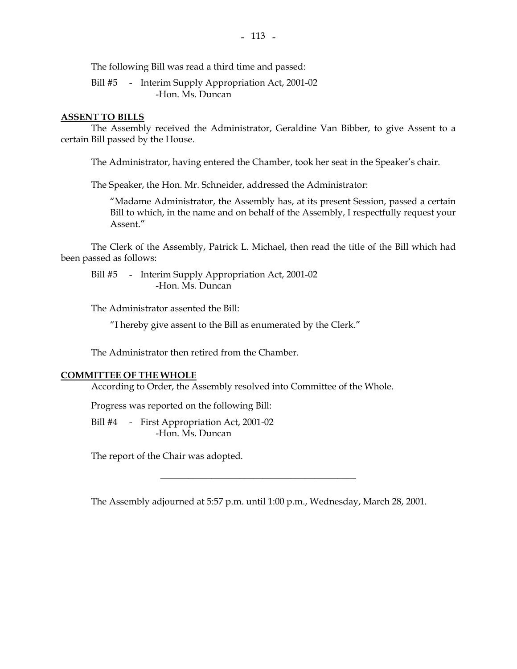The following Bill was read a third time and passed:

Bill #5 - Interim Supply Appropriation Act, 2001-02 -Hon. Ms. Duncan

#### **ASSENT TO BILLS**

 The Assembly received the Administrator, Geraldine Van Bibber, to give Assent to a certain Bill passed by the House.

The Administrator, having entered the Chamber, took her seat in the Speaker's chair.

The Speaker, the Hon. Mr. Schneider, addressed the Administrator:

 "Madame Administrator, the Assembly has, at its present Session, passed a certain Bill to which, in the name and on behalf of the Assembly, I respectfully request your Assent"

 The Clerk of the Assembly, Patrick L. Michael, then read the title of the Bill which had been passed as follows:

Bill #5 - Interim Supply Appropriation Act, 2001-02 -Hon. Ms. Duncan

The Administrator assented the Bill:

"I hereby give assent to the Bill as enumerated by the Clerk."

The Administrator then retired from the Chamber.

#### **COMMITTEE OF THE WHOLE**

According to Order, the Assembly resolved into Committee of the Whole.

Progress was reported on the following Bill:

 Bill #4 - First Appropriation Act, 2001-02 -Hon. Ms. Duncan

The report of the Chair was adopted.

The Assembly adjourned at 5:57 p.m. until 1:00 p.m., Wednesday, March 28, 2001.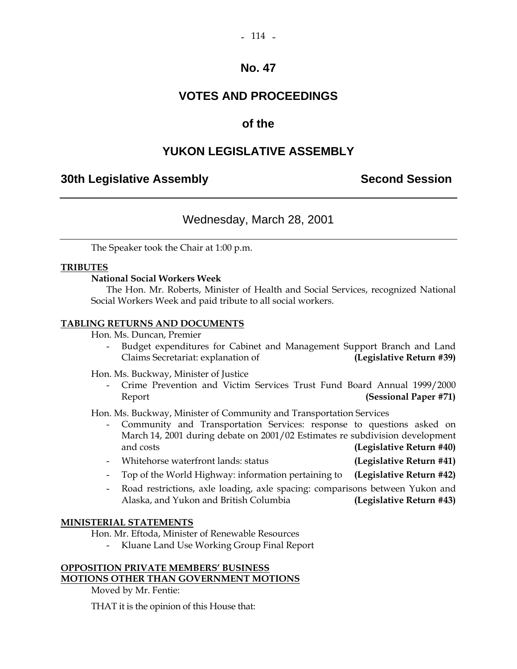## **VOTES AND PROCEEDINGS**

### **of the**

### **YUKON LEGISLATIVE ASSEMBLY**

### **30th Legislative Assembly Second Session**

### Wednesday, March 28, 2001

The Speaker took the Chair at 1:00 p.m.

#### **TRIBUTES**

#### **National Social Workers Week**

 The Hon. Mr. Roberts, Minister of Health and Social Services, recognized National Social Workers Week and paid tribute to all social workers.

#### **TABLING RETURNS AND DOCUMENTS**

Hon. Ms. Duncan, Premier

 - Budget expenditures for Cabinet and Management Support Branch and Land Claims Secretariat: explanation of **(Legislative Return #39)**

Hon. Ms. Buckway, Minister of Justice

 - Crime Prevention and Victim Services Trust Fund Board Annual 1999/2000 Report **(Sessional Paper #71)** 

Hon. Ms. Buckway, Minister of Community and Transportation Services

- Community and Transportation Services: response to questions asked on March 14, 2001 during debate on 2001/02 Estimates re subdivision development and costs **(Legislative Return #40)**
- Whitehorse waterfront lands: status **(Legislative Return #41)**
- Top of the World Highway: information pertaining to **(Legislative Return #42)**
- Road restrictions, axle loading, axle spacing: comparisons between Yukon and Alaska, and Yukon and British Columbia **(Legislative Return #43)**

#### **MINISTERIAL STATEMENTS**

Hon. Mr. Eftoda, Minister of Renewable Resources

- Kluane Land Use Working Group Final Report

### **OPPOSITION PRIVATE MEMBERS' BUSINESS MOTIONS OTHER THAN GOVERNMENT MOTIONS**

Moved by Mr. Fentie:

THAT it is the opinion of this House that: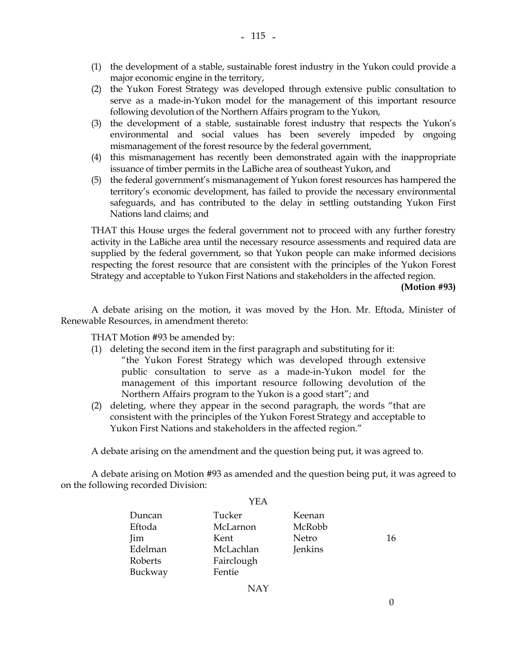- (1) the development of a stable, sustainable forest industry in the Yukon could provide a major economic engine in the territory,
- (2) the Yukon Forest Strategy was developed through extensive public consultation to serve as a made-in-Yukon model for the management of this important resource following devolution of the Northern Affairs program to the Yukon,
- (3) the development of a stable, sustainable forest industry that respects the Yukon's environmental and social values has been severely impeded by ongoing mismanagement of the forest resource by the federal government,
- (4) this mismanagement has recently been demonstrated again with the inappropriate issuance of timber permits in the LaBiche area of southeast Yukon, and
- (5) the federal government's mismanagement of Yukon forest resources has hampered the territory's economic development, has failed to provide the necessary environmental safeguards, and has contributed to the delay in settling outstanding Yukon First Nations land claims; and

 THAT this House urges the federal government not to proceed with any further forestry activity in the LaBiche area until the necessary resource assessments and required data are supplied by the federal government, so that Yukon people can make informed decisions respecting the forest resource that are consistent with the principles of the Yukon Forest Strategy and acceptable to Yukon First Nations and stakeholders in the affected region.

**(Motion #93)** 

 A debate arising on the motion, it was moved by the Hon. Mr. Eftoda, Minister of Renewable Resources, in amendment thereto:

THAT Motion #93 be amended by:

- (1) deleting the second item in the first paragraph and substituting for it: "the Yukon Forest Strategy which was developed through extensive public consultation to serve as a made-in-Yukon model for the management of this important resource following devolution of the Northern Affairs program to the Yukon is a good start"; and
- (2) deleting, where they appear in the second paragraph, the words "that are consistent with the principles of the Yukon Forest Strategy and acceptable to Yukon First Nations and stakeholders in the affected region."

A debate arising on the amendment and the question being put, it was agreed to.

 A debate arising on Motion #93 as amended and the question being put, it was agreed to on the following recorded Division:

 $Y$ EA

|         | Y E.A      |              |    |
|---------|------------|--------------|----|
| Duncan  | Tucker     | Keenan       |    |
| Eftoda  | McLarnon   | McRobb       |    |
| Jim     | Kent       | <b>Netro</b> | 16 |
| Edelman | McLachlan  | Jenkins      |    |
| Roberts | Fairclough |              |    |
| Buckway | Fentie     |              |    |
|         |            |              |    |

NAY

0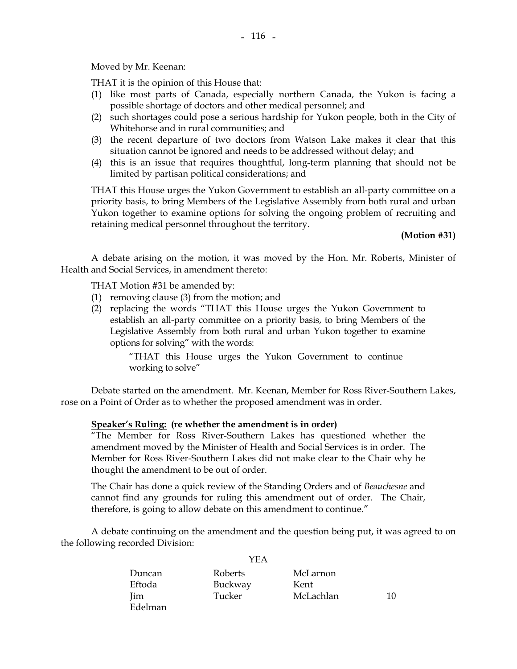Moved by Mr. Keenan:

THAT it is the opinion of this House that:

- (1) like most parts of Canada, especially northern Canada, the Yukon is facing a possible shortage of doctors and other medical personnel; and
- (2) such shortages could pose a serious hardship for Yukon people, both in the City of Whitehorse and in rural communities; and
- (3) the recent departure of two doctors from Watson Lake makes it clear that this situation cannot be ignored and needs to be addressed without delay; and
- (4) this is an issue that requires thoughtful, long-term planning that should not be limited by partisan political considerations; and

 THAT this House urges the Yukon Government to establish an all-party committee on a priority basis, to bring Members of the Legislative Assembly from both rural and urban Yukon together to examine options for solving the ongoing problem of recruiting and retaining medical personnel throughout the territory.

#### **(Motion #31)**

 A debate arising on the motion, it was moved by the Hon. Mr. Roberts, Minister of Health and Social Services, in amendment thereto:

THAT Motion #31 be amended by:

- (1) removing clause (3) from the motion; and
- (2) replacing the words "THAT this House urges the Yukon Government to establish an all-party committee on a priority basis, to bring Members of the Legislative Assembly from both rural and urban Yukon together to examine options for solving" with the words:

 "THAT this House urges the Yukon Government to continue working to solve"

 Debate started on the amendment. Mr. Keenan, Member for Ross River-Southern Lakes, rose on a Point of Order as to whether the proposed amendment was in order.

#### **Speaker's Ruling: (re whether the amendment is in order)**

"The Member for Ross River-Southern Lakes has questioned whether the amendment moved by the Minister of Health and Social Services is in order. The Member for Ross River-Southern Lakes did not make clear to the Chair why he thought the amendment to be out of order.

 The Chair has done a quick review of the Standing Orders and of *Beauchesne* and cannot find any grounds for ruling this amendment out of order. The Chair, therefore, is going to allow debate on this amendment to continue."

 A debate continuing on the amendment and the question being put, it was agreed to on the following recorded Division:

|            | I EA    |           |    |
|------------|---------|-----------|----|
| Duncan     | Roberts | McLarnon  |    |
| Eftoda     | Buckway | Kent      |    |
| <b>Jim</b> | Tucker  | McLachlan | 10 |
| Edelman    |         |           |    |

 $Y<sub>E</sub>$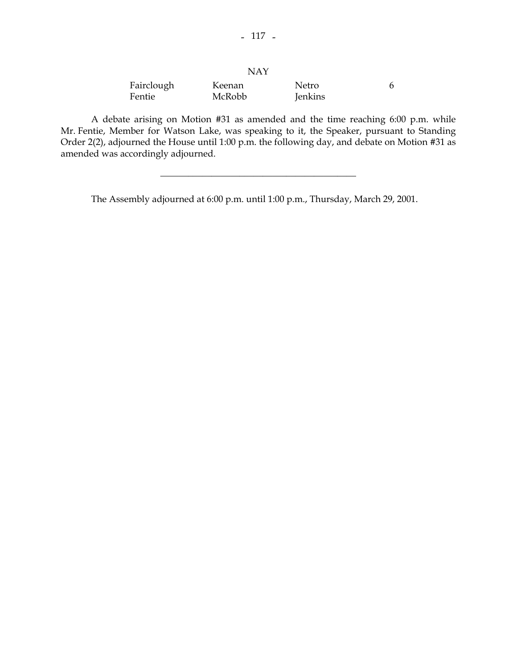| Fairclough | Keenan | Netro   |  |
|------------|--------|---------|--|
| Fentie     | McRobb | Jenkins |  |

 A debate arising on Motion #31 as amended and the time reaching 6:00 p.m. while Mr. Fentie, Member for Watson Lake, was speaking to it, the Speaker, pursuant to Standing Order 2(2), adjourned the House until 1:00 p.m. the following day, and debate on Motion #31 as amended was accordingly adjourned.

\_\_\_\_\_\_\_\_\_\_\_\_\_\_\_\_\_\_\_\_\_\_\_\_\_\_\_\_\_\_\_\_\_\_\_\_\_\_\_\_\_\_

The Assembly adjourned at 6:00 p.m. until 1:00 p.m., Thursday, March 29, 2001.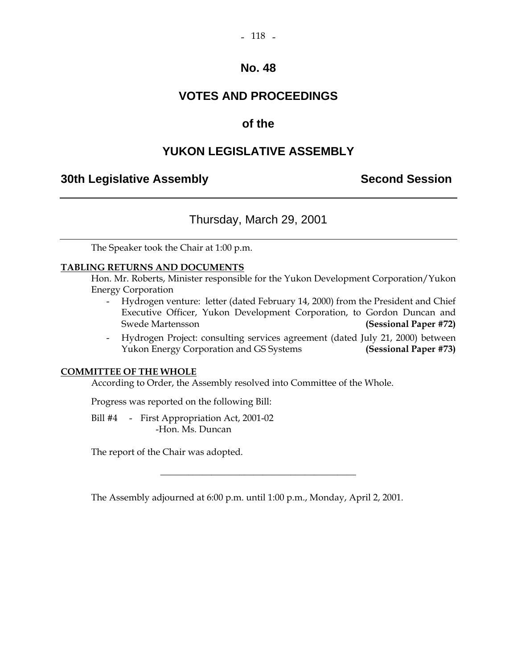#### $-118 -$

### **No. 48**

### **VOTES AND PROCEEDINGS**

### **of the**

### **YUKON LEGISLATIVE ASSEMBLY**

### **30th Legislative Assembly Second Session**

### Thursday, March 29, 2001

The Speaker took the Chair at 1:00 p.m.

#### **TABLING RETURNS AND DOCUMENTS**

Hon. Mr. Roberts, Minister responsible for the Yukon Development Corporation/Yukon Energy Corporation

- Hydrogen venture: letter (dated February 14, 2000) from the President and Chief Executive Officer, Yukon Development Corporation, to Gordon Duncan and Swede Martensson **(Sessional Paper #72)**
- Hydrogen Project: consulting services agreement (dated July 21, 2000) between Yukon Energy Corporation and GS Systems **(Sessional Paper #73)**

#### **COMMITTEE OF THE WHOLE**

According to Order, the Assembly resolved into Committee of the Whole.

Progress was reported on the following Bill:

Bill #4 - First Appropriation Act, 2001-02 -Hon. Ms. Duncan

The report of the Chair was adopted.

The Assembly adjourned at 6:00 p.m. until 1:00 p.m., Monday, April 2, 2001.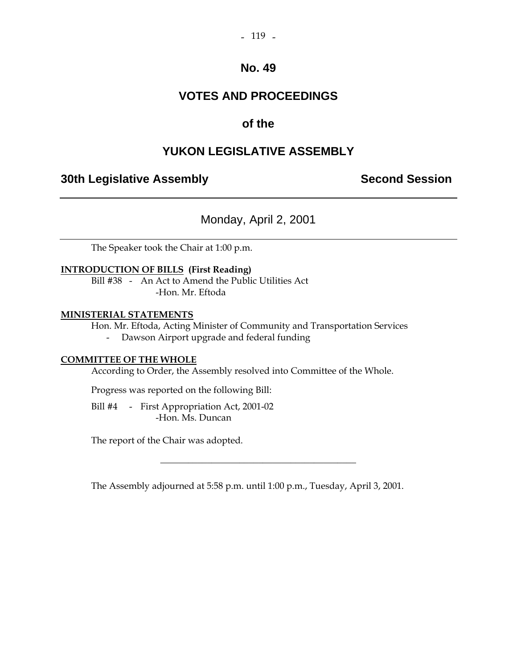### **VOTES AND PROCEEDINGS**

### **of the**

### **YUKON LEGISLATIVE ASSEMBLY**

### **30th Legislative Assembly Second Session**

Monday, April 2, 2001

The Speaker took the Chair at 1:00 p.m.

#### **INTRODUCTION OF BILLS (First Reading)**

 Bill #38 - An Act to Amend the Public Utilities Act -Hon. Mr. Eftoda

#### **MINISTERIAL STATEMENTS**

Hon. Mr. Eftoda, Acting Minister of Community and Transportation Services

- Dawson Airport upgrade and federal funding

#### **COMMITTEE OF THE WHOLE**

According to Order, the Assembly resolved into Committee of the Whole.

Progress was reported on the following Bill:

Bill #4 - First Appropriation Act, 2001-02 -Hon. Ms. Duncan

The report of the Chair was adopted.

The Assembly adjourned at 5:58 p.m. until 1:00 p.m., Tuesday, April 3, 2001.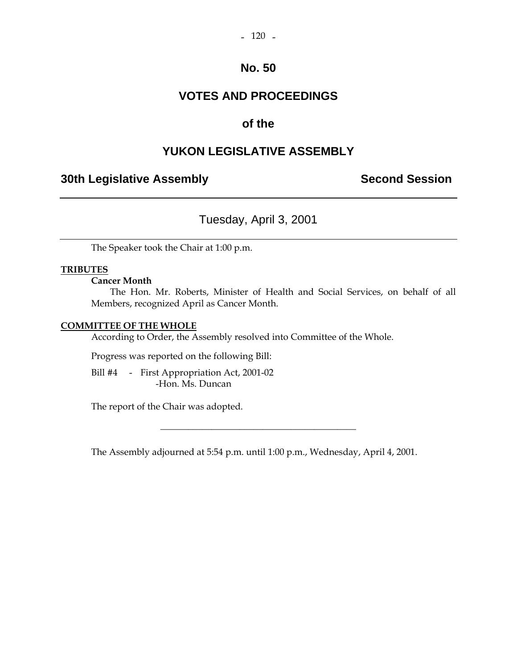### **VOTES AND PROCEEDINGS**

### **of the**

### **YUKON LEGISLATIVE ASSEMBLY**

### **30th Legislative Assembly Second Session**

### Tuesday, April 3, 2001

The Speaker took the Chair at 1:00 p.m.

#### **TRIBUTES**

#### **Cancer Month**

 The Hon. Mr. Roberts, Minister of Health and Social Services, on behalf of all Members, recognized April as Cancer Month.

#### **COMMITTEE OF THE WHOLE**

According to Order, the Assembly resolved into Committee of the Whole.

Progress was reported on the following Bill:

 Bill #4 - First Appropriation Act, 2001-02 -Hon. Ms. Duncan

The report of the Chair was adopted.

The Assembly adjourned at 5:54 p.m. until 1:00 p.m., Wednesday, April 4, 2001.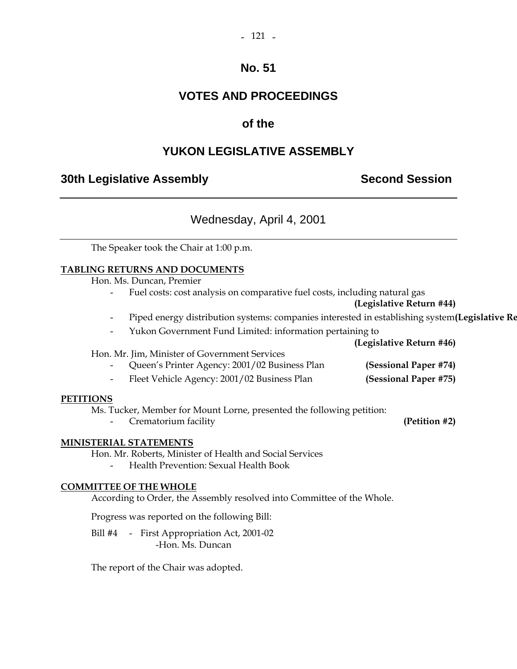#### $-121 -$

### **No. 51**

### **VOTES AND PROCEEDINGS**

### **of the**

### **YUKON LEGISLATIVE ASSEMBLY**

### **30th Legislative Assembly Second Session**

### Wednesday, April 4, 2001

The Speaker took the Chair at 1:00 p.m.

#### **TABLING RETURNS AND DOCUMENTS**

Hon. Ms. Duncan, Premier

Fuel costs: cost analysis on comparative fuel costs, including natural gas

#### **(Legislative Return #44)**

- Piped energy distribution systems: companies interested in establishing system**(Legislative Re**
- Yukon Government Fund Limited: information pertaining to

**(Legislative Return #46)** 

#### Hon. Mr. Jim, Minister of Government Services

- Queen's Printer Agency: 2001/02 Business Plan **(Sessional Paper #74)**
- Fleet Vehicle Agency: 2001/02 Business Plan **(Sessional Paper #75)**

#### **PETITIONS**

Ms. Tucker, Member for Mount Lorne, presented the following petition:

- Crematorium facility **(Petition #2)** 

#### **MINISTERIAL STATEMENTS**

Hon. Mr. Roberts, Minister of Health and Social Services

- Health Prevention: Sexual Health Book

#### **COMMITTEE OF THE WHOLE**

According to Order, the Assembly resolved into Committee of the Whole.

Progress was reported on the following Bill:

 Bill #4 - First Appropriation Act, 2001-02 -Hon. Ms. Duncan

The report of the Chair was adopted.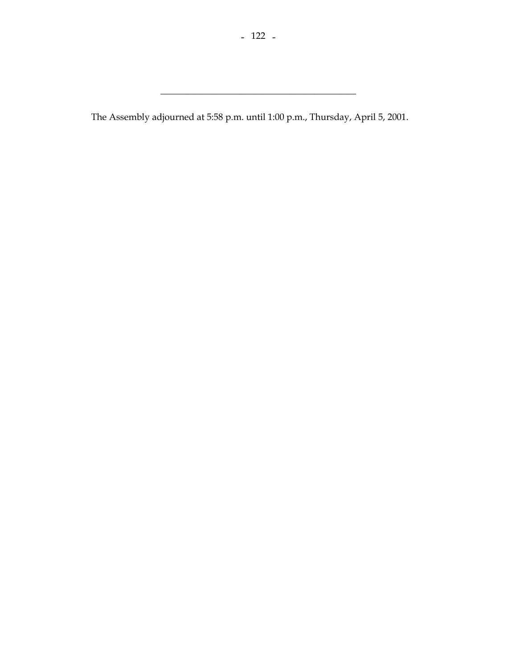\_\_\_\_\_\_\_\_\_\_\_\_\_\_\_\_\_\_\_\_\_\_\_\_\_\_\_\_\_\_\_\_\_\_\_\_\_\_\_\_\_\_

The Assembly adjourned at 5:58 p.m. until 1:00 p.m., Thursday, April 5, 2001.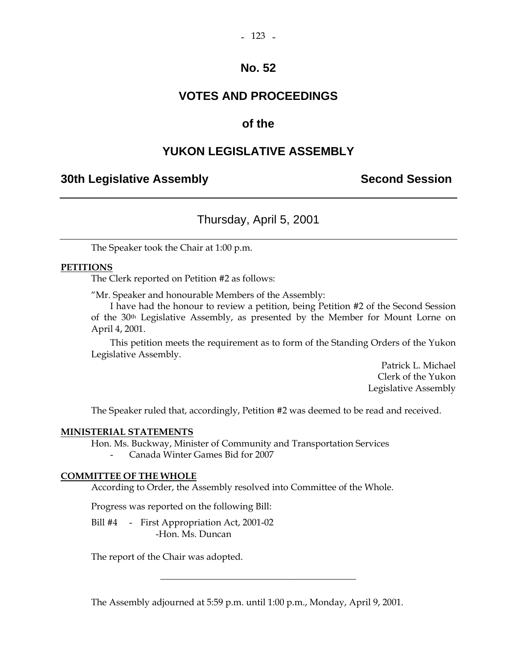### **VOTES AND PROCEEDINGS**

### **of the**

### **YUKON LEGISLATIVE ASSEMBLY**

### **30th Legislative Assembly Second Session**

### Thursday, April 5, 2001

The Speaker took the Chair at 1:00 p.m.

#### **PETITIONS**

The Clerk reported on Petition #2 as follows:

"Mr. Speaker and honourable Members of the Assembly:

 I have had the honour to review a petition, being Petition #2 of the Second Session of the 30th Legislative Assembly, as presented by the Member for Mount Lorne on April 4, 2001.

 This petition meets the requirement as to form of the Standing Orders of the Yukon Legislative Assembly.

> Patrick L. Michael Clerk of the Yukon Legislative Assembly

The Speaker ruled that, accordingly, Petition #2 was deemed to be read and received.

#### **MINISTERIAL STATEMENTS**

 Hon. Ms. Buckway, Minister of Community and Transportation Services - Canada Winter Games Bid for 2007

#### **COMMITTEE OF THE WHOLE**

According to Order, the Assembly resolved into Committee of the Whole.

Progress was reported on the following Bill:

Bill #4 - First Appropriation Act, 2001-02 -Hon. Ms. Duncan

The report of the Chair was adopted.

The Assembly adjourned at 5:59 p.m. until 1:00 p.m., Monday, April 9, 2001.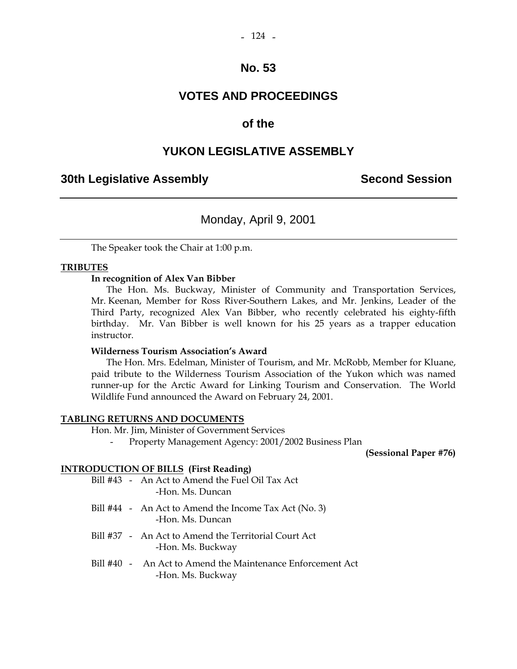### **VOTES AND PROCEEDINGS**

### **of the**

### **YUKON LEGISLATIVE ASSEMBLY**

### **30th Legislative Assembly Second Session**

### Monday, April 9, 2001

The Speaker took the Chair at 1:00 p.m.

#### **TRIBUTES**

#### **In recognition of Alex Van Bibber**

 The Hon. Ms. Buckway, Minister of Community and Transportation Services, Mr. Keenan, Member for Ross River-Southern Lakes, and Mr. Jenkins, Leader of the Third Party, recognized Alex Van Bibber, who recently celebrated his eighty-fifth birthday. Mr. Van Bibber is well known for his 25 years as a trapper education instructor.

#### **Wilderness Tourism Association's Award**

 The Hon. Mrs. Edelman, Minister of Tourism, and Mr. McRobb, Member for Kluane, paid tribute to the Wilderness Tourism Association of the Yukon which was named runner-up for the Arctic Award for Linking Tourism and Conservation. The World Wildlife Fund announced the Award on February 24, 2001.

#### **TABLING RETURNS AND DOCUMENTS**

Hon. Mr. Jim, Minister of Government Services

- Property Management Agency: 2001/2002 Business Plan

**(Sessional Paper #76)** 

#### **INTRODUCTION OF BILLS (First Reading)**

|  | Bill #43 - An Act to Amend the Fuel Oil Tax Act |
|--|-------------------------------------------------|
|  | -Hon. Ms. Duncan                                |

- Bill #44 An Act to Amend the Income Tax Act (No. 3) -Hon. Ms. Duncan
- Bill #37 An Act to Amend the Territorial Court Act -Hon. Ms. Buckway
- Bill #40 An Act to Amend the Maintenance Enforcement Act -Hon. Ms. Buckway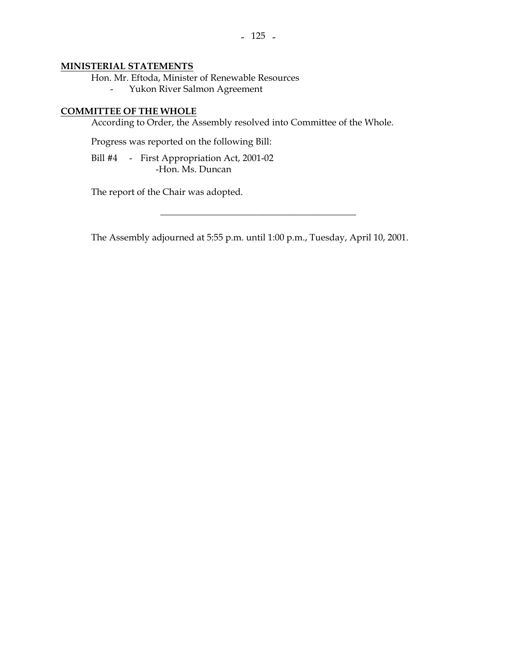#### **MINISTERIAL STATEMENTS**

Hon. Mr. Eftoda, Minister of Renewable Resources

- Yukon River Salmon Agreement

#### **COMMITTEE OF THE WHOLE**

According to Order, the Assembly resolved into Committee of the Whole.

Progress was reported on the following Bill:

 Bill #4 - First Appropriation Act, 2001-02 -Hon. Ms. Duncan

The report of the Chair was adopted.

The Assembly adjourned at 5:55 p.m. until 1:00 p.m., Tuesday, April 10, 2001.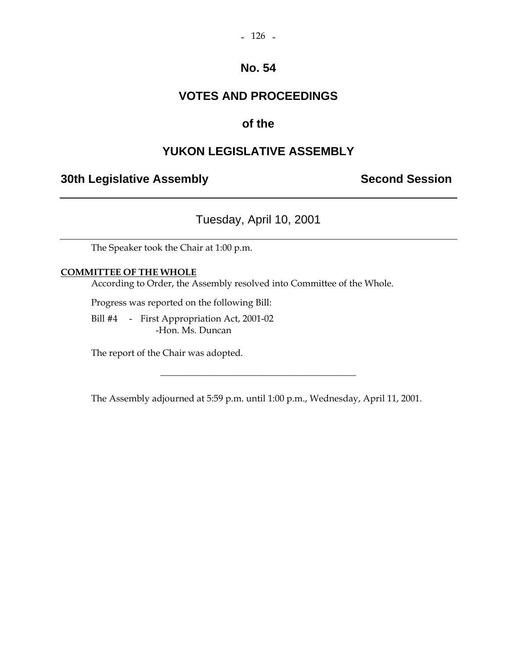# **VOTES AND PROCEEDINGS**

# **of the**

# **YUKON LEGISLATIVE ASSEMBLY**

# **30th Legislative Assembly Second Session**

Tuesday, April 10, 2001

The Speaker took the Chair at 1:00 p.m.

### **COMMITTEE OF THE WHOLE**

According to Order, the Assembly resolved into Committee of the Whole.

Progress was reported on the following Bill:

 Bill #4 - First Appropriation Act, 2001-02 -Hon. Ms. Duncan

The report of the Chair was adopted.

The Assembly adjourned at 5:59 p.m. until 1:00 p.m., Wednesday, April 11, 2001.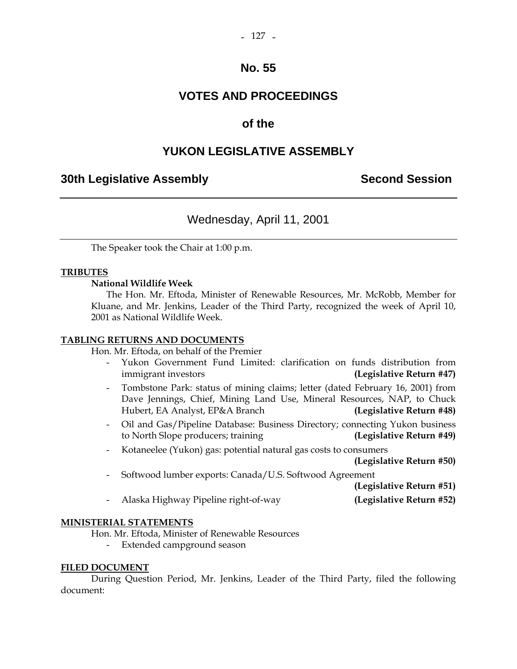# **VOTES AND PROCEEDINGS**

# **of the**

# **YUKON LEGISLATIVE ASSEMBLY**

### **30th Legislative Assembly Second Session**

# Wednesday, April 11, 2001

The Speaker took the Chair at 1:00 p.m.

### **TRIBUTES**

### **National Wildlife Week**

 The Hon. Mr. Eftoda, Minister of Renewable Resources, Mr. McRobb, Member for Kluane, and Mr. Jenkins, Leader of the Third Party, recognized the week of April 10, 2001 as National Wildlife Week.

### **TABLING RETURNS AND DOCUMENTS**

Hon. Mr. Eftoda, on behalf of the Premier

- Yukon Government Fund Limited: clarification on funds distribution from immigrant investors **(Legislative Return #47)**
- Tombstone Park: status of mining claims; letter (dated February 16, 2001) from Dave Jennings, Chief, Mining Land Use, Mineral Resources, NAP, to Chuck Hubert, EA Analyst, EP&A Branch **(Legislative Return #48)**
- Oil and Gas/Pipeline Database: Business Directory; connecting Yukon business to North Slope producers; training **(Legislative Return #49)**
- Kotaneelee (Yukon) gas: potential natural gas costs to consumers

**(Legislative Return #50)** 

- Softwood lumber exports: Canada/U.S. Softwood Agreement

**(Legislative Return #51)** 

- Alaska Highway Pipeline right-of-way **(Legislative Return #52)** 

### **MINISTERIAL STATEMENTS**

Hon. Mr. Eftoda, Minister of Renewable Resources

- Extended campground season

#### **FILED DOCUMENT**

 During Question Period, Mr. Jenkins, Leader of the Third Party, filed the following document: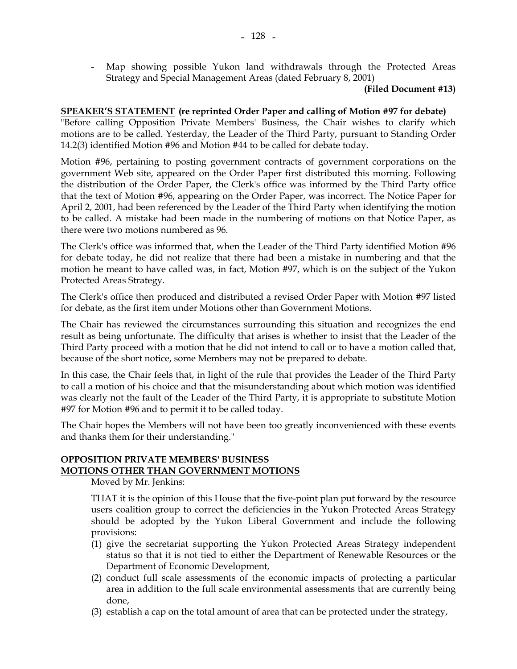- Map showing possible Yukon land withdrawals through the Protected Areas Strategy and Special Management Areas (dated February 8, 2001)

#### **(Filed Document #13)**

### **SPEAKER'S STATEMENT (re reprinted Order Paper and calling of Motion #97 for debate)**

"Before calling Opposition Private Members' Business, the Chair wishes to clarify which motions are to be called. Yesterday, the Leader of the Third Party, pursuant to Standing Order 14.2(3) identified Motion #96 and Motion #44 to be called for debate today.

Motion #96, pertaining to posting government contracts of government corporations on the government Web site, appeared on the Order Paper first distributed this morning. Following the distribution of the Order Paper, the Clerk's office was informed by the Third Party office that the text of Motion #96, appearing on the Order Paper, was incorrect. The Notice Paper for April 2, 2001, had been referenced by the Leader of the Third Party when identifying the motion to be called. A mistake had been made in the numbering of motions on that Notice Paper, as there were two motions numbered as 96.

The Clerk's office was informed that, when the Leader of the Third Party identified Motion #96 for debate today, he did not realize that there had been a mistake in numbering and that the motion he meant to have called was, in fact, Motion #97, which is on the subject of the Yukon Protected Areas Strategy.

The Clerk's office then produced and distributed a revised Order Paper with Motion #97 listed for debate, as the first item under Motions other than Government Motions.

The Chair has reviewed the circumstances surrounding this situation and recognizes the end result as being unfortunate. The difficulty that arises is whether to insist that the Leader of the Third Party proceed with a motion that he did not intend to call or to have a motion called that, because of the short notice, some Members may not be prepared to debate.

In this case, the Chair feels that, in light of the rule that provides the Leader of the Third Party to call a motion of his choice and that the misunderstanding about which motion was identified was clearly not the fault of the Leader of the Third Party, it is appropriate to substitute Motion #97 for Motion #96 and to permit it to be called today.

The Chair hopes the Members will not have been too greatly inconvenienced with these events and thanks them for their understanding."

#### **OPPOSITION PRIVATE MEMBERS' BUSINESS MOTIONS OTHER THAN GOVERNMENT MOTIONS**

Moved by Mr. Jenkins:

 THAT it is the opinion of this House that the five-point plan put forward by the resource users coalition group to correct the deficiencies in the Yukon Protected Areas Strategy should be adopted by the Yukon Liberal Government and include the following provisions:

- (1) give the secretariat supporting the Yukon Protected Areas Strategy independent status so that it is not tied to either the Department of Renewable Resources or the Department of Economic Development,
- (2) conduct full scale assessments of the economic impacts of protecting a particular area in addition to the full scale environmental assessments that are currently being done,
- (3) establish a cap on the total amount of area that can be protected under the strategy,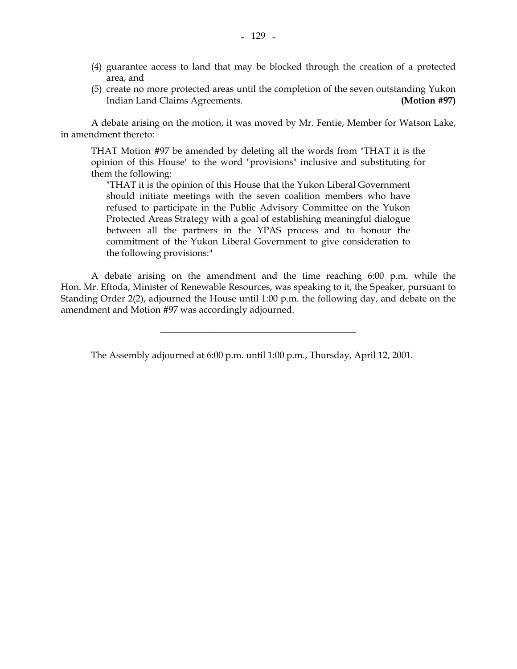- (4) guarantee access to land that may be blocked through the creation of a protected area, and
- (5) create no more protected areas until the completion of the seven outstanding Yukon Indian Land Claims Agreements. **(Motion #97)**

 A debate arising on the motion, it was moved by Mr. Fentie, Member for Watson Lake, in amendment thereto:

 THAT Motion #97 be amended by deleting all the words from "THAT it is the opinion of this House" to the word "provisions" inclusive and substituting for them the following:

 "THAT it is the opinion of this House that the Yukon Liberal Government should initiate meetings with the seven coalition members who have refused to participate in the Public Advisory Committee on the Yukon Protected Areas Strategy with a goal of establishing meaningful dialogue between all the partners in the YPAS process and to honour the commitment of the Yukon Liberal Government to give consideration to the following provisions:"

 A debate arising on the amendment and the time reaching 6:00 p.m. while the Hon. Mr. Eftoda, Minister of Renewable Resources, was speaking to it, the Speaker, pursuant to Standing Order 2(2), adjourned the House until 1:00 p.m. the following day, and debate on the amendment and Motion #97 was accordingly adjourned.

The Assembly adjourned at 6:00 p.m. until 1:00 p.m., Thursday, April 12, 2001.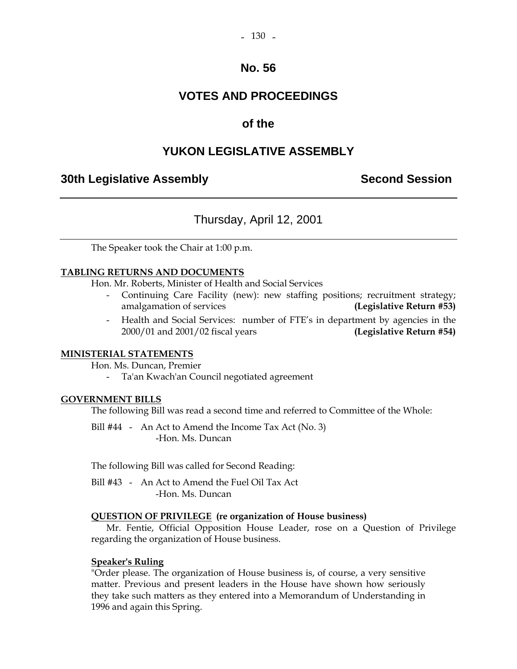# **VOTES AND PROCEEDINGS**

### **of the**

# **YUKON LEGISLATIVE ASSEMBLY**

### **30th Legislative Assembly Second Session**

# Thursday, April 12, 2001

The Speaker took the Chair at 1:00 p.m.

#### **TABLING RETURNS AND DOCUMENTS**

Hon. Mr. Roberts, Minister of Health and Social Services

- Continuing Care Facility (new): new staffing positions; recruitment strategy; amalgamation of services **(Legislative Return #53)**
- Health and Social Services: number of FTE's in department by agencies in the 2000/01 and 2001/02 fiscal years **(Legislative Return #54)**

#### **MINISTERIAL STATEMENTS**

Hon. Ms. Duncan, Premier

- Ta'an Kwach'an Council negotiated agreement

#### **GOVERNMENT BILLS**

The following Bill was read a second time and referred to Committee of the Whole:

Bill #44 - An Act to Amend the Income Tax Act (No. 3) -Hon. Ms. Duncan

The following Bill was called for Second Reading:

 Bill #43 - An Act to Amend the Fuel Oil Tax Act -Hon. Ms. Duncan

#### **QUESTION OF PRIVILEGE (re organization of House business)**

 Mr. Fentie, Official Opposition House Leader, rose on a Question of Privilege regarding the organization of House business.

#### **Speaker's Ruling**

 "Order please. The organization of House business is, of course, a very sensitive matter. Previous and present leaders in the House have shown how seriously they take such matters as they entered into a Memorandum of Understanding in 1996 and again this Spring.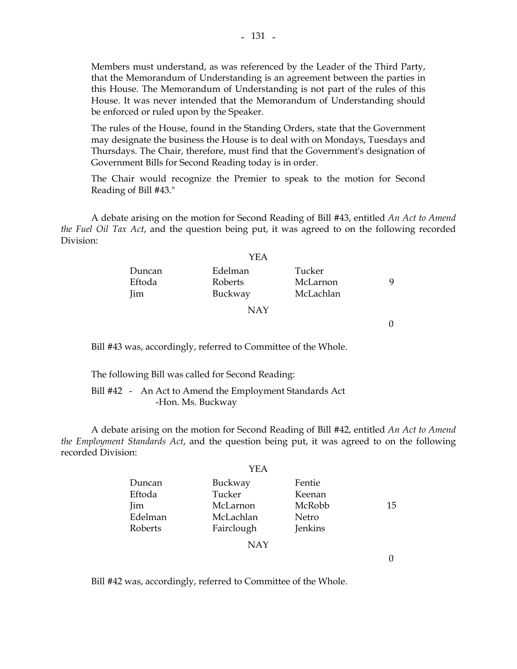Members must understand, as was referenced by the Leader of the Third Party, that the Memorandum of Understanding is an agreement between the parties in this House. The Memorandum of Understanding is not part of the rules of this House. It was never intended that the Memorandum of Understanding should be enforced or ruled upon by the Speaker.

 The rules of the House, found in the Standing Orders, state that the Government may designate the business the House is to deal with on Mondays, Tuesdays and Thursdays. The Chair, therefore, must find that the Government's designation of Government Bills for Second Reading today is in order.

 The Chair would recognize the Premier to speak to the motion for Second Reading of Bill #43."

 A debate arising on the motion for Second Reading of Bill #43, entitled *An Act to Amend the Fuel Oil Tax Act*, and the question being put, it was agreed to on the following recorded Division:

|        | YEA     |           |   |
|--------|---------|-----------|---|
| Duncan | Edelman | Tucker    |   |
| Eftoda | Roberts | McLarnon  | Q |
| Jim    | Buckway | McLachlan |   |
|        | NAY     |           |   |

 $\Omega$ 

Bill #43 was, accordingly, referred to Committee of the Whole.

The following Bill was called for Second Reading:

 Bill #42 - An Act to Amend the Employment Standards Act -Hon. Ms. Buckway

 A debate arising on the motion for Second Reading of Bill #42, entitled *An Act to Amend the Employment Standards Act*, and the question being put, it was agreed to on the following recorded Division:

|         | YEA        |         |    |
|---------|------------|---------|----|
| Duncan  | Buckway    | Fentie  |    |
| Eftoda  | Tucker     | Keenan  |    |
| Jim     | McLarnon   | McRobb  | 15 |
| Edelman | McLachlan  | Netro   |    |
| Roberts | Fairclough | Jenkins |    |
|         | <b>NAY</b> |         |    |

0

Bill #42 was, accordingly, referred to Committee of the Whole.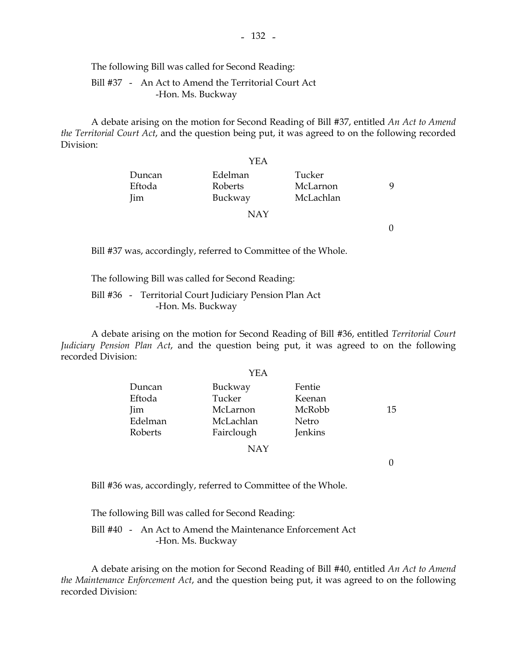The following Bill was called for Second Reading:

 Bill #37 - An Act to Amend the Territorial Court Act -Hon. Ms. Buckway

 A debate arising on the motion for Second Reading of Bill #37, entitled *An Act to Amend the Territorial Court Act*, and the question being put, it was agreed to on the following recorded Division:

|            | YEA     |           |   |
|------------|---------|-----------|---|
| Duncan     | Edelman | Tucker    |   |
| Eftoda     | Roberts | McLarnon  | Q |
| <b>Jim</b> | Buckway | McLachlan |   |
|            | NAY     |           |   |

0

Bill #37 was, accordingly, referred to Committee of the Whole.

The following Bill was called for Second Reading:

 Bill #36 - Territorial Court Judiciary Pension Plan Act -Hon. Ms. Buckway

 A debate arising on the motion for Second Reading of Bill #36, entitled *Territorial Court Judiciary Pension Plan Act*, and the question being put, it was agreed to on the following recorded Division:

|         | YEA        |         |    |
|---------|------------|---------|----|
| Duncan  | Buckway    | Fentie  |    |
| Eftoda  | Tucker     | Keenan  |    |
| Jim     | McLarnon   | McRobb  | 15 |
| Edelman | McLachlan  | Netro   |    |
| Roberts | Fairclough | Jenkins |    |
|         | <b>NAY</b> |         |    |
|         |            |         |    |

Bill #36 was, accordingly, referred to Committee of the Whole.

The following Bill was called for Second Reading:

 Bill #40 - An Act to Amend the Maintenance Enforcement Act -Hon. Ms. Buckway

 A debate arising on the motion for Second Reading of Bill #40, entitled *An Act to Amend the Maintenance Enforcement Act*, and the question being put, it was agreed to on the following recorded Division: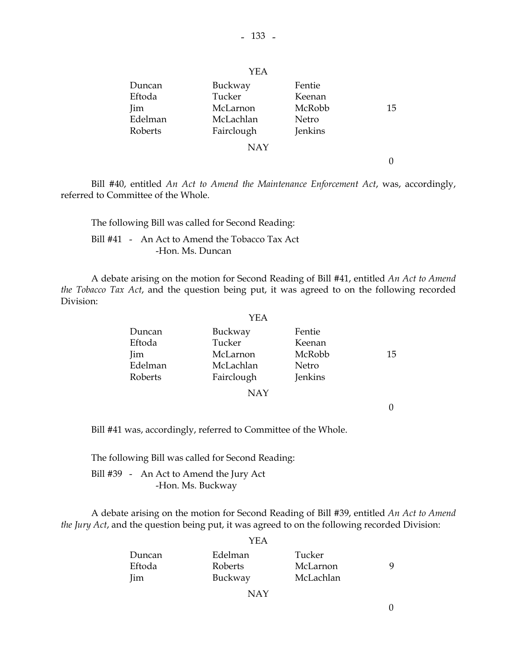|         | YEA        |         |    |
|---------|------------|---------|----|
| Duncan  | Buckway    | Fentie  |    |
| Eftoda  | Tucker     | Keenan  |    |
| Jim     | McLarnon   | McRobb  | 15 |
| Edelman | McLachlan  | Netro   |    |
| Roberts | Fairclough | Jenkins |    |
|         | <b>NAY</b> |         |    |
|         |            |         |    |

 Bill #40, entitled *An Act to Amend the Maintenance Enforcement Act*, was, accordingly, referred to Committee of the Whole.

 The following Bill was called for Second Reading: Bill #41 - An Act to Amend the Tobacco Tax Act -Hon. Ms. Duncan

 A debate arising on the motion for Second Reading of Bill #41, entitled *An Act to Amend the Tobacco Tax Act*, and the question being put, it was agreed to on the following recorded Division:

|         | YEA        |         |    |
|---------|------------|---------|----|
| Duncan  | Buckway    | Fentie  |    |
| Eftoda  | Tucker     | Keenan  |    |
| Jim     | McLarnon   | McRobb  | 15 |
| Edelman | McLachlan  | Netro   |    |
| Roberts | Fairclough | Jenkins |    |
|         | NAY        |         |    |

0

Bill #41 was, accordingly, referred to Committee of the Whole.

The following Bill was called for Second Reading:

 Bill #39 - An Act to Amend the Jury Act -Hon. Ms. Buckway

 A debate arising on the motion for Second Reading of Bill #39, entitled *An Act to Amend the Jury Act*, and the question being put, it was agreed to on the following recorded Division:

|        | I EA    |           |   |
|--------|---------|-----------|---|
| Duncan | Edelman | Tucker    |   |
| Eftoda | Roberts | McLarnon  | Q |
| Jim    | Buckway | McLachlan |   |
|        | NAY     |           |   |

### $V\mathbf{E}$   $\Lambda$

0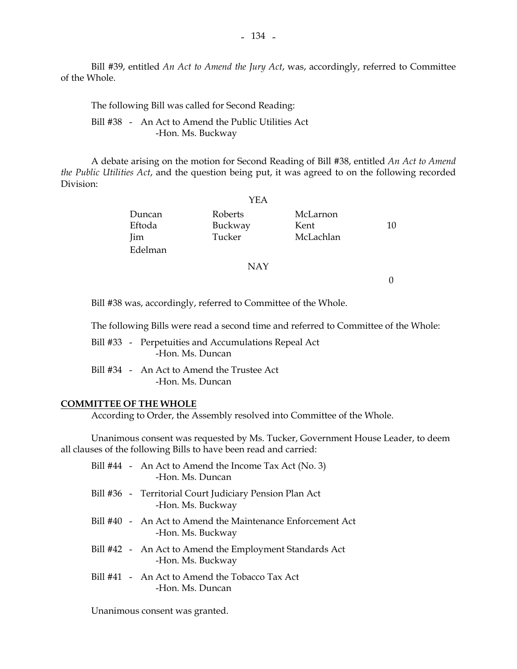Bill #39, entitled *An Act to Amend the Jury Act*, was, accordingly, referred to Committee of the Whole.

The following Bill was called for Second Reading:

 Bill #38 - An Act to Amend the Public Utilities Act -Hon. Ms. Buckway

 A debate arising on the motion for Second Reading of Bill #38, entitled *An Act to Amend the Public Utilities Act*, and the question being put, it was agreed to on the following recorded Division:

|                         | YEA                          |                               |    |
|-------------------------|------------------------------|-------------------------------|----|
| Duncan<br>Eftoda<br>Jim | Roberts<br>Buckway<br>Tucker | McLarnon<br>Kent<br>McLachlan | 10 |
| Edelman                 |                              |                               |    |
|                         | <b>NAY</b>                   |                               |    |
|                         |                              |                               |    |

Bill #38 was, accordingly, referred to Committee of the Whole.

The following Bills were read a second time and referred to Committee of the Whole:

 Bill #33 - Perpetuities and Accumulations Repeal Act -Hon. Ms. Duncan

 Bill #34 - An Act to Amend the Trustee Act -Hon. Ms. Duncan

#### **COMMITTEE OF THE WHOLE**

According to Order, the Assembly resolved into Committee of the Whole.

 Unanimous consent was requested by Ms. Tucker, Government House Leader, to deem all clauses of the following Bills to have been read and carried:

|  | Bill #44 - An Act to Amend the Income Tax Act (No. 3)<br>-Hon. Ms. Duncan       |
|--|---------------------------------------------------------------------------------|
|  | Bill #36 - Territorial Court Judiciary Pension Plan Act<br>-Hon. Ms. Buckway    |
|  | Bill #40 - An Act to Amend the Maintenance Enforcement Act<br>-Hon. Ms. Buckway |
|  | Bill #42 - An Act to Amend the Employment Standards Act<br>-Hon. Ms. Buckway    |
|  | Bill #41 - An Act to Amend the Tobacco Tax Act<br>-Hon. Ms. Duncan              |

Unanimous consent was granted.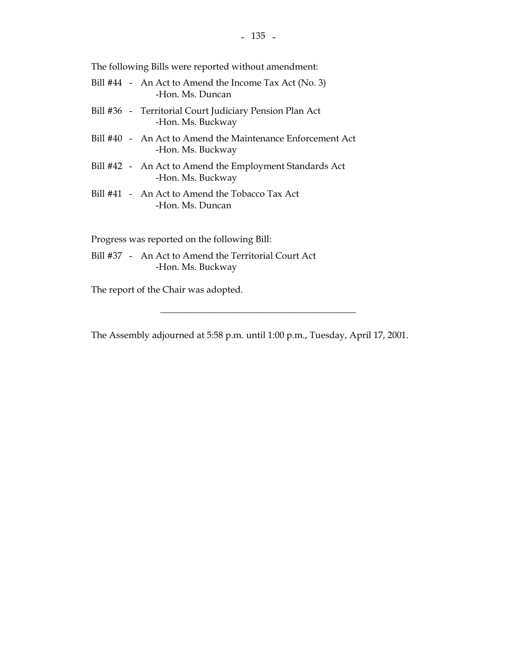$- 135 -$ 

The following Bills were reported without amendment:

|  | Bill #44 - An Act to Amend the Income Tax Act (No. 3)<br>-Hon. Ms. Duncan       |
|--|---------------------------------------------------------------------------------|
|  | Bill #36 - Territorial Court Judiciary Pension Plan Act<br>-Hon. Ms. Buckway    |
|  | Bill #40 - An Act to Amend the Maintenance Enforcement Act<br>-Hon. Ms. Buckway |
|  | Bill #42 - An Act to Amend the Employment Standards Act<br>-Hon. Ms. Buckway    |
|  | Bill #41 - An Act to Amend the Tobacco Tax Act<br>-Hon. Ms. Duncan              |
|  | Progress was reported on the following Bill:                                    |

 Bill #37 - An Act to Amend the Territorial Court Act -Hon. Ms. Buckway

The report of the Chair was adopted.

The Assembly adjourned at 5:58 p.m. until 1:00 p.m., Tuesday, April 17, 2001.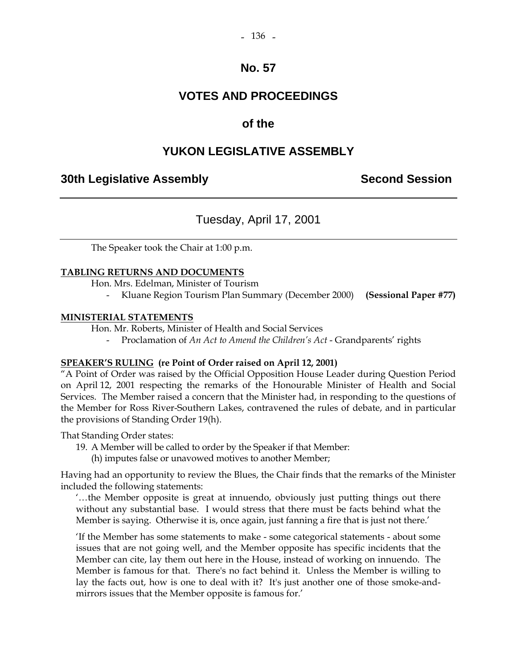# **VOTES AND PROCEEDINGS**

# **of the**

# **YUKON LEGISLATIVE ASSEMBLY**

### **30th Legislative Assembly Second Session**

# Tuesday, April 17, 2001

The Speaker took the Chair at 1:00 p.m.

### **TABLING RETURNS AND DOCUMENTS**

Hon. Mrs. Edelman, Minister of Tourism

- Kluane Region Tourism Plan Summary (December 2000) **(Sessional Paper #77)** 

#### **MINISTERIAL STATEMENTS**

Hon. Mr. Roberts, Minister of Health and Social Services

- Proclamation of *An Act to Amend the Children's Act* - Grandparents' rights

### **SPEAKER'S RULING (re Point of Order raised on April 12, 2001)**

"A Point of Order was raised by the Official Opposition House Leader during Question Period on April 12, 2001 respecting the remarks of the Honourable Minister of Health and Social Services. The Member raised a concern that the Minister had, in responding to the questions of the Member for Ross River-Southern Lakes, contravened the rules of debate, and in particular the provisions of Standing Order 19(h).

That Standing Order states:

19. A Member will be called to order by the Speaker if that Member:

(h) imputes false or unavowed motives to another Member;

Having had an opportunity to review the Blues, the Chair finds that the remarks of the Minister included the following statements:

'…the Member opposite is great at innuendo, obviously just putting things out there without any substantial base. I would stress that there must be facts behind what the Member is saying. Otherwise it is, once again, just fanning a fire that is just not there.'

'If the Member has some statements to make - some categorical statements - about some issues that are not going well, and the Member opposite has specific incidents that the Member can cite, lay them out here in the House, instead of working on innuendo. The Member is famous for that. There's no fact behind it. Unless the Member is willing to lay the facts out, how is one to deal with it? It's just another one of those smoke-andmirrors issues that the Member opposite is famous for.'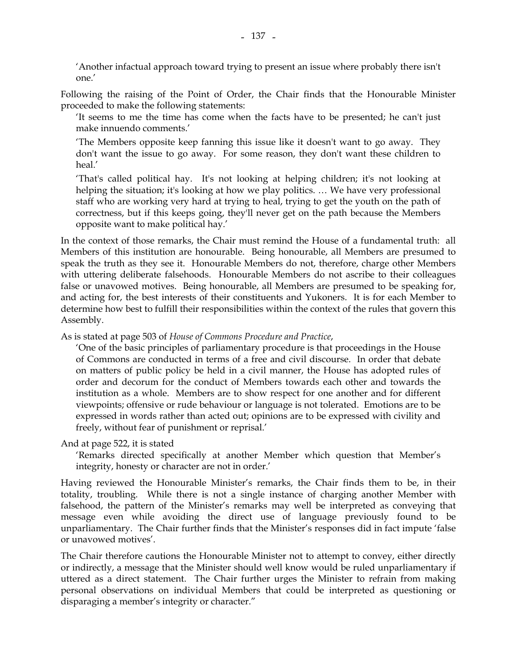'Another infactual approach toward trying to present an issue where probably there isn't one.'

Following the raising of the Point of Order, the Chair finds that the Honourable Minister proceeded to make the following statements:

'It seems to me the time has come when the facts have to be presented; he can't just make innuendo comments.'

'The Members opposite keep fanning this issue like it doesn't want to go away. They don't want the issue to go away. For some reason, they don't want these children to heal.'

'That's called political hay. It's not looking at helping children; it's not looking at helping the situation; it's looking at how we play politics. ... We have very professional staff who are working very hard at trying to heal, trying to get the youth on the path of correctness, but if this keeps going, they'll never get on the path because the Members opposite want to make political hay.'

In the context of those remarks, the Chair must remind the House of a fundamental truth: all Members of this institution are honourable. Being honourable, all Members are presumed to speak the truth as they see it. Honourable Members do not, therefore, charge other Members with uttering deliberate falsehoods. Honourable Members do not ascribe to their colleagues false or unavowed motives. Being honourable, all Members are presumed to be speaking for, and acting for, the best interests of their constituents and Yukoners. It is for each Member to determine how best to fulfill their responsibilities within the context of the rules that govern this Assembly.

As is stated at page 503 of *House of Commons Procedure and Practice*,

'One of the basic principles of parliamentary procedure is that proceedings in the House of Commons are conducted in terms of a free and civil discourse. In order that debate on matters of public policy be held in a civil manner, the House has adopted rules of order and decorum for the conduct of Members towards each other and towards the institution as a whole. Members are to show respect for one another and for different viewpoints; offensive or rude behaviour or language is not tolerated. Emotions are to be expressed in words rather than acted out; opinions are to be expressed with civility and freely, without fear of punishment or reprisal.'

### And at page 522, it is stated

'Remarks directed specifically at another Member which question that Member's integrity, honesty or character are not in order.'

Having reviewed the Honourable Minister's remarks, the Chair finds them to be, in their totality, troubling. While there is not a single instance of charging another Member with falsehood, the pattern of the Minister's remarks may well be interpreted as conveying that message even while avoiding the direct use of language previously found to be unparliamentary. The Chair further finds that the Minister's responses did in fact impute 'false or unavowed motives'.

The Chair therefore cautions the Honourable Minister not to attempt to convey, either directly or indirectly, a message that the Minister should well know would be ruled unparliamentary if uttered as a direct statement. The Chair further urges the Minister to refrain from making personal observations on individual Members that could be interpreted as questioning or disparaging a member's integrity or character."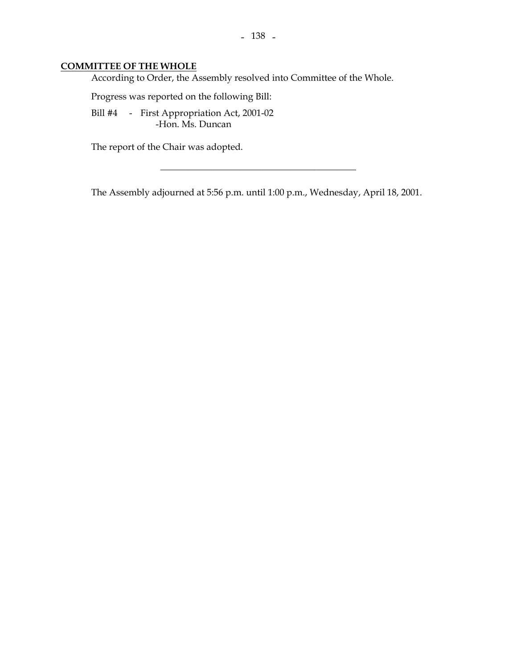### **COMMITTEE OF THE WHOLE**

According to Order, the Assembly resolved into Committee of the Whole.

Progress was reported on the following Bill:

Bill #4 - First Appropriation Act, 2001-02 -Hon. Ms. Duncan

The report of the Chair was adopted.

The Assembly adjourned at 5:56 p.m. until 1:00 p.m., Wednesday, April 18, 2001.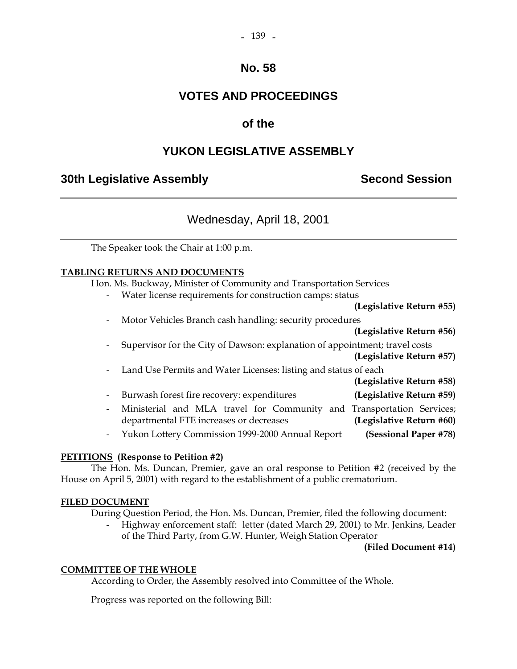#### $-139$   $-$

### **No. 58**

# **VOTES AND PROCEEDINGS**

### **of the**

# **YUKON LEGISLATIVE ASSEMBLY**

### **30th Legislative Assembly Second Session**

# Wednesday, April 18, 2001

The Speaker took the Chair at 1:00 p.m.

### **TABLING RETURNS AND DOCUMENTS**

Hon. Ms. Buckway, Minister of Community and Transportation Services

Water license requirements for construction camps: status

**(Legislative Return #55)** 

Motor Vehicles Branch cash handling: security procedures

| (Legislative Return #56)                                                              |
|---------------------------------------------------------------------------------------|
| Supervisor for the City of Dawson: explanation of appointment; travel costs<br>$\sim$ |
| (Legislative Return #57)                                                              |
| - Land Use Permits and Water Licenses: listing and status of each                     |
| (Legislative Return #58)                                                              |
|                                                                                       |

- Burwash forest fire recovery: expenditures **(Legislative Return #59)**  - Ministerial and MLA travel for Community and Transportation Services; departmental FTE increases or decreases **(Legislative Return #60)**
- Yukon Lottery Commission 1999-2000 Annual Report **(Sessional Paper #78)**

### **PETITIONS (Response to Petition #2)**

 The Hon. Ms. Duncan, Premier, gave an oral response to Petition #2 (received by the House on April 5, 2001) with regard to the establishment of a public crematorium.

### **FILED DOCUMENT**

During Question Period, the Hon. Ms. Duncan, Premier, filed the following document:

 - Highway enforcement staff: letter (dated March 29, 2001) to Mr. Jenkins, Leader of the Third Party, from G.W. Hunter, Weigh Station Operator

#### **(Filed Document #14)**

#### **COMMITTEE OF THE WHOLE**

According to Order, the Assembly resolved into Committee of the Whole.

Progress was reported on the following Bill: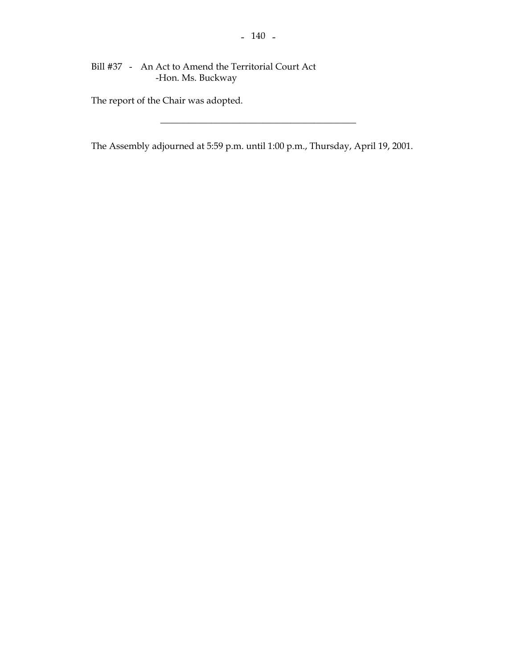Bill #37 - An Act to Amend the Territorial Court Act -Hon. Ms. Buckway

The report of the Chair was adopted.

The Assembly adjourned at 5:59 p.m. until 1:00 p.m., Thursday, April 19, 2001.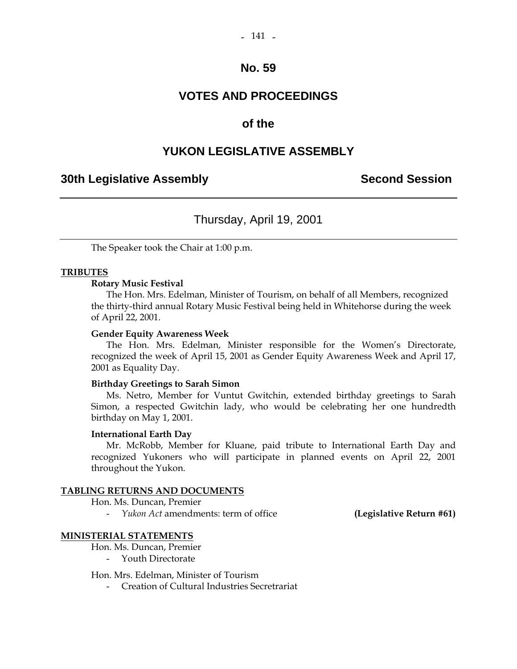# **VOTES AND PROCEEDINGS**

### **of the**

# **YUKON LEGISLATIVE ASSEMBLY**

### **30th Legislative Assembly Second Session**

# Thursday, April 19, 2001

The Speaker took the Chair at 1:00 p.m.

### **TRIBUTES**

#### **Rotary Music Festival**

 The Hon. Mrs. Edelman, Minister of Tourism, on behalf of all Members, recognized the thirty-third annual Rotary Music Festival being held in Whitehorse during the week of April 22, 2001.

#### **Gender Equity Awareness Week**

 The Hon. Mrs. Edelman, Minister responsible for the Women's Directorate, recognized the week of April 15, 2001 as Gender Equity Awareness Week and April 17, 2001 as Equality Day.

#### **Birthday Greetings to Sarah Simon**

 Ms. Netro, Member for Vuntut Gwitchin, extended birthday greetings to Sarah Simon, a respected Gwitchin lady, who would be celebrating her one hundredth birthday on May 1, 2001.

#### **International Earth Day**

 Mr. McRobb, Member for Kluane, paid tribute to International Earth Day and recognized Yukoners who will participate in planned events on April 22, 2001 throughout the Yukon.

#### **TABLING RETURNS AND DOCUMENTS**

Hon. Ms. Duncan, Premier

- *Yukon Act* amendments: term of office **(Legislative Return #61)** 

#### **MINISTERIAL STATEMENTS**

Hon. Ms. Duncan, Premier

- Youth Directorate

Hon. Mrs. Edelman, Minister of Tourism

- Creation of Cultural Industries Secretrariat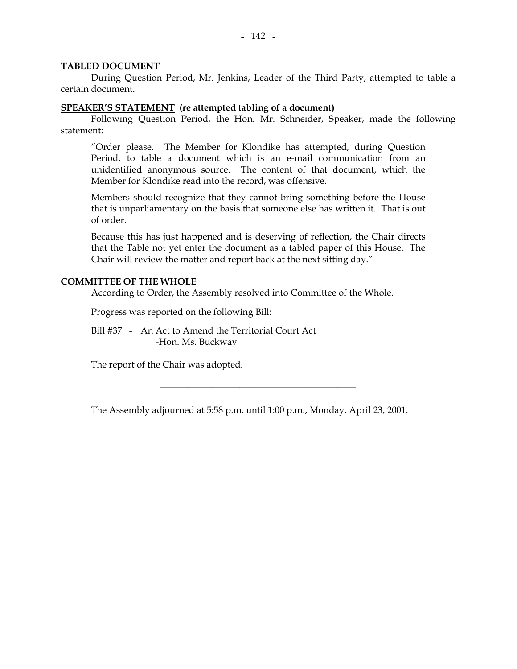#### **TABLED DOCUMENT**

 During Question Period, Mr. Jenkins, Leader of the Third Party, attempted to table a certain document.

#### **SPEAKER'S STATEMENT (re attempted tabling of a document)**

 Following Question Period, the Hon. Mr. Schneider, Speaker, made the following statement:

 "Order please. The Member for Klondike has attempted, during Question Period, to table a document which is an e-mail communication from an unidentified anonymous source. The content of that document, which the Member for Klondike read into the record, was offensive.

 Members should recognize that they cannot bring something before the House that is unparliamentary on the basis that someone else has written it. That is out of order.

 Because this has just happened and is deserving of reflection, the Chair directs that the Table not yet enter the document as a tabled paper of this House. The Chair will review the matter and report back at the next sitting day."

#### **COMMITTEE OF THE WHOLE**

According to Order, the Assembly resolved into Committee of the Whole.

Progress was reported on the following Bill:

 Bill #37 - An Act to Amend the Territorial Court Act -Hon. Ms. Buckway

The report of the Chair was adopted.

The Assembly adjourned at 5:58 p.m. until 1:00 p.m., Monday, April 23, 2001.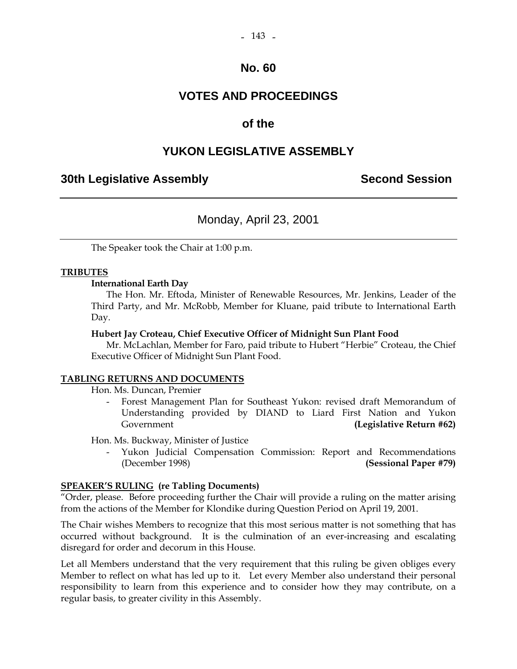# **VOTES AND PROCEEDINGS**

### **of the**

### **YUKON LEGISLATIVE ASSEMBLY**

### **30th Legislative Assembly Second Session**

# Monday, April 23, 2001

The Speaker took the Chair at 1:00 p.m.

#### **TRIBUTES**

#### **International Earth Day**

 The Hon. Mr. Eftoda, Minister of Renewable Resources, Mr. Jenkins, Leader of the Third Party, and Mr. McRobb, Member for Kluane, paid tribute to International Earth Day.

#### **Hubert Jay Croteau, Chief Executive Officer of Midnight Sun Plant Food**

 Mr. McLachlan, Member for Faro, paid tribute to Hubert "Herbie" Croteau, the Chief Executive Officer of Midnight Sun Plant Food.

#### **TABLING RETURNS AND DOCUMENTS**

Hon. Ms. Duncan, Premier

 - Forest Management Plan for Southeast Yukon: revised draft Memorandum of Understanding provided by DIAND to Liard First Nation and Yukon Government **(Legislative Return #62) (Government (Covernment )** 

Hon. Ms. Buckway, Minister of Justice

- Yukon Judicial Compensation Commission: Report and Recommendations (December 1998) **(Sessional Paper #79)**

#### **SPEAKER'S RULING (re Tabling Documents)**

"Order, please. Before proceeding further the Chair will provide a ruling on the matter arising from the actions of the Member for Klondike during Question Period on April 19, 2001.

The Chair wishes Members to recognize that this most serious matter is not something that has occurred without background. It is the culmination of an ever-increasing and escalating disregard for order and decorum in this House.

Let all Members understand that the very requirement that this ruling be given obliges every Member to reflect on what has led up to it. Let every Member also understand their personal responsibility to learn from this experience and to consider how they may contribute, on a regular basis, to greater civility in this Assembly.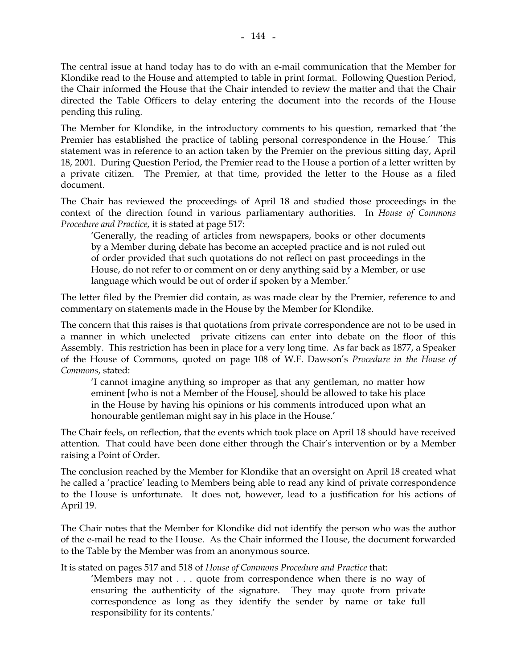The central issue at hand today has to do with an e-mail communication that the Member for Klondike read to the House and attempted to table in print format. Following Question Period, the Chair informed the House that the Chair intended to review the matter and that the Chair directed the Table Officers to delay entering the document into the records of the House pending this ruling.

The Member for Klondike, in the introductory comments to his question, remarked that 'the Premier has established the practice of tabling personal correspondence in the House.' This statement was in reference to an action taken by the Premier on the previous sitting day, April 18, 2001. During Question Period, the Premier read to the House a portion of a letter written by a private citizen. The Premier, at that time, provided the letter to the House as a filed document.

The Chair has reviewed the proceedings of April 18 and studied those proceedings in the context of the direction found in various parliamentary authorities. In *House of Commons Procedure and Practice*, it is stated at page 517:

 'Generally, the reading of articles from newspapers, books or other documents by a Member during debate has become an accepted practice and is not ruled out of order provided that such quotations do not reflect on past proceedings in the House, do not refer to or comment on or deny anything said by a Member, or use language which would be out of order if spoken by a Member.'

The letter filed by the Premier did contain, as was made clear by the Premier, reference to and commentary on statements made in the House by the Member for Klondike.

The concern that this raises is that quotations from private correspondence are not to be used in a manner in which unelected private citizens can enter into debate on the floor of this Assembly. This restriction has been in place for a very long time. As far back as 1877, a Speaker of the House of Commons, quoted on page 108 of W.F. Dawson's *Procedure in the House of Commons*, stated:

 'I cannot imagine anything so improper as that any gentleman, no matter how eminent [who is not a Member of the House], should be allowed to take his place in the House by having his opinions or his comments introduced upon what an honourable gentleman might say in his place in the House.'

The Chair feels, on reflection, that the events which took place on April 18 should have received attention. That could have been done either through the Chair's intervention or by a Member raising a Point of Order.

The conclusion reached by the Member for Klondike that an oversight on April 18 created what he called a 'practice' leading to Members being able to read any kind of private correspondence to the House is unfortunate. It does not, however, lead to a justification for his actions of April 19.

The Chair notes that the Member for Klondike did not identify the person who was the author of the e-mail he read to the House. As the Chair informed the House, the document forwarded to the Table by the Member was from an anonymous source.

It is stated on pages 517 and 518 of *House of Commons Procedure and Practice* that:

 'Members may not . . . quote from correspondence when there is no way of ensuring the authenticity of the signature. They may quote from private correspondence as long as they identify the sender by name or take full responsibility for its contents.'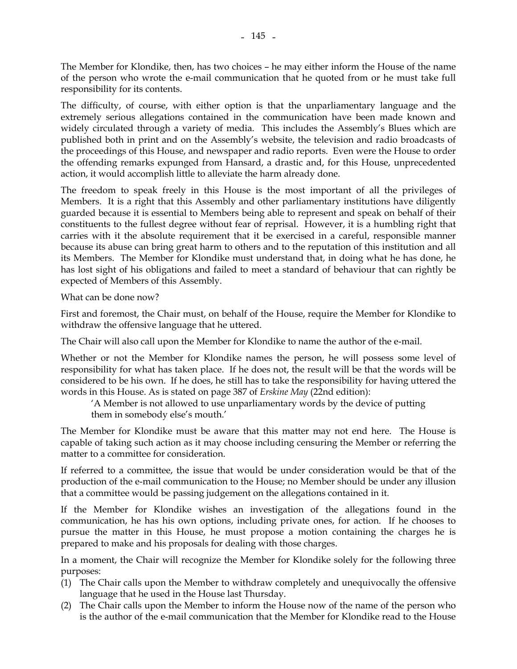The Member for Klondike, then, has two choices – he may either inform the House of the name of the person who wrote the e-mail communication that he quoted from or he must take full responsibility for its contents.

The difficulty, of course, with either option is that the unparliamentary language and the extremely serious allegations contained in the communication have been made known and widely circulated through a variety of media. This includes the Assembly's Blues which are published both in print and on the Assembly's website, the television and radio broadcasts of the proceedings of this House, and newspaper and radio reports. Even were the House to order the offending remarks expunged from Hansard, a drastic and, for this House, unprecedented action, it would accomplish little to alleviate the harm already done.

The freedom to speak freely in this House is the most important of all the privileges of Members. It is a right that this Assembly and other parliamentary institutions have diligently guarded because it is essential to Members being able to represent and speak on behalf of their constituents to the fullest degree without fear of reprisal. However, it is a humbling right that carries with it the absolute requirement that it be exercised in a careful, responsible manner because its abuse can bring great harm to others and to the reputation of this institution and all its Members. The Member for Klondike must understand that, in doing what he has done, he has lost sight of his obligations and failed to meet a standard of behaviour that can rightly be expected of Members of this Assembly.

What can be done now?

First and foremost, the Chair must, on behalf of the House, require the Member for Klondike to withdraw the offensive language that he uttered.

The Chair will also call upon the Member for Klondike to name the author of the e-mail.

Whether or not the Member for Klondike names the person, he will possess some level of responsibility for what has taken place. If he does not, the result will be that the words will be considered to be his own. If he does, he still has to take the responsibility for having uttered the words in this House. As is stated on page 387 of *Erskine May* (22nd edition):

 'A Member is not allowed to use unparliamentary words by the device of putting them in somebody else's mouth.'

The Member for Klondike must be aware that this matter may not end here. The House is capable of taking such action as it may choose including censuring the Member or referring the matter to a committee for consideration.

If referred to a committee, the issue that would be under consideration would be that of the production of the e-mail communication to the House; no Member should be under any illusion that a committee would be passing judgement on the allegations contained in it.

If the Member for Klondike wishes an investigation of the allegations found in the communication, he has his own options, including private ones, for action. If he chooses to pursue the matter in this House, he must propose a motion containing the charges he is prepared to make and his proposals for dealing with those charges.

In a moment, the Chair will recognize the Member for Klondike solely for the following three purposes:

- (1) The Chair calls upon the Member to withdraw completely and unequivocally the offensive language that he used in the House last Thursday.
- (2) The Chair calls upon the Member to inform the House now of the name of the person who is the author of the e-mail communication that the Member for Klondike read to the House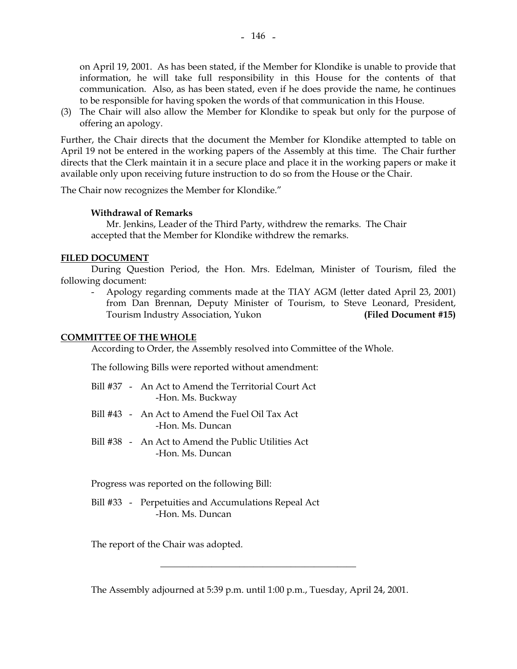on April 19, 2001. As has been stated, if the Member for Klondike is unable to provide that information, he will take full responsibility in this House for the contents of that communication. Also, as has been stated, even if he does provide the name, he continues to be responsible for having spoken the words of that communication in this House.

(3) The Chair will also allow the Member for Klondike to speak but only for the purpose of offering an apology.

Further, the Chair directs that the document the Member for Klondike attempted to table on April 19 not be entered in the working papers of the Assembly at this time. The Chair further directs that the Clerk maintain it in a secure place and place it in the working papers or make it available only upon receiving future instruction to do so from the House or the Chair.

The Chair now recognizes the Member for Klondike."

#### **Withdrawal of Remarks**

 Mr. Jenkins, Leader of the Third Party, withdrew the remarks. The Chair accepted that the Member for Klondike withdrew the remarks.

#### **FILED DOCUMENT**

 During Question Period, the Hon. Mrs. Edelman, Minister of Tourism, filed the following document:

 - Apology regarding comments made at the TIAY AGM (letter dated April 23, 2001) from Dan Brennan, Deputy Minister of Tourism, to Steve Leonard, President, Tourism Industry Association, Yukon **(Filed Document #15)** 

### **COMMITTEE OF THE WHOLE**

According to Order, the Assembly resolved into Committee of the Whole.

The following Bills were reported without amendment:

- Bill #37 An Act to Amend the Territorial Court Act -Hon. Ms. Buckway
- Bill #43 An Act to Amend the Fuel Oil Tax Act -Hon. Ms. Duncan
- Bill #38 An Act to Amend the Public Utilities Act -Hon. Ms. Duncan

Progress was reported on the following Bill:

 Bill #33 - Perpetuities and Accumulations Repeal Act -Hon. Ms. Duncan

The report of the Chair was adopted.

The Assembly adjourned at 5:39 p.m. until 1:00 p.m., Tuesday, April 24, 2001.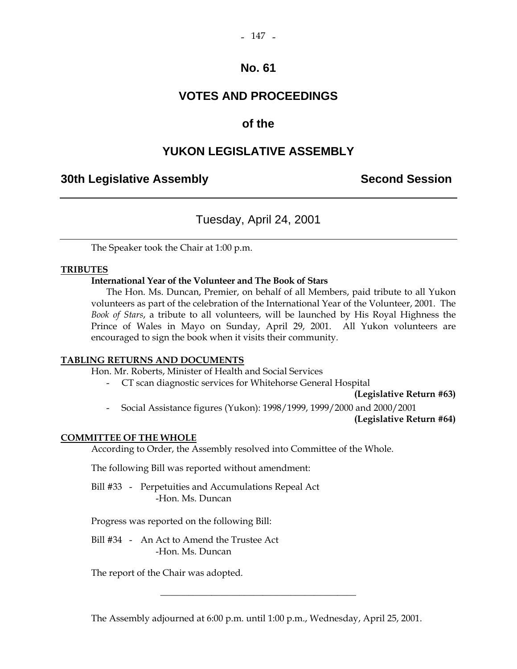# **VOTES AND PROCEEDINGS**

# **of the**

# **YUKON LEGISLATIVE ASSEMBLY**

### **30th Legislative Assembly Second Session**

# Tuesday, April 24, 2001

The Speaker took the Chair at 1:00 p.m.

### **TRIBUTES**

### **International Year of the Volunteer and The Book of Stars**

 The Hon. Ms. Duncan, Premier, on behalf of all Members, paid tribute to all Yukon volunteers as part of the celebration of the International Year of the Volunteer, 2001. The *Book of Stars*, a tribute to all volunteers, will be launched by His Royal Highness the Prince of Wales in Mayo on Sunday, April 29, 2001. All Yukon volunteers are encouraged to sign the book when it visits their community.

### **TABLING RETURNS AND DOCUMENTS**

Hon. Mr. Roberts, Minister of Health and Social Services

- CT scan diagnostic services for Whitehorse General Hospital

**(Legislative Return #63)** 

- Social Assistance figures (Yukon): 1998/1999, 1999/2000 and 2000/2001

**(Legislative Return #64)** 

### **COMMITTEE OF THE WHOLE**

According to Order, the Assembly resolved into Committee of the Whole.

The following Bill was reported without amendment:

 Bill #33 - Perpetuities and Accumulations Repeal Act -Hon. Ms. Duncan

Progress was reported on the following Bill:

 Bill #34 - An Act to Amend the Trustee Act -Hon. Ms. Duncan

The report of the Chair was adopted.

The Assembly adjourned at 6:00 p.m. until 1:00 p.m., Wednesday, April 25, 2001.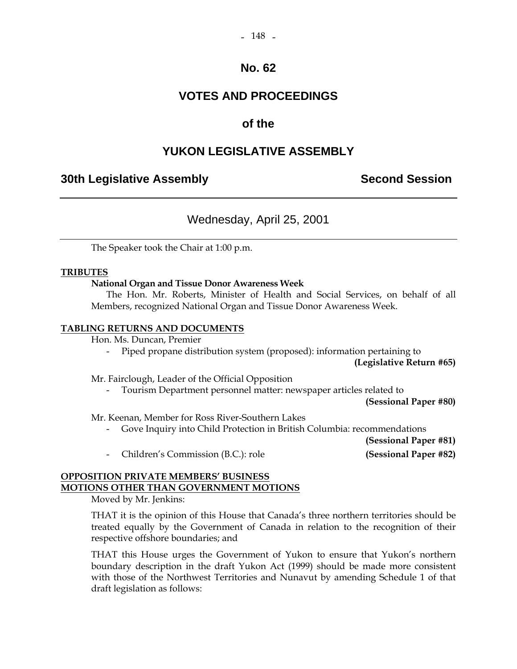# **VOTES AND PROCEEDINGS**

# **of the**

# **YUKON LEGISLATIVE ASSEMBLY**

### **30th Legislative Assembly Second Session**

# Wednesday, April 25, 2001

The Speaker took the Chair at 1:00 p.m.

### **TRIBUTES**

#### **National Organ and Tissue Donor Awareness Week**

 The Hon. Mr. Roberts, Minister of Health and Social Services, on behalf of all Members, recognized National Organ and Tissue Donor Awareness Week.

#### **TABLING RETURNS AND DOCUMENTS**

Hon. Ms. Duncan, Premier

- Piped propane distribution system (proposed): information pertaining to

**(Legislative Return #65)** 

Mr. Fairclough, Leader of the Official Opposition

Tourism Department personnel matter: newspaper articles related to

**(Sessional Paper #80)** 

Mr. Keenan, Member for Ross River-Southern Lakes

- Gove Inquiry into Child Protection in British Columbia: recommendations

**(Sessional Paper #81)** 

# - Children's Commission (B.C.): role **(Sessional Paper #82)**

### **OPPOSITION PRIVATE MEMBERS' BUSINESS MOTIONS OTHER THAN GOVERNMENT MOTIONS**

Moved by Mr. Jenkins:

 THAT it is the opinion of this House that Canada's three northern territories should be treated equally by the Government of Canada in relation to the recognition of their respective offshore boundaries; and

 THAT this House urges the Government of Yukon to ensure that Yukon's northern boundary description in the draft Yukon Act (1999) should be made more consistent with those of the Northwest Territories and Nunavut by amending Schedule 1 of that draft legislation as follows: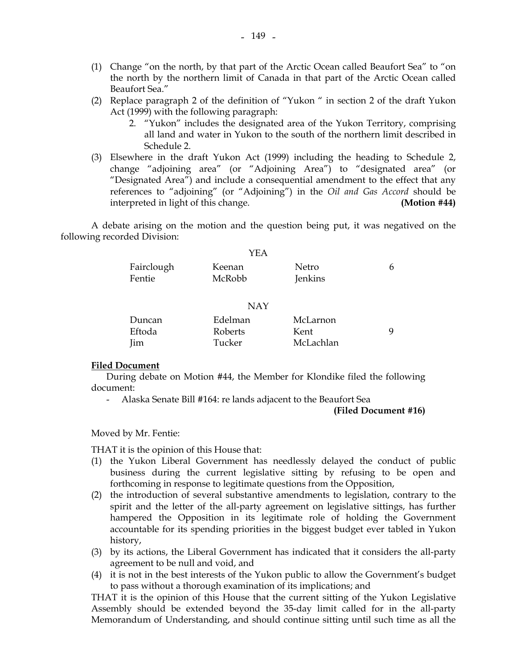- (1) Change "on the north, by that part of the Arctic Ocean called Beaufort Sea" to "on the north by the northern limit of Canada in that part of the Arctic Ocean called Beaufort Sea."
- (2) Replace paragraph 2 of the definition of "Yukon " in section 2 of the draft Yukon Act (1999) with the following paragraph:
	- 2. "Yukon" includes the designated area of the Yukon Territory, comprising all land and water in Yukon to the south of the northern limit described in Schedule 2.
- (3) Elsewhere in the draft Yukon Act (1999) including the heading to Schedule 2, change "adjoining area" (or "Adjoining Area") to "designated area" (or "Designated Area") and include a consequential amendment to the effect that any references to "adjoining" (or "Adjoining") in the *Oil and Gas Accord* should be interpreted in light of this change. **(Motion #44)**

 A debate arising on the motion and the question being put, it was negatived on the following recorded Division:

|            | YEA    |         |   |
|------------|--------|---------|---|
| Fairclough | Keenan | Netro   | 6 |
| Fentie     | McRobb | Jenkins |   |

#### NAY

| Duncan     | Edelman        | McLarnon  |  |
|------------|----------------|-----------|--|
| Eftoda     | <b>Roberts</b> | Kent      |  |
| <b>Iim</b> | Tucker         | McLachlan |  |

#### **Filed Document**

 During debate on Motion #44, the Member for Klondike filed the following document:

- Alaska Senate Bill #164: re lands adjacent to the Beaufort Sea

#### **(Filed Document #16)**

Moved by Mr. Fentie:

THAT it is the opinion of this House that:

- (1) the Yukon Liberal Government has needlessly delayed the conduct of public business during the current legislative sitting by refusing to be open and forthcoming in response to legitimate questions from the Opposition,
- (2) the introduction of several substantive amendments to legislation, contrary to the spirit and the letter of the all-party agreement on legislative sittings, has further hampered the Opposition in its legitimate role of holding the Government accountable for its spending priorities in the biggest budget ever tabled in Yukon history,
- (3) by its actions, the Liberal Government has indicated that it considers the all-party agreement to be null and void, and
- (4) it is not in the best interests of the Yukon public to allow the Government's budget to pass without a thorough examination of its implications; and

 THAT it is the opinion of this House that the current sitting of the Yukon Legislative Assembly should be extended beyond the 35-day limit called for in the all-party Memorandum of Understanding, and should continue sitting until such time as all the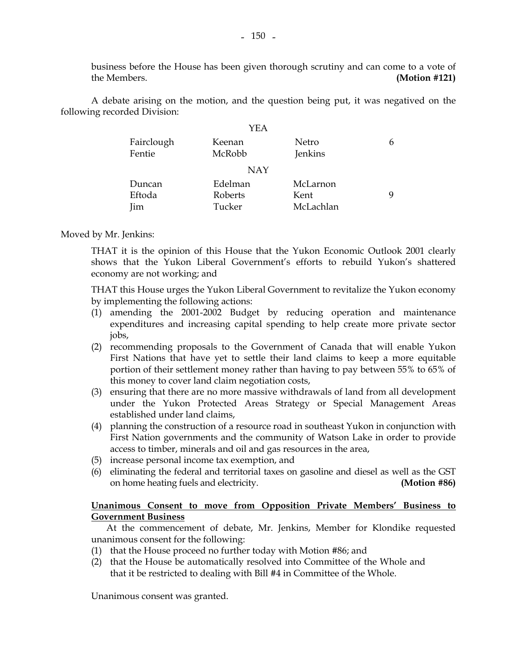business before the House has been given thorough scrutiny and can come to a vote of the Members. **(Motion #121)** 

 A debate arising on the motion, and the question being put, it was negatived on the following recorded Division:

|                      | YEA              |                  |   |
|----------------------|------------------|------------------|---|
| Fairclough<br>Fentie | Keenan<br>McRobb | Netro<br>Jenkins | 6 |
|                      | <b>NAY</b>       |                  |   |
| Duncan               | Edelman          | McLarnon         |   |
| Eftoda               | Roberts          | Kent             | q |
| Jim                  | Tucker           | McLachlan        |   |

#### Moved by Mr. Jenkins:

 THAT it is the opinion of this House that the Yukon Economic Outlook 2001 clearly shows that the Yukon Liberal Government's efforts to rebuild Yukon's shattered economy are not working; and

 THAT this House urges the Yukon Liberal Government to revitalize the Yukon economy by implementing the following actions:

- (1) amending the 2001-2002 Budget by reducing operation and maintenance expenditures and increasing capital spending to help create more private sector jobs,
- (2) recommending proposals to the Government of Canada that will enable Yukon First Nations that have yet to settle their land claims to keep a more equitable portion of their settlement money rather than having to pay between 55% to 65% of this money to cover land claim negotiation costs,
- (3) ensuring that there are no more massive withdrawals of land from all development under the Yukon Protected Areas Strategy or Special Management Areas established under land claims,
- (4) planning the construction of a resource road in southeast Yukon in conjunction with First Nation governments and the community of Watson Lake in order to provide access to timber, minerals and oil and gas resources in the area,
- (5) increase personal income tax exemption, and
- (6) eliminating the federal and territorial taxes on gasoline and diesel as well as the GST on home heating fuels and electricity. **(Motion #86)**

#### **Unanimous Consent to move from Opposition Private Members' Business to Government Business**

 At the commencement of debate, Mr. Jenkins, Member for Klondike requested unanimous consent for the following:

- (1) that the House proceed no further today with Motion #86; and
- (2) that the House be automatically resolved into Committee of the Whole and that it be restricted to dealing with Bill #4 in Committee of the Whole.

Unanimous consent was granted.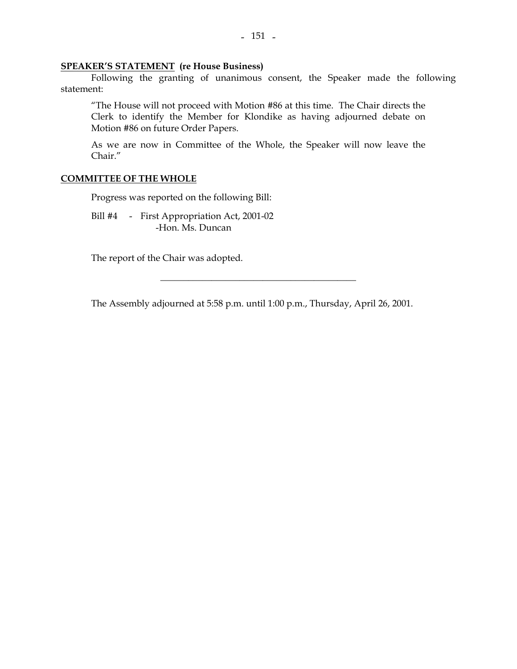#### **SPEAKER'S STATEMENT (re House Business)**

 Following the granting of unanimous consent, the Speaker made the following statement:

"The House will not proceed with Motion #86 at this time. The Chair directs the Clerk to identify the Member for Klondike as having adjourned debate on Motion #86 on future Order Papers.

As we are now in Committee of the Whole, the Speaker will now leave the Chair."

#### **COMMITTEE OF THE WHOLE**

Progress was reported on the following Bill:

 Bill #4 - First Appropriation Act, 2001-02 -Hon. Ms. Duncan

The report of the Chair was adopted.

The Assembly adjourned at 5:58 p.m. until 1:00 p.m., Thursday, April 26, 2001.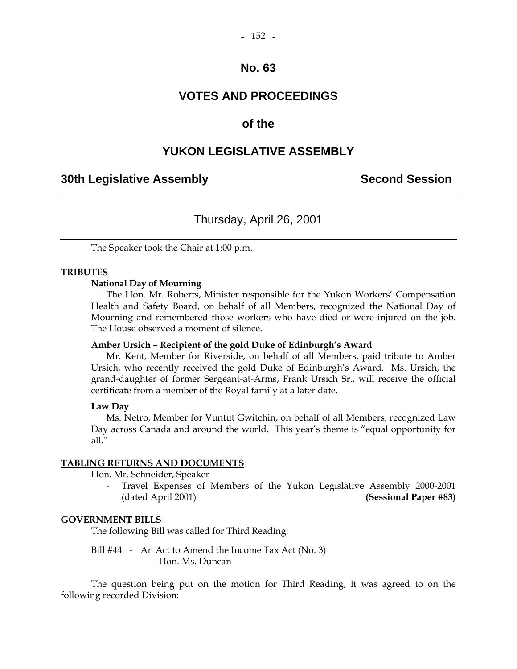### **VOTES AND PROCEEDINGS**

### **of the**

### **YUKON LEGISLATIVE ASSEMBLY**

### **30th Legislative Assembly Second Session**

# Thursday, April 26, 2001

The Speaker took the Chair at 1:00 p.m.

#### **TRIBUTES**

#### **National Day of Mourning**

 The Hon. Mr. Roberts, Minister responsible for the Yukon Workers' Compensation Health and Safety Board, on behalf of all Members, recognized the National Day of Mourning and remembered those workers who have died or were injured on the job. The House observed a moment of silence.

#### **Amber Ursich – Recipient of the gold Duke of Edinburgh's Award**

 Mr. Kent, Member for Riverside, on behalf of all Members, paid tribute to Amber Ursich, who recently received the gold Duke of Edinburgh's Award. Ms. Ursich, the grand-daughter of former Sergeant-at-Arms, Frank Ursich Sr., will receive the official certificate from a member of the Royal family at a later date.

#### **Law Day**

 Ms. Netro, Member for Vuntut Gwitchin, on behalf of all Members, recognized Law Day across Canada and around the world. This year's theme is "equal opportunity for all."

#### **TABLING RETURNS AND DOCUMENTS**

Hon. Mr. Schneider, Speaker

 - Travel Expenses of Members of the Yukon Legislative Assembly 2000-2001 (dated April 2001) **(Sessional Paper #83)**

#### **GOVERNMENT BILLS**

The following Bill was called for Third Reading:

Bill #44 - An Act to Amend the Income Tax Act (No. 3) -Hon. Ms. Duncan

 The question being put on the motion for Third Reading, it was agreed to on the following recorded Division: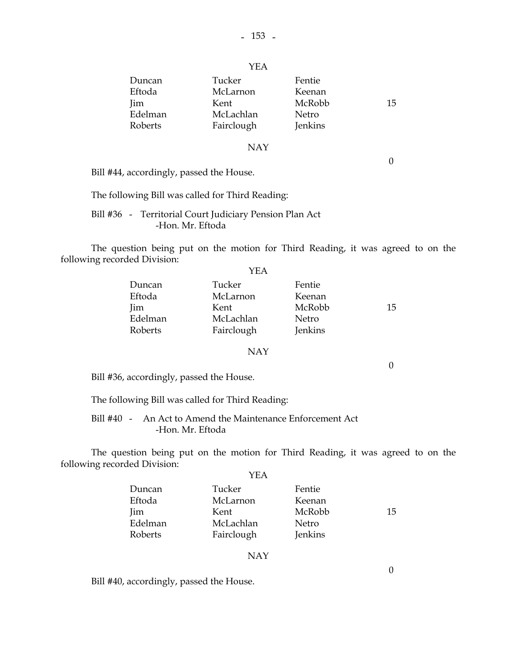| Duncan     | Tucker     | Fentie  |    |
|------------|------------|---------|----|
| Eftoda     | McLarnon   | Keenan  |    |
| <b>Jim</b> | Kent       | McRobb  | 15 |
| Edelman    | McLachlan  | Netro   |    |
| Roberts    | Fairclough | Jenkins |    |

#### NAY

 $\theta$ 

0

Bill #44, accordingly, passed the House.

The following Bill was called for Third Reading:

 Bill #36 - Territorial Court Judiciary Pension Plan Act -Hon. Mr. Eftoda

 The question being put on the motion for Third Reading, it was agreed to on the following recorded Division:

|         | YEA        |         |    |
|---------|------------|---------|----|
| Duncan  | Tucker     | Fentie  |    |
| Eftoda  | McLarnon   | Keenan  |    |
| Jim     | Kent       | McRobb  | 15 |
| Edelman | McLachlan  | Netro   |    |
| Roberts | Fairclough | Jenkins |    |

#### NAY

Bill #36, accordingly, passed the House.

The following Bill was called for Third Reading:

 Bill #40 - An Act to Amend the Maintenance Enforcement Act -Hon. Mr. Eftoda

 The question being put on the motion for Third Reading, it was agreed to on the following recorded Division:  $V\mathbf{E}$  A

| I EA       |         |    |
|------------|---------|----|
| Tucker     | Fentie  |    |
| McLarnon   | Keenan  |    |
| Kent       | McRobb  | 15 |
| McLachlan  | Netro   |    |
| Fairclough | Jenkins |    |
|            |         |    |

#### NAY

Bill #40, accordingly, passed the House.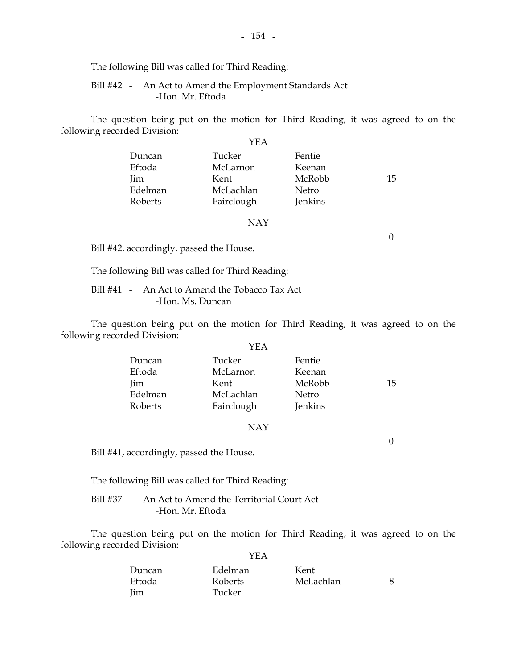The following Bill was called for Third Reading:

#### Bill #42 - An Act to Amend the Employment Standards Act -Hon. Mr. Eftoda

 The question being put on the motion for Third Reading, it was agreed to on the following recorded Division:  $\sqrt{E}$ 

|            | YEA        |         |    |
|------------|------------|---------|----|
| Duncan     | Tucker     | Fentie  |    |
| Eftoda     | McLarnon   | Keenan  |    |
| <b>Jim</b> | Kent       | McRobb  | 15 |
| Edelman    | McLachlan  | Netro   |    |
| Roberts    | Fairclough | Jenkins |    |

#### NAY

Bill #42, accordingly, passed the House.

The following Bill was called for Third Reading:

 Bill #41 - An Act to Amend the Tobacco Tax Act -Hon. Ms. Duncan

 The question being put on the motion for Third Reading, it was agreed to on the following recorded Division:

#### YEA

| Duncan<br>Eftoda | Tucker<br>McLarnon | Fentie<br>Keenan |    |
|------------------|--------------------|------------------|----|
| Jim              | Kent               | McRobb           | 15 |
| Edelman          | McLachlan          | Netro            |    |
| Roberts          | Fairclough         | <b>Jenkins</b>   |    |

#### NAY

Bill #41, accordingly, passed the House.

The following Bill was called for Third Reading:

 Bill #37 - An Act to Amend the Territorial Court Act -Hon. Mr. Eftoda

 The question being put on the motion for Third Reading, it was agreed to on the following recorded Division: YEA

| Duncan | Edelman | Kent      |  |
|--------|---------|-----------|--|
| Eftoda | Roberts | McLachlan |  |
| Jim    | Tucker  |           |  |

0

0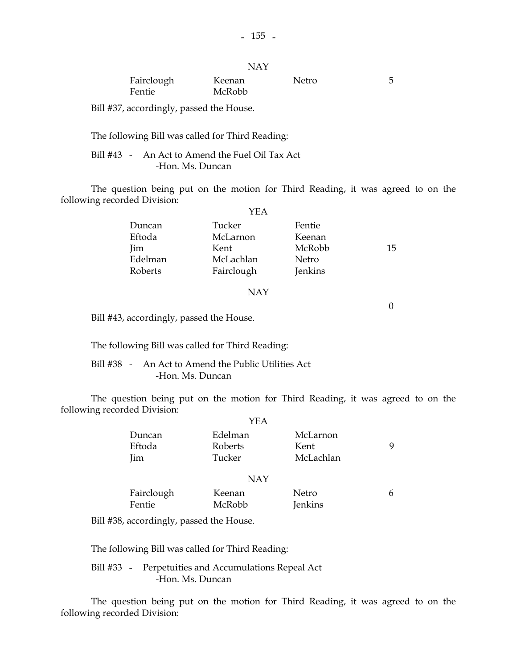|                      | NAY              |       |   |
|----------------------|------------------|-------|---|
| Fairclough<br>Fentie | Keenan<br>McRobb | Netro | 5 |

Bill #37, accordingly, passed the House.

The following Bill was called for Third Reading:

 Bill #43 - An Act to Amend the Fuel Oil Tax Act -Hon. Ms. Duncan

 The question being put on the motion for Third Reading, it was agreed to on the following recorded Division:  $\cdot$ 

| YEA        |         |    |
|------------|---------|----|
| Tucker     | Fentie  |    |
| McLarnon   | Keenan  |    |
| Kent       | McRobb  | 15 |
| McLachlan  | Netro   |    |
| Fairclough | Jenkins |    |
|            |         |    |

#### NAY

 $\theta$ 

Bill #43, accordingly, passed the House.

The following Bill was called for Third Reading:

 Bill #38 - An Act to Amend the Public Utilities Act -Hon. Ms. Duncan

 The question being put on the motion for Third Reading, it was agreed to on the following recorded Division:  $\sim$ 

|            | YEA                            |                              |                               |   |  |  |
|------------|--------------------------------|------------------------------|-------------------------------|---|--|--|
|            | Duncan<br>Eftoda<br><b>Jim</b> | Edelman<br>Roberts<br>Tucker | McLarnon<br>Kent<br>McLachlan | 9 |  |  |
| <b>NAY</b> |                                |                              |                               |   |  |  |
|            | Fairclough<br>Fentie           | Keenan<br>McRobb             | Netro<br>Jenkins              | 6 |  |  |

Bill #38, accordingly, passed the House.

The following Bill was called for Third Reading:

 Bill #33 - Perpetuities and Accumulations Repeal Act -Hon. Ms. Duncan

 The question being put on the motion for Third Reading, it was agreed to on the following recorded Division: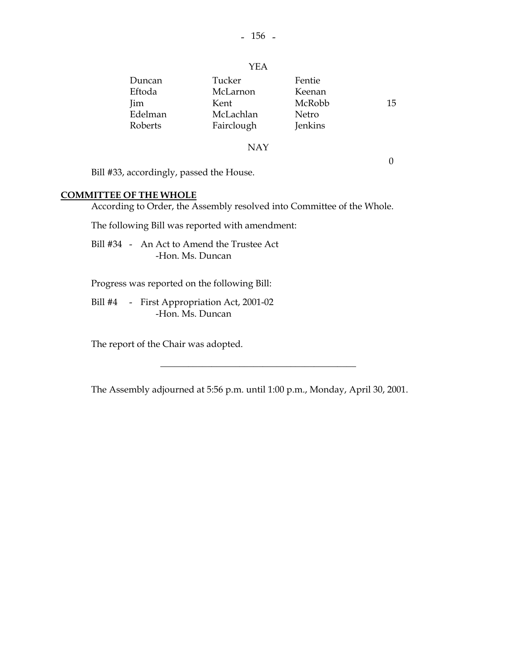YEA

#### NAY

0

Bill #33, accordingly, passed the House.

### **COMMITTEE OF THE WHOLE**

According to Order, the Assembly resolved into Committee of the Whole.

The following Bill was reported with amendment:

 Bill #34 - An Act to Amend the Trustee Act -Hon. Ms. Duncan

Progress was reported on the following Bill:

 Bill #4 - First Appropriation Act, 2001-02 -Hon. Ms. Duncan

The report of the Chair was adopted.

The Assembly adjourned at 5:56 p.m. until 1:00 p.m., Monday, April 30, 2001.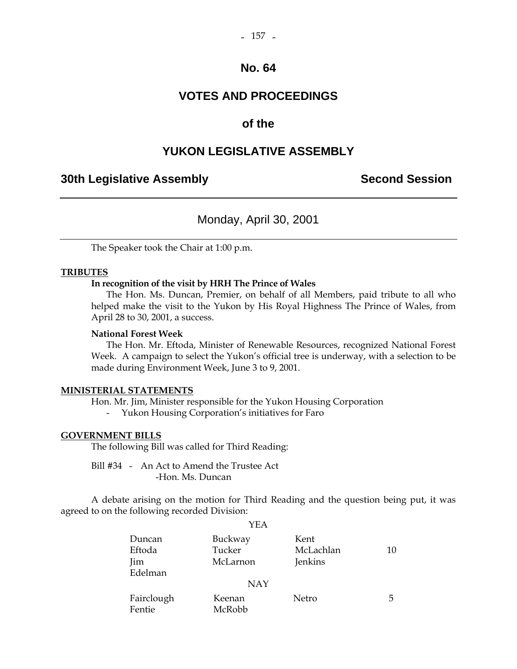### **VOTES AND PROCEEDINGS**

### **of the**

### **YUKON LEGISLATIVE ASSEMBLY**

### **30th Legislative Assembly Second Session**

### Monday, April 30, 2001

The Speaker took the Chair at 1:00 p.m.

#### **TRIBUTES**

#### **In recognition of the visit by HRH The Prince of Wales**

 The Hon. Ms. Duncan, Premier, on behalf of all Members, paid tribute to all who helped make the visit to the Yukon by His Royal Highness The Prince of Wales, from April 28 to 30, 2001, a success.

#### **National Forest Week**

 The Hon. Mr. Eftoda, Minister of Renewable Resources, recognized National Forest Week. A campaign to select the Yukon's official tree is underway, with a selection to be made during Environment Week, June 3 to 9, 2001.

#### **MINISTERIAL STATEMENTS**

Hon. Mr. Jim, Minister responsible for the Yukon Housing Corporation

- Yukon Housing Corporation's initiatives for Faro

#### **GOVERNMENT BILLS**

The following Bill was called for Third Reading:

 Bill #34 - An Act to Amend the Trustee Act -Hon. Ms. Duncan

 A debate arising on the motion for Third Reading and the question being put, it was agreed to on the following recorded Division:  $VEA$ 

| $\Gamma$   |          |           |    |  |  |  |
|------------|----------|-----------|----|--|--|--|
| Duncan     | Buckway  | Kent      |    |  |  |  |
| Eftoda     | Tucker   | McLachlan | 10 |  |  |  |
| Jim        | McLarnon | Jenkins   |    |  |  |  |
| Edelman    |          |           |    |  |  |  |
| <b>NAY</b> |          |           |    |  |  |  |
| Fairclough | Keenan   | Netro     | 5  |  |  |  |
| Fentie     | McRobb   |           |    |  |  |  |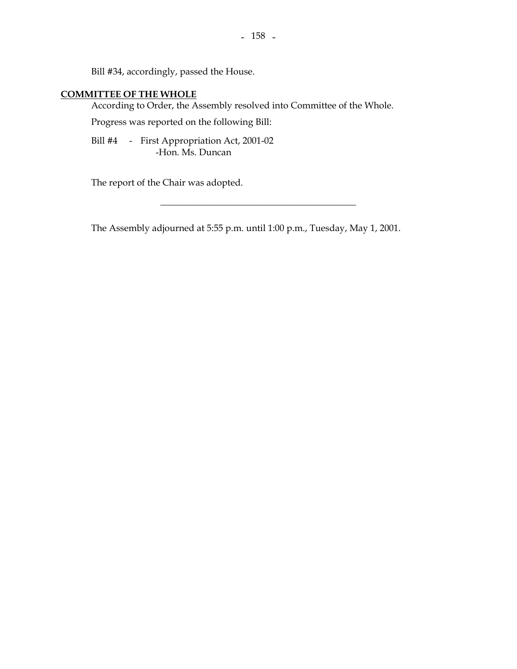Bill #34, accordingly, passed the House.

#### **COMMITTEE OF THE WHOLE**

According to Order, the Assembly resolved into Committee of the Whole.

Progress was reported on the following Bill:

 Bill #4 - First Appropriation Act, 2001-02 -Hon. Ms. Duncan

The report of the Chair was adopted.

The Assembly adjourned at 5:55 p.m. until 1:00 p.m., Tuesday, May 1, 2001.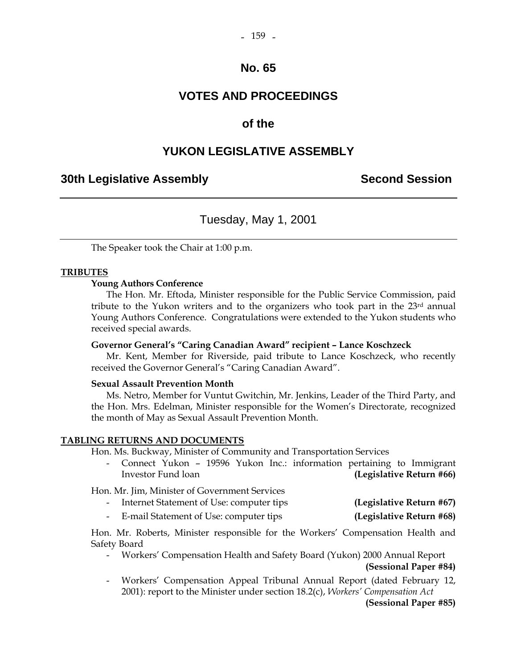# **VOTES AND PROCEEDINGS**

### **of the**

### **YUKON LEGISLATIVE ASSEMBLY**

### **30th Legislative Assembly Second Session**

### Tuesday, May 1, 2001

The Speaker took the Chair at 1:00 p.m.

#### **TRIBUTES**

#### **Young Authors Conference**

 The Hon. Mr. Eftoda, Minister responsible for the Public Service Commission, paid tribute to the Yukon writers and to the organizers who took part in the 23rd annual Young Authors Conference. Congratulations were extended to the Yukon students who received special awards.

#### **Governor General's "Caring Canadian Award" recipient – Lance Koschzeck**

 Mr. Kent, Member for Riverside, paid tribute to Lance Koschzeck, who recently received the Governor General's "Caring Canadian Award".

#### **Sexual Assault Prevention Month**

 Ms. Netro, Member for Vuntut Gwitchin, Mr. Jenkins, Leader of the Third Party, and the Hon. Mrs. Edelman, Minister responsible for the Women's Directorate, recognized the month of May as Sexual Assault Prevention Month.

#### **TABLING RETURNS AND DOCUMENTS**

Hon. Ms. Buckway, Minister of Community and Transportation Services

 - Connect Yukon – 19596 Yukon Inc.: information pertaining to Immigrant Investor Fund loan **(Legislative Return #66)** 

Hon. Mr. Jim, Minister of Government Services

|  | Internet Statement of Use: computer tips | (Legislative Return #67) |
|--|------------------------------------------|--------------------------|
|--|------------------------------------------|--------------------------|

- E-mail Statement of Use: computer tips **(Legislative Return #68)** 

 Hon. Mr. Roberts, Minister responsible for the Workers' Compensation Health and Safety Board

- Workers' Compensation Health and Safety Board (Yukon) 2000 Annual Report **(Sessional Paper #84)**
- Workers' Compensation Appeal Tribunal Annual Report (dated February 12, 2001): report to the Minister under section 18.2(c), *Workers' Compensation Act*

**(Sessional Paper #85)**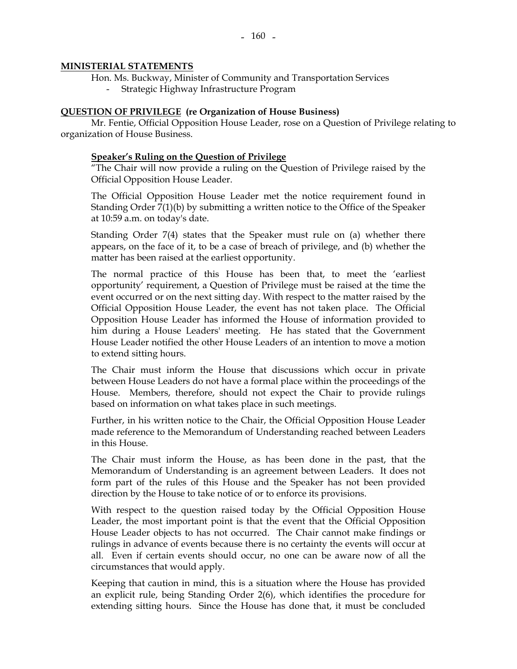#### **MINISTERIAL STATEMENTS**

- Hon. Ms. Buckway, Minister of Community and Transportation Services
	- Strategic Highway Infrastructure Program

## **QUESTION OF PRIVILEGE (re Organization of House Business)**

 Mr. Fentie, Official Opposition House Leader, rose on a Question of Privilege relating to organization of House Business.

#### **Speaker's Ruling on the Question of Privilege**

 "The Chair will now provide a ruling on the Question of Privilege raised by the Official Opposition House Leader.

 The Official Opposition House Leader met the notice requirement found in Standing Order 7(1)(b) by submitting a written notice to the Office of the Speaker at 10:59 a.m. on today's date.

 Standing Order 7(4) states that the Speaker must rule on (a) whether there appears, on the face of it, to be a case of breach of privilege, and (b) whether the matter has been raised at the earliest opportunity.

 The normal practice of this House has been that, to meet the 'earliest opportunity' requirement, a Question of Privilege must be raised at the time the event occurred or on the next sitting day. With respect to the matter raised by the Official Opposition House Leader, the event has not taken place. The Official Opposition House Leader has informed the House of information provided to him during a House Leaders' meeting. He has stated that the Government House Leader notified the other House Leaders of an intention to move a motion to extend sitting hours.

 The Chair must inform the House that discussions which occur in private between House Leaders do not have a formal place within the proceedings of the House. Members, therefore, should not expect the Chair to provide rulings based on information on what takes place in such meetings.

 Further, in his written notice to the Chair, the Official Opposition House Leader made reference to the Memorandum of Understanding reached between Leaders in this House.

 The Chair must inform the House, as has been done in the past, that the Memorandum of Understanding is an agreement between Leaders. It does not form part of the rules of this House and the Speaker has not been provided direction by the House to take notice of or to enforce its provisions.

 With respect to the question raised today by the Official Opposition House Leader, the most important point is that the event that the Official Opposition House Leader objects to has not occurred. The Chair cannot make findings or rulings in advance of events because there is no certainty the events will occur at all. Even if certain events should occur, no one can be aware now of all the circumstances that would apply.

 Keeping that caution in mind, this is a situation where the House has provided an explicit rule, being Standing Order 2(6), which identifies the procedure for extending sitting hours. Since the House has done that, it must be concluded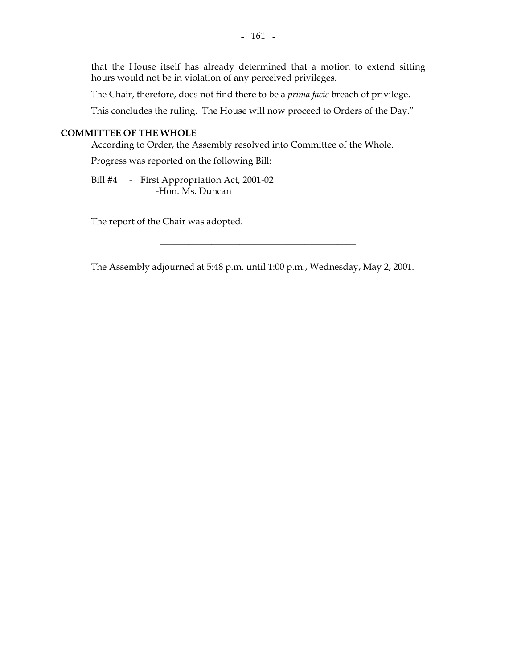that the House itself has already determined that a motion to extend sitting hours would not be in violation of any perceived privileges.

The Chair, therefore, does not find there to be a *prima facie* breach of privilege.

This concludes the ruling. The House will now proceed to Orders of the Day."

## **COMMITTEE OF THE WHOLE**

According to Order, the Assembly resolved into Committee of the Whole.

Progress was reported on the following Bill:

 Bill #4 - First Appropriation Act, 2001-02 -Hon. Ms. Duncan

The report of the Chair was adopted.

The Assembly adjourned at 5:48 p.m. until 1:00 p.m., Wednesday, May 2, 2001.

\_\_\_\_\_\_\_\_\_\_\_\_\_\_\_\_\_\_\_\_\_\_\_\_\_\_\_\_\_\_\_\_\_\_\_\_\_\_\_\_\_\_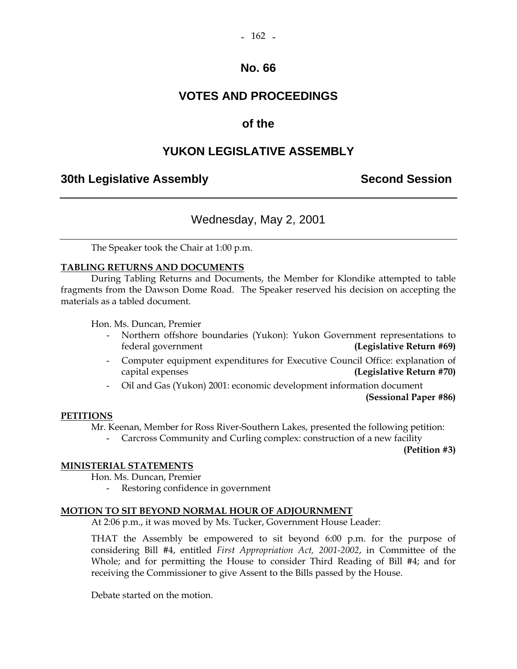# **No. 66**

# **VOTES AND PROCEEDINGS**

# **of the**

# **YUKON LEGISLATIVE ASSEMBLY**

# **30th Legislative Assembly Second Session**

# Wednesday, May 2, 2001

The Speaker took the Chair at 1:00 p.m.

## **TABLING RETURNS AND DOCUMENTS**

 During Tabling Returns and Documents, the Member for Klondike attempted to table fragments from the Dawson Dome Road. The Speaker reserved his decision on accepting the materials as a tabled document.

Hon. Ms. Duncan, Premier

- Northern offshore boundaries (Yukon): Yukon Government representations to federal government **(Legislative Return #69)**
- Computer equipment expenditures for Executive Council Office: explanation of capital expenses **(Legislative Return #70)**
- Oil and Gas (Yukon) 2001: economic development information document

**(Sessional Paper #86)** 

## **PETITIONS**

Mr. Keenan, Member for Ross River-Southern Lakes, presented the following petition:

- Carcross Community and Curling complex: construction of a new facility

**(Petition #3)** 

#### **MINISTERIAL STATEMENTS**

Hon. Ms. Duncan, Premier

Restoring confidence in government

## **MOTION TO SIT BEYOND NORMAL HOUR OF ADJOURNMENT**

At 2:06 p.m., it was moved by Ms. Tucker, Government House Leader:

 THAT the Assembly be empowered to sit beyond 6:00 p.m. for the purpose of considering Bill #4, entitled *First Appropriation Act, 2001-2002*, in Committee of the Whole; and for permitting the House to consider Third Reading of Bill #4; and for receiving the Commissioner to give Assent to the Bills passed by the House.

Debate started on the motion.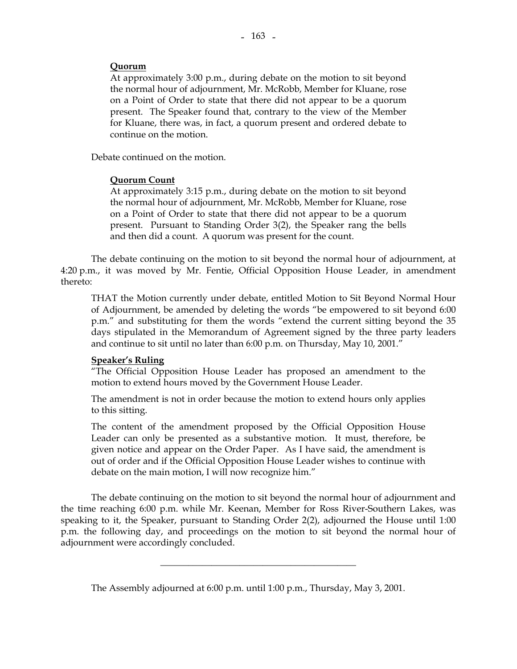## **Quorum**

 At approximately 3:00 p.m., during debate on the motion to sit beyond the normal hour of adjournment, Mr. McRobb, Member for Kluane, rose on a Point of Order to state that there did not appear to be a quorum present. The Speaker found that, contrary to the view of the Member for Kluane, there was, in fact, a quorum present and ordered debate to continue on the motion.

Debate continued on the motion.

## **Quorum Count**

 At approximately 3:15 p.m., during debate on the motion to sit beyond the normal hour of adjournment, Mr. McRobb, Member for Kluane, rose on a Point of Order to state that there did not appear to be a quorum present. Pursuant to Standing Order 3(2), the Speaker rang the bells and then did a count. A quorum was present for the count.

 The debate continuing on the motion to sit beyond the normal hour of adjournment, at 4:20 p.m., it was moved by Mr. Fentie, Official Opposition House Leader, in amendment thereto:

 THAT the Motion currently under debate, entitled Motion to Sit Beyond Normal Hour of Adjournment, be amended by deleting the words "be empowered to sit beyond 6:00 p.m." and substituting for them the words "extend the current sitting beyond the 35 days stipulated in the Memorandum of Agreement signed by the three party leaders and continue to sit until no later than 6:00 p.m. on Thursday, May 10, 2001."

#### **Speaker's Ruling**

"The Official Opposition House Leader has proposed an amendment to the motion to extend hours moved by the Government House Leader.

The amendment is not in order because the motion to extend hours only applies to this sitting.

The content of the amendment proposed by the Official Opposition House Leader can only be presented as a substantive motion. It must, therefore, be given notice and appear on the Order Paper. As I have said, the amendment is out of order and if the Official Opposition House Leader wishes to continue with debate on the main motion, I will now recognize him."

 The debate continuing on the motion to sit beyond the normal hour of adjournment and the time reaching 6:00 p.m. while Mr. Keenan, Member for Ross River-Southern Lakes, was speaking to it, the Speaker, pursuant to Standing Order 2(2), adjourned the House until 1:00 p.m. the following day, and proceedings on the motion to sit beyond the normal hour of adjournment were accordingly concluded.

\_\_\_\_\_\_\_\_\_\_\_\_\_\_\_\_\_\_\_\_\_\_\_\_\_\_\_\_\_\_\_\_\_\_\_\_\_\_\_\_\_\_

The Assembly adjourned at 6:00 p.m. until 1:00 p.m., Thursday, May 3, 2001.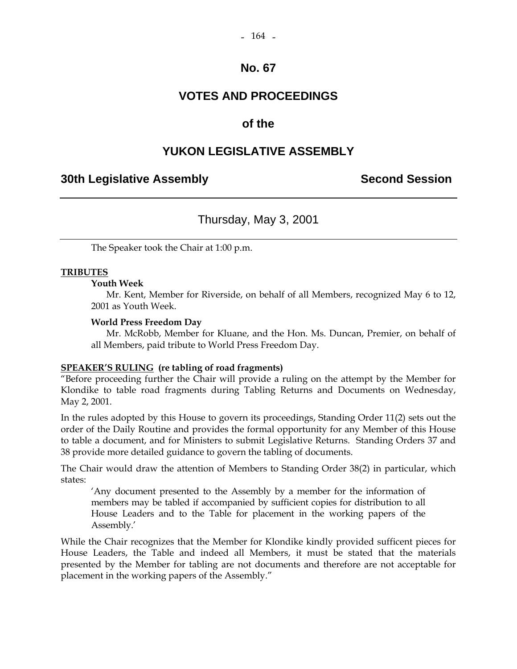# **No. 67**

# **VOTES AND PROCEEDINGS**

# **of the**

# **YUKON LEGISLATIVE ASSEMBLY**

# **30th Legislative Assembly Second Session**

# Thursday, May 3, 2001

The Speaker took the Chair at 1:00 p.m.

## **TRIBUTES**

## **Youth Week**

 Mr. Kent, Member for Riverside, on behalf of all Members, recognized May 6 to 12, 2001 as Youth Week.

## **World Press Freedom Day**

 Mr. McRobb, Member for Kluane, and the Hon. Ms. Duncan, Premier, on behalf of all Members, paid tribute to World Press Freedom Day.

## **SPEAKER'S RULING (re tabling of road fragments)**

"Before proceeding further the Chair will provide a ruling on the attempt by the Member for Klondike to table road fragments during Tabling Returns and Documents on Wednesday, May 2, 2001.

In the rules adopted by this House to govern its proceedings, Standing Order 11(2) sets out the order of the Daily Routine and provides the formal opportunity for any Member of this House to table a document, and for Ministers to submit Legislative Returns. Standing Orders 37 and 38 provide more detailed guidance to govern the tabling of documents.

The Chair would draw the attention of Members to Standing Order 38(2) in particular, which states:

 'Any document presented to the Assembly by a member for the information of members may be tabled if accompanied by sufficient copies for distribution to all House Leaders and to the Table for placement in the working papers of the Assembly.'

While the Chair recognizes that the Member for Klondike kindly provided sufficent pieces for House Leaders, the Table and indeed all Members, it must be stated that the materials presented by the Member for tabling are not documents and therefore are not acceptable for placement in the working papers of the Assembly."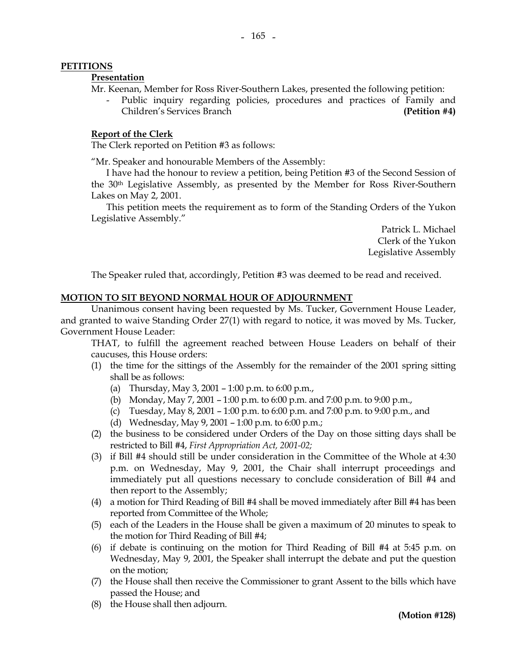## **PETITIONS**

#### **Presentation**

Mr. Keenan, Member for Ross River-Southern Lakes, presented the following petition:

Public inquiry regarding policies, procedures and practices of Family and Children's Services Branch **(Petition #4)** 

#### **Report of the Clerk**

The Clerk reported on Petition #3 as follows:

"Mr. Speaker and honourable Members of the Assembly:

 I have had the honour to review a petition, being Petition #3 of the Second Session of the 30th Legislative Assembly, as presented by the Member for Ross River-Southern Lakes on May 2, 2001.

 This petition meets the requirement as to form of the Standing Orders of the Yukon Legislative Assembly."

> Patrick L. Michael Clerk of the Yukon Legislative Assembly

The Speaker ruled that, accordingly, Petition #3 was deemed to be read and received.

## **MOTION TO SIT BEYOND NORMAL HOUR OF ADJOURNMENT**

 Unanimous consent having been requested by Ms. Tucker, Government House Leader, and granted to waive Standing Order 27(1) with regard to notice, it was moved by Ms. Tucker, Government House Leader:

 THAT, to fulfill the agreement reached between House Leaders on behalf of their caucuses, this House orders:

- (1) the time for the sittings of the Assembly for the remainder of the 2001 spring sitting shall be as follows:
	- (a) Thursday, May 3, 2001 1:00 p.m. to 6:00 p.m.,
	- (b) Monday, May 7, 2001 1:00 p.m. to 6:00 p.m. and 7:00 p.m. to 9:00 p.m.,
	- (c) Tuesday, May 8, 2001 1:00 p.m. to 6:00 p.m. and 7:00 p.m. to 9:00 p.m., and
	- (d) Wednesday, May 9, 2001 1:00 p.m. to 6:00 p.m.;
- (2) the business to be considered under Orders of the Day on those sitting days shall be restricted to Bill #4, *First Appropriation Act, 2001-02;*
- (3) if Bill #4 should still be under consideration in the Committee of the Whole at 4:30 p.m. on Wednesday, May 9, 2001, the Chair shall interrupt proceedings and immediately put all questions necessary to conclude consideration of Bill #4 and then report to the Assembly;
- (4) a motion for Third Reading of Bill #4 shall be moved immediately after Bill #4 has been reported from Committee of the Whole;
- (5) each of the Leaders in the House shall be given a maximum of 20 minutes to speak to the motion for Third Reading of Bill #4;
- (6) if debate is continuing on the motion for Third Reading of Bill #4 at 5:45 p.m. on Wednesday, May 9, 2001, the Speaker shall interrupt the debate and put the question on the motion;
- (7) the House shall then receive the Commissioner to grant Assent to the bills which have passed the House; and
- (8) the House shall then adjourn.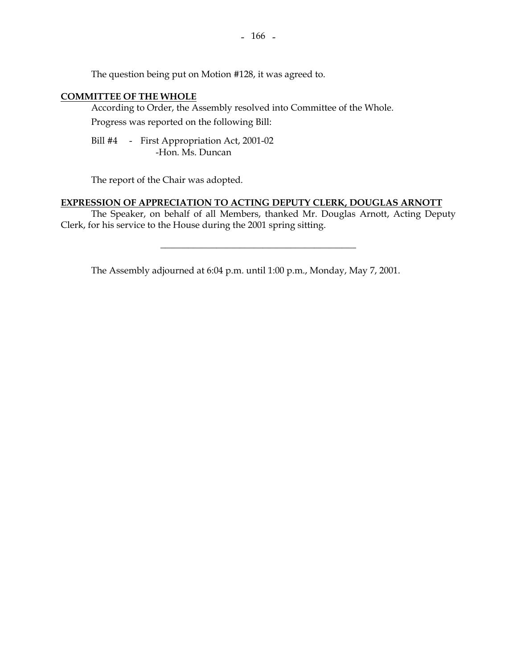The question being put on Motion #128, it was agreed to.

## **COMMITTEE OF THE WHOLE**

 According to Order, the Assembly resolved into Committee of the Whole. Progress was reported on the following Bill:

 Bill #4 - First Appropriation Act, 2001-02 -Hon. Ms. Duncan

The report of the Chair was adopted.

## **EXPRESSION OF APPRECIATION TO ACTING DEPUTY CLERK, DOUGLAS ARNOTT**

 The Speaker, on behalf of all Members, thanked Mr. Douglas Arnott, Acting Deputy Clerk, for his service to the House during the 2001 spring sitting.

 $\overline{\phantom{a}}$  , and the set of the set of the set of the set of the set of the set of the set of the set of the set of the set of the set of the set of the set of the set of the set of the set of the set of the set of the s

The Assembly adjourned at 6:04 p.m. until 1:00 p.m., Monday, May 7, 2001.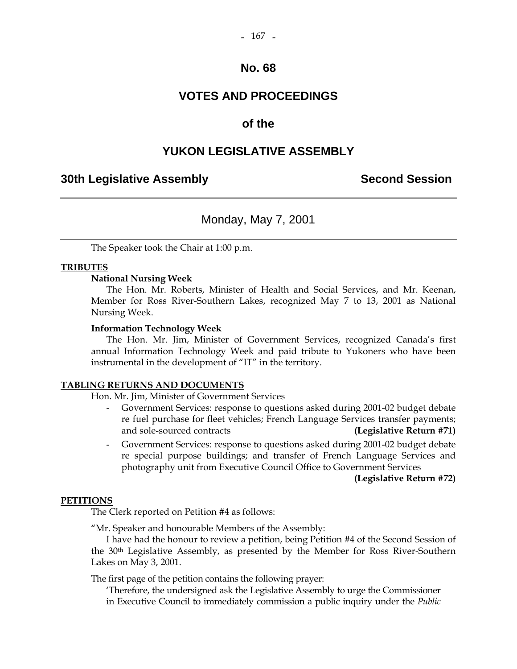## **No. 68**

# **VOTES AND PROCEEDINGS**

# **of the**

# **YUKON LEGISLATIVE ASSEMBLY**

## **30th Legislative Assembly Second Session**

# Monday, May 7, 2001

The Speaker took the Chair at 1:00 p.m.

## **TRIBUTES**

#### **National Nursing Week**

 The Hon. Mr. Roberts, Minister of Health and Social Services, and Mr. Keenan, Member for Ross River-Southern Lakes, recognized May 7 to 13, 2001 as National Nursing Week.

#### **Information Technology Week**

 The Hon. Mr. Jim, Minister of Government Services, recognized Canada's first annual Information Technology Week and paid tribute to Yukoners who have been instrumental in the development of "IT" in the territory.

#### **TABLING RETURNS AND DOCUMENTS**

Hon. Mr. Jim, Minister of Government Services

- Government Services: response to questions asked during 2001-02 budget debate re fuel purchase for fleet vehicles; French Language Services transfer payments; and sole-sourced contracts **(Legislative Return #71)**
- Government Services: response to questions asked during 2001-02 budget debate re special purpose buildings; and transfer of French Language Services and photography unit from Executive Council Office to Government Services

**(Legislative Return #72)**

#### **PETITIONS**

The Clerk reported on Petition #4 as follows:

"Mr. Speaker and honourable Members of the Assembly:

 I have had the honour to review a petition, being Petition #4 of the Second Session of the 30th Legislative Assembly, as presented by the Member for Ross River-Southern Lakes on May 3, 2001.

The first page of the petition contains the following prayer:

 'Therefore, the undersigned ask the Legislative Assembly to urge the Commissioner in Executive Council to immediately commission a public inquiry under the *Public*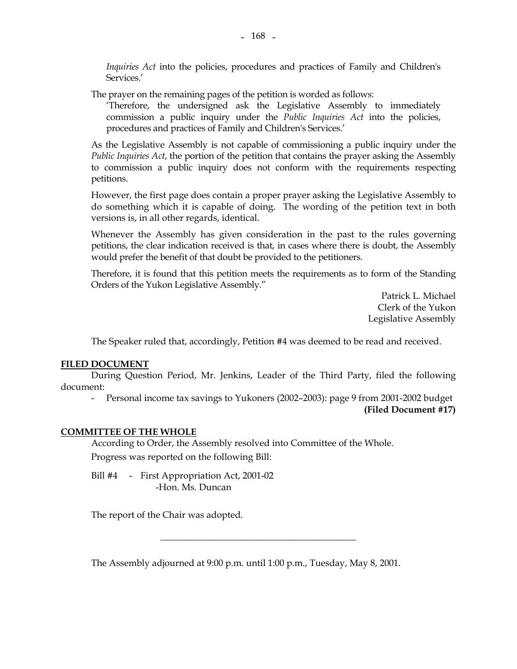*Inquiries Act* into the policies, procedures and practices of Family and Children's Services.'

The prayer on the remaining pages of the petition is worded as follows:

 'Therefore, the undersigned ask the Legislative Assembly to immediately commission a public inquiry under the *Public Inquiries Act* into the policies, procedures and practices of Family and Children's Services.'

 As the Legislative Assembly is not capable of commissioning a public inquiry under the *Public Inquiries Act*, the portion of the petition that contains the prayer asking the Assembly to commission a public inquiry does not conform with the requirements respecting petitions.

 However, the first page does contain a proper prayer asking the Legislative Assembly to do something which it is capable of doing. The wording of the petition text in both versions is, in all other regards, identical.

 Whenever the Assembly has given consideration in the past to the rules governing petitions, the clear indication received is that, in cases where there is doubt, the Assembly would prefer the benefit of that doubt be provided to the petitioners.

 Therefore, it is found that this petition meets the requirements as to form of the Standing Orders of the Yukon Legislative Assembly."

> Patrick L. Michael Clerk of the Yukon Legislative Assembly

The Speaker ruled that, accordingly, Petition #4 was deemed to be read and received.

#### **FILED DOCUMENT**

 During Question Period, Mr. Jenkins, Leader of the Third Party, filed the following document:

 - Personal income tax savings to Yukoners (2002–2003): page 9 from 2001-2002 budget **(Filed Document #17)** 

## **COMMITTEE OF THE WHOLE**

 According to Order, the Assembly resolved into Committee of the Whole. Progress was reported on the following Bill:

Bill #4 - First Appropriation Act, 2001-02 -Hon. Ms. Duncan

The report of the Chair was adopted.

The Assembly adjourned at 9:00 p.m. until 1:00 p.m., Tuesday, May 8, 2001.

\_\_\_\_\_\_\_\_\_\_\_\_\_\_\_\_\_\_\_\_\_\_\_\_\_\_\_\_\_\_\_\_\_\_\_\_\_\_\_\_\_\_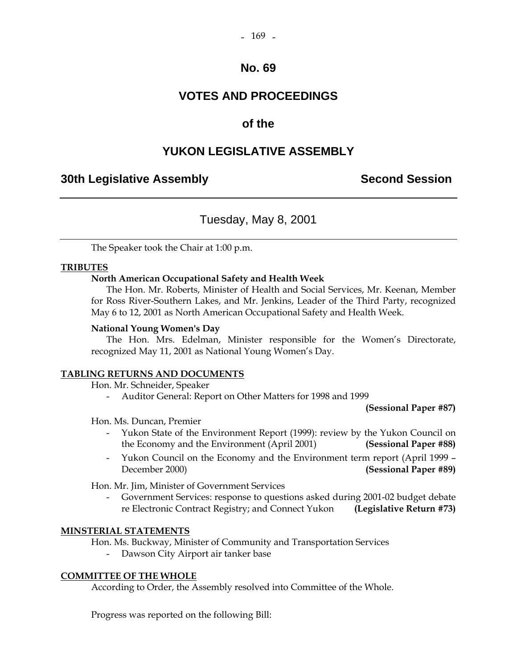#### $-169$   $-$

## **No. 69**

# **VOTES AND PROCEEDINGS**

# **of the**

# **YUKON LEGISLATIVE ASSEMBLY**

# **30th Legislative Assembly Second Session**

# Tuesday, May 8, 2001

The Speaker took the Chair at 1:00 p.m.

## **TRIBUTES**

## **North American Occupational Safety and Health Week**

 The Hon. Mr. Roberts, Minister of Health and Social Services, Mr. Keenan, Member for Ross River-Southern Lakes, and Mr. Jenkins, Leader of the Third Party, recognized May 6 to 12, 2001 as North American Occupational Safety and Health Week.

#### **National Young Women's Day**

 The Hon. Mrs. Edelman, Minister responsible for the Women's Directorate, recognized May 11, 2001 as National Young Women's Day.

## **TABLING RETURNS AND DOCUMENTS**

Hon. Mr. Schneider, Speaker

- Auditor General: Report on Other Matters for 1998 and 1999

**(Sessional Paper #87)** 

Hon. Ms. Duncan, Premier

- Yukon State of the Environment Report (1999): review by the Yukon Council on the Economy and the Environment (April 2001) **(Sessional Paper #88)**
- Yukon Council on the Economy and the Environment term report (April 1999 December 2000) **(Sessional Paper #89)**

Hon. Mr. Jim, Minister of Government Services

Government Services: response to questions asked during 2001-02 budget debate re Electronic Contract Registry; and Connect Yukon **(Legislative Return #73)**

#### **MINSTERIAL STATEMENTS**

Hon. Ms. Buckway, Minister of Community and Transportation Services

Dawson City Airport air tanker base

## **COMMITTEE OF THE WHOLE**

According to Order, the Assembly resolved into Committee of the Whole.

Progress was reported on the following Bill: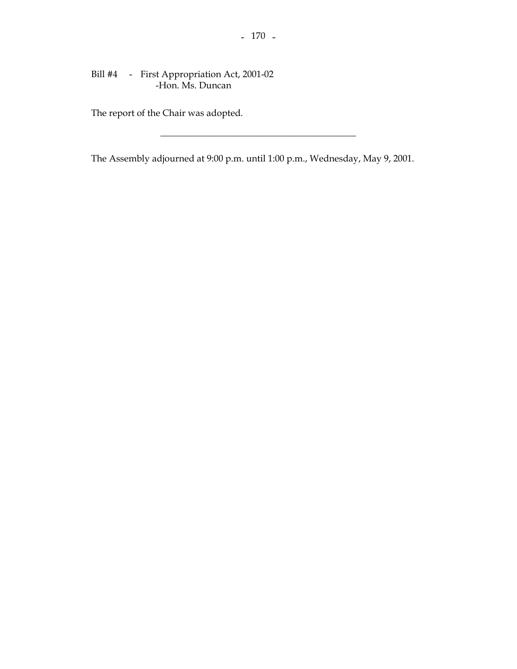## Bill #4 - First Appropriation Act, 2001-02 -Hon. Ms. Duncan

The report of the Chair was adopted.

The Assembly adjourned at 9:00 p.m. until 1:00 p.m., Wednesday, May 9, 2001.

 $\frac{1}{2}$  , and the set of the set of the set of the set of the set of the set of the set of the set of the set of the set of the set of the set of the set of the set of the set of the set of the set of the set of the set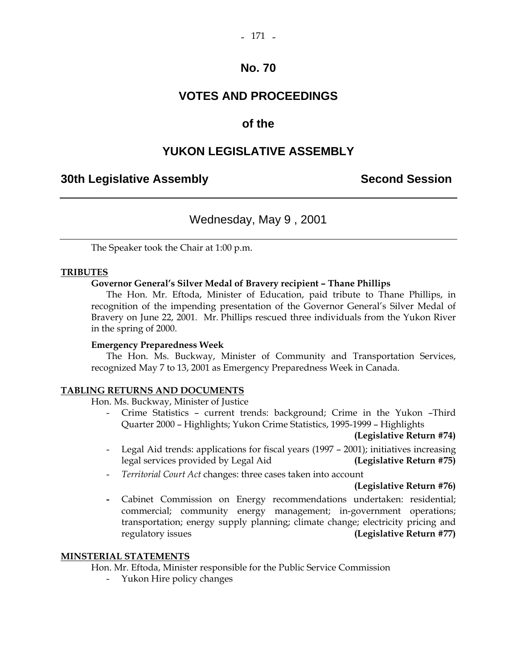# **No. 70**

# **VOTES AND PROCEEDINGS**

# **of the**

# **YUKON LEGISLATIVE ASSEMBLY**

# **30th Legislative Assembly Second Session**

# Wednesday, May 9 , 2001

The Speaker took the Chair at 1:00 p.m.

## **TRIBUTES**

## **Governor General's Silver Medal of Bravery recipient – Thane Phillips**

 The Hon. Mr. Eftoda, Minister of Education, paid tribute to Thane Phillips, in recognition of the impending presentation of the Governor General's Silver Medal of Bravery on June 22, 2001. Mr. Phillips rescued three individuals from the Yukon River in the spring of 2000.

## **Emergency Preparedness Week**

 The Hon. Ms. Buckway, Minister of Community and Transportation Services, recognized May 7 to 13, 2001 as Emergency Preparedness Week in Canada.

## **TABLING RETURNS AND DOCUMENTS**

Hon. Ms. Buckway, Minister of Justice

 - Crime Statistics – current trends: background; Crime in the Yukon –Third Quarter 2000 – Highlights; Yukon Crime Statistics, 1995-1999 – Highlights

#### **(Legislative Return #74)**

- Legal Aid trends: applications for fiscal years (1997 2001); initiatives increasing legal services provided by Legal Aid **(Legislative Return #75)**
- *Territorial Court Act* changes: three cases taken into account

#### **(Legislative Return #76)**

 **-** Cabinet Commission on Energy recommendations undertaken: residential; commercial; community energy management; in-government operations; transportation; energy supply planning; climate change; electricity pricing and regulatory issues **(Legislative Return #77)**

#### **MINSTERIAL STATEMENTS**

Hon. Mr. Eftoda, Minister responsible for the Public Service Commission

- Yukon Hire policy changes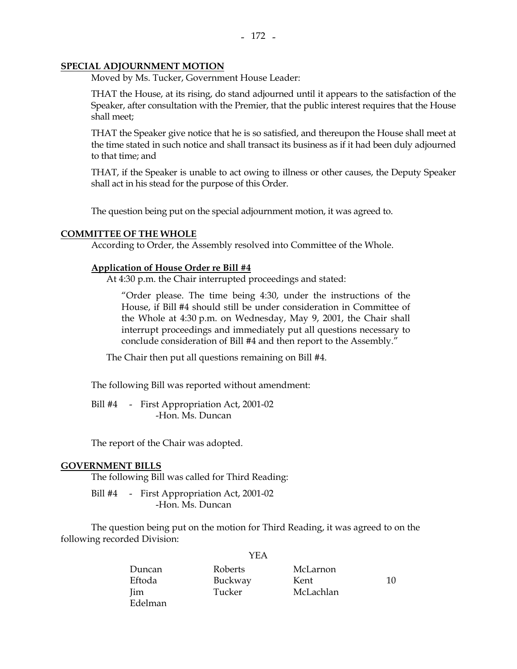#### **SPECIAL ADJOURNMENT MOTION**

Moved by Ms. Tucker, Government House Leader:

THAT the House, at its rising, do stand adjourned until it appears to the satisfaction of the Speaker, after consultation with the Premier, that the public interest requires that the House shall meet;

THAT the Speaker give notice that he is so satisfied, and thereupon the House shall meet at the time stated in such notice and shall transact its business as if it had been duly adjourned to that time; and

THAT, if the Speaker is unable to act owing to illness or other causes, the Deputy Speaker shall act in his stead for the purpose of this Order.

The question being put on the special adjournment motion, it was agreed to.

#### **COMMITTEE OF THE WHOLE**

According to Order, the Assembly resolved into Committee of the Whole.

## **Application of House Order re Bill #4**

At 4:30 p.m. the Chair interrupted proceedings and stated:

 "Order please. The time being 4:30, under the instructions of the House, if Bill #4 should still be under consideration in Committee of the Whole at 4:30 p.m. on Wednesday, May 9, 2001, the Chair shall interrupt proceedings and immediately put all questions necessary to conclude consideration of Bill #4 and then report to the Assembly."

The Chair then put all questions remaining on Bill #4.

The following Bill was reported without amendment:

Bill #4 - First Appropriation Act, 2001-02 -Hon. Ms. Duncan

The report of the Chair was adopted.

#### **GOVERNMENT BILLS**

The following Bill was called for Third Reading:

Bill #4 - First Appropriation Act, 2001-02 -Hon. Ms. Duncan

 The question being put on the motion for Third Reading, it was agreed to on the following recorded Division:

| Duncan      | Roberts | McLarnon  |    |
|-------------|---------|-----------|----|
| Eftoda      | Buckway | Kent      | 10 |
| <b>I</b> im | Tucker  | McLachlan |    |
| Edelman     |         |           |    |

YEA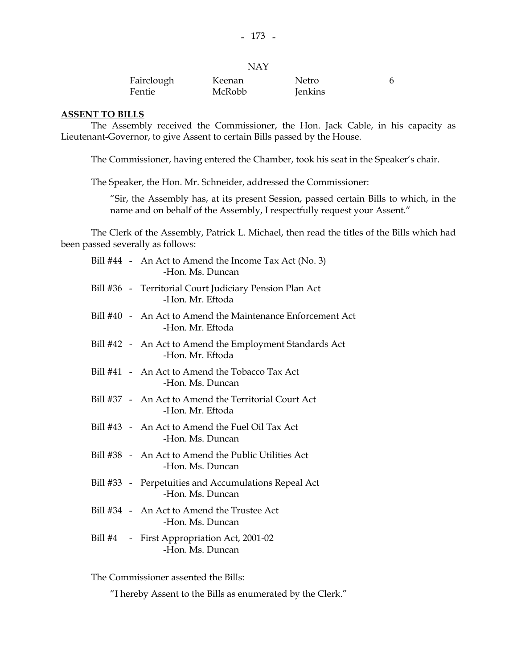| Fairclough | Keenan | Netro   |  |
|------------|--------|---------|--|
| Fentie     | McRobb | Jenkins |  |

#### **ASSENT TO BILLS**

 The Assembly received the Commissioner, the Hon. Jack Cable, in his capacity as Lieutenant-Governor, to give Assent to certain Bills passed by the House.

The Commissioner, having entered the Chamber, took his seat in the Speaker's chair.

The Speaker, the Hon. Mr. Schneider, addressed the Commissioner:

 "Sir, the Assembly has, at its present Session, passed certain Bills to which, in the name and on behalf of the Assembly, I respectfully request your Assent."

 The Clerk of the Assembly, Patrick L. Michael, then read the titles of the Bills which had been passed severally as follows:

|  | Bill #44 - An Act to Amend the Income Tax Act (No. 3)<br>-Hon. Ms. Duncan      |
|--|--------------------------------------------------------------------------------|
|  | Bill #36 - Territorial Court Judiciary Pension Plan Act<br>-Hon. Mr. Eftoda    |
|  | Bill #40 - An Act to Amend the Maintenance Enforcement Act<br>-Hon. Mr. Eftoda |
|  | Bill #42 - An Act to Amend the Employment Standards Act<br>-Hon. Mr. Eftoda    |
|  | Bill #41 - An Act to Amend the Tobacco Tax Act<br>-Hon. Ms. Duncan             |
|  | Bill #37 - An Act to Amend the Territorial Court Act<br>-Hon. Mr. Eftoda       |
|  | Bill #43 - An Act to Amend the Fuel Oil Tax Act<br>-Hon. Ms. Duncan            |
|  | Bill #38 - An Act to Amend the Public Utilities Act<br>-Hon. Ms. Duncan        |
|  | Bill #33 - Perpetuities and Accumulations Repeal Act<br>-Hon. Ms. Duncan       |
|  | Bill #34 - An Act to Amend the Trustee Act<br>-Hon. Ms. Duncan                 |
|  | Bill #4 - First Appropriation Act, 2001-02<br>-Hon. Ms. Duncan                 |

The Commissioner assented the Bills:

"I hereby Assent to the Bills as enumerated by the Clerk."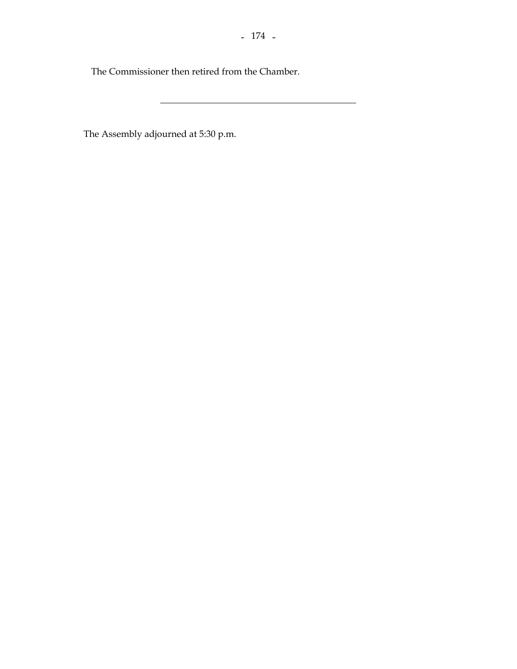The Commissioner then retired from the Chamber.

The Assembly adjourned at 5:30 p.m.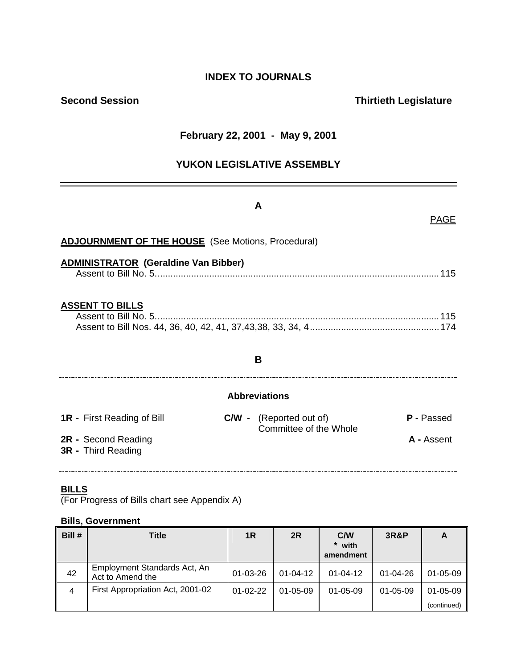# **INDEX TO JOURNALS**

# **Second Session Contract Contract Contract Contract Contract Contract Contract Contract Contract Contract Contract Contract Contract Contract Contract Contract Contract Contract Contract Contract Contract Contract Contract**

# **February 22, 2001 - May 9, 2001**

# **YUKON LEGISLATIVE ASSEMBLY**

|                                                           | A                                                                             |  |  |  |
|-----------------------------------------------------------|-------------------------------------------------------------------------------|--|--|--|
|                                                           | <b>PAGE</b>                                                                   |  |  |  |
| <b>ADJOURNMENT OF THE HOUSE</b> (See Motions, Procedural) |                                                                               |  |  |  |
| <b>ADMINISTRATOR (Geraldine Van Bibber)</b>               |                                                                               |  |  |  |
| <b>ASSENT TO BILLS</b>                                    |                                                                               |  |  |  |
|                                                           | B                                                                             |  |  |  |
| <b>Abbreviations</b>                                      |                                                                               |  |  |  |
| <b>1R</b> - First Reading of Bill                         | <b>C/W</b> - (Reported out of)<br><b>P</b> - Passed<br>Committee of the Whole |  |  |  |
| 2R - Second Reading<br><b>3R</b> - Third Reading          | A - Assent                                                                    |  |  |  |

## **BILLS**

(For Progress of Bills chart see Appendix A)

#### **Bills, Government**

| Bill # | <b>Title</b>                                     | 1R             | 2R             | C/W<br>* with<br>amendment | <b>3R&amp;P</b> | A              |
|--------|--------------------------------------------------|----------------|----------------|----------------------------|-----------------|----------------|
| 42     | Employment Standards Act, An<br>Act to Amend the | 01-03-26       | $01 - 04 - 12$ | $01 - 04 - 12$             | $01 - 04 - 26$  | $01 - 05 - 09$ |
| 4      | First Appropriation Act, 2001-02                 | $01 - 02 - 22$ | $01 - 05 - 09$ | $01 - 05 - 09$             | $01 - 05 - 09$  | 01-05-09       |
|        |                                                  |                |                |                            |                 | (continued)    |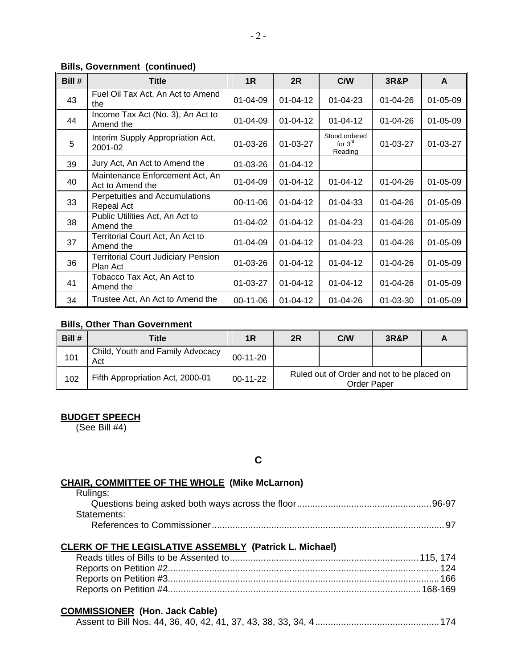## **Bills, Government (continued)**

| Bill # | <b>Title</b>                                           | 1 <sub>R</sub> | 2R             | <b>C/W</b>                            | <b>3R&amp;P</b> | A              |
|--------|--------------------------------------------------------|----------------|----------------|---------------------------------------|-----------------|----------------|
| 43     | Fuel Oil Tax Act, An Act to Amend<br>the               | $01 - 04 - 09$ | $01 - 04 - 12$ | $01 - 04 - 23$                        | $01 - 04 - 26$  | $01 - 05 - 09$ |
| 44     | Income Tax Act (No. 3), An Act to<br>Amend the         | $01 - 04 - 09$ | $01 - 04 - 12$ | $01 - 04 - 12$                        | $01 - 04 - 26$  | $01 - 05 - 09$ |
| 5      | Interim Supply Appropriation Act,<br>2001-02           | 01-03-26       | 01-03-27       | Stood ordered<br>for $3rd$<br>Reading | 01-03-27        | $01 - 03 - 27$ |
| 39     | Jury Act, An Act to Amend the                          | 01-03-26       | $01 - 04 - 12$ |                                       |                 |                |
| 40     | Maintenance Enforcement Act, An<br>Act to Amend the    | $01 - 04 - 09$ | $01 - 04 - 12$ | $01 - 04 - 12$                        | $01 - 04 - 26$  | $01 - 05 - 09$ |
| 33     | Perpetuities and Accumulations<br>Repeal Act           | $00-11-06$     | $01 - 04 - 12$ | $01 - 04 - 33$                        | 01-04-26        | $01 - 05 - 09$ |
| 38     | Public Utilities Act, An Act to<br>Amend the           | $01 - 04 - 02$ | $01 - 04 - 12$ | $01 - 04 - 23$                        | $01 - 04 - 26$  | $01 - 05 - 09$ |
| 37     | Territorial Court Act, An Act to<br>Amend the          | $01 - 04 - 09$ | $01 - 04 - 12$ | $01 - 04 - 23$                        | $01 - 04 - 26$  | $01 - 05 - 09$ |
| 36     | <b>Territorial Court Judiciary Pension</b><br>Plan Act | 01-03-26       | $01 - 04 - 12$ | $01 - 04 - 12$                        | 01-04-26        | $01 - 05 - 09$ |
| 41     | Tobacco Tax Act, An Act to<br>Amend the                | $01 - 03 - 27$ | $01 - 04 - 12$ | $01 - 04 - 12$                        | $01 - 04 - 26$  | $01 - 05 - 09$ |
| 34     | Trustee Act, An Act to Amend the                       | 00-11-06       | $01 - 04 - 12$ | $01 - 04 - 26$                        | 01-03-30        | 01-05-09       |

#### **Bills, Other Than Government**

| Bill # | Title                                   | 1R         | 2R                                                               | <b>C/W</b> | <b>3R&amp;P</b> |  |
|--------|-----------------------------------------|------------|------------------------------------------------------------------|------------|-----------------|--|
| 101    | Child, Youth and Family Advocacy<br>Act | $00-11-20$ |                                                                  |            |                 |  |
| 102    | Fifth Appropriation Act, 2000-01        | $00-11-22$ | Ruled out of Order and not to be placed on<br><b>Order Paper</b> |            |                 |  |

## **BUDGET SPEECH**

(See Bill #4)

**C** 

# **CHAIR, COMMITTEE OF THE WHOLE (Mike McLarnon)**

| Rulings:    |  |
|-------------|--|
|             |  |
| Statements: |  |
|             |  |

#### **CLERK OF THE LEGISLATIVE ASSEMBLY (Patrick L. Michael)**

## **COMMISSIONER (Hon. Jack Cable)**

|--|--|--|--|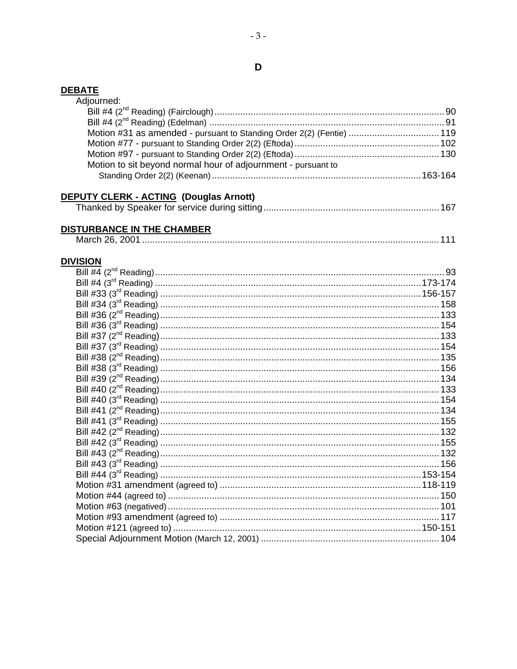## **DEBATE**

| ------<br>Adjourned:                                                  |  |
|-----------------------------------------------------------------------|--|
|                                                                       |  |
|                                                                       |  |
|                                                                       |  |
| Motion #31 as amended - pursuant to Standing Order 2(2) (Fentie)  119 |  |
|                                                                       |  |
|                                                                       |  |
| Motion to sit beyond normal hour of adjournment - pursuant to         |  |
|                                                                       |  |
| <b>DEPUTY CLERK - ACTING (Douglas Arnott)</b>                         |  |
|                                                                       |  |
|                                                                       |  |
| DISTURBANCE IN THE CHAMBER                                            |  |
|                                                                       |  |
|                                                                       |  |
| <b>DIVISION</b>                                                       |  |
|                                                                       |  |
|                                                                       |  |
|                                                                       |  |
|                                                                       |  |
|                                                                       |  |
|                                                                       |  |
|                                                                       |  |
|                                                                       |  |
|                                                                       |  |
|                                                                       |  |
|                                                                       |  |
|                                                                       |  |
|                                                                       |  |
|                                                                       |  |
|                                                                       |  |
|                                                                       |  |
|                                                                       |  |
|                                                                       |  |
|                                                                       |  |
|                                                                       |  |
|                                                                       |  |
|                                                                       |  |
|                                                                       |  |
|                                                                       |  |
|                                                                       |  |
|                                                                       |  |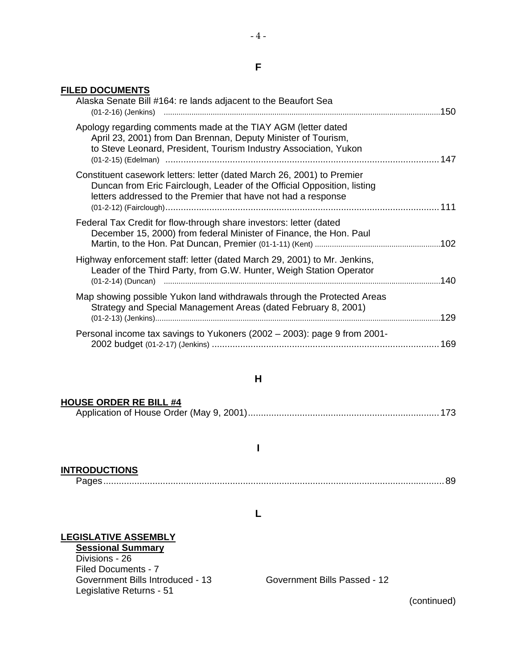#### **FILED DOCUMENTS**

| Alaska Senate Bill #164: re lands adjacent to the Beaufort Sea                                                                                                                                                     |  |
|--------------------------------------------------------------------------------------------------------------------------------------------------------------------------------------------------------------------|--|
| Apology regarding comments made at the TIAY AGM (letter dated<br>April 23, 2001) from Dan Brennan, Deputy Minister of Tourism,<br>to Steve Leonard, President, Tourism Industry Association, Yukon                 |  |
| Constituent casework letters: letter (dated March 26, 2001) to Premier<br>Duncan from Eric Fairclough, Leader of the Official Opposition, listing<br>letters addressed to the Premier that have not had a response |  |
| Federal Tax Credit for flow-through share investors: letter (dated<br>December 15, 2000) from federal Minister of Finance, the Hon. Paul                                                                           |  |
| Highway enforcement staff: letter (dated March 29, 2001) to Mr. Jenkins,<br>Leader of the Third Party, from G.W. Hunter, Weigh Station Operator                                                                    |  |
| Map showing possible Yukon land withdrawals through the Protected Areas<br>Strategy and Special Management Areas (dated February 8, 2001)                                                                          |  |
| Personal income tax savings to Yukoners (2002 - 2003): page 9 from 2001-                                                                                                                                           |  |
|                                                                                                                                                                                                                    |  |

## **H**

| <b>HOUSE ORDER RE BILL #4</b> |  |
|-------------------------------|--|
|                               |  |

**I** 

## **INTRODUCTIONS**

Pages....................................................................................................................................89

#### **L**

## **LEGISLATIVE ASSEMBLY**

**Sessional Summary** Divisions - 26 Filed Documents - 7 Government Bills Introduced - 13 Government Bills Passed - 12 Legislative Returns - 51

(continued)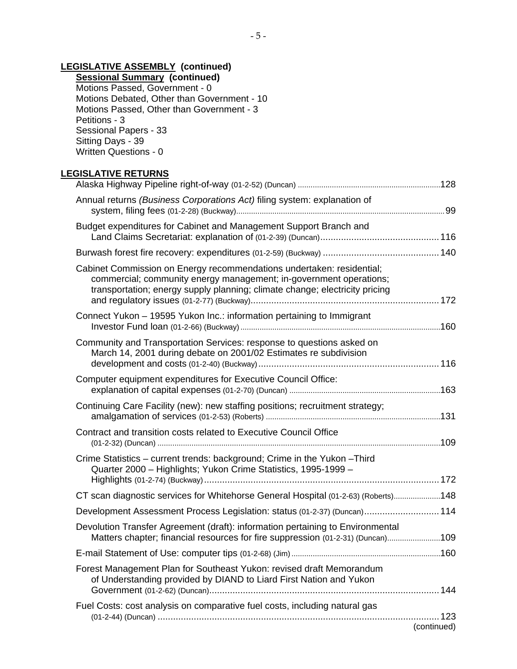# **LEGISLATIVE ASSEMBLY (continued)**

**Sessional Summary (continued)**  Motions Passed, Government - 0 Motions Debated, Other than Government - 10 Motions Passed, Other than Government - 3 Petitions - 3 Sessional Papers - 33 Sitting Days - 39 Written Questions - 0

## **LEGISLATIVE RETURNS**

| Annual returns (Business Corporations Act) filing system: explanation of                                                                                                                                                   |             |
|----------------------------------------------------------------------------------------------------------------------------------------------------------------------------------------------------------------------------|-------------|
| Budget expenditures for Cabinet and Management Support Branch and                                                                                                                                                          |             |
|                                                                                                                                                                                                                            |             |
| Cabinet Commission on Energy recommendations undertaken: residential;<br>commercial; community energy management; in-government operations;<br>transportation; energy supply planning; climate change; electricity pricing |             |
| Connect Yukon – 19595 Yukon Inc.: information pertaining to Immigrant                                                                                                                                                      |             |
| Community and Transportation Services: response to questions asked on<br>March 14, 2001 during debate on 2001/02 Estimates re subdivision                                                                                  |             |
| Computer equipment expenditures for Executive Council Office:                                                                                                                                                              |             |
| Continuing Care Facility (new): new staffing positions; recruitment strategy;                                                                                                                                              |             |
| Contract and transition costs related to Executive Council Office                                                                                                                                                          |             |
| Crime Statistics - current trends: background; Crime in the Yukon - Third<br>Quarter 2000 - Highlights; Yukon Crime Statistics, 1995-1999 -                                                                                |             |
|                                                                                                                                                                                                                            |             |
| CT scan diagnostic services for Whitehorse General Hospital (01-2-63) (Roberts) 148                                                                                                                                        |             |
| Development Assessment Process Legislation: status (01-2-37) (Duncan) 114                                                                                                                                                  |             |
| Devolution Transfer Agreement (draft): information pertaining to Environmental<br>Matters chapter; financial resources for fire suppression (01-2-31) (Duncan) 109                                                         |             |
|                                                                                                                                                                                                                            |             |
| Forest Management Plan for Southeast Yukon: revised draft Memorandum<br>of Understanding provided by DIAND to Liard First Nation and Yukon                                                                                 |             |
| Fuel Costs: cost analysis on comparative fuel costs, including natural gas                                                                                                                                                 |             |
|                                                                                                                                                                                                                            | (continued) |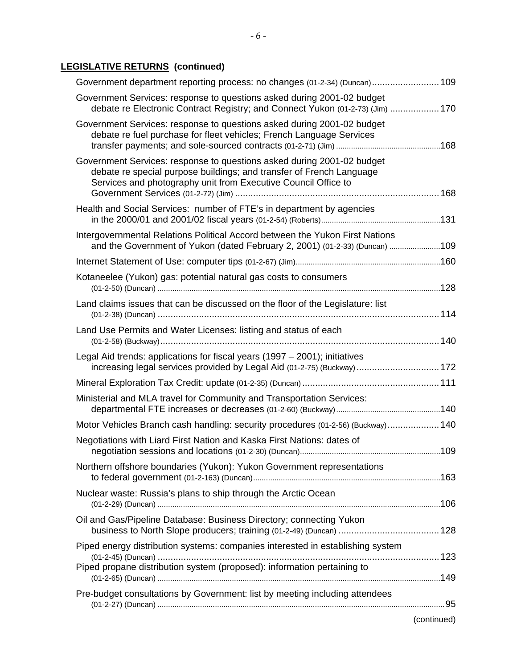# **LEGISLATIVE RETURNS (continued)**

| Government department reporting process: no changes (01-2-34) (Duncan) 109                                                                                                                                       |             |
|------------------------------------------------------------------------------------------------------------------------------------------------------------------------------------------------------------------|-------------|
| Government Services: response to questions asked during 2001-02 budget<br>debate re Electronic Contract Registry; and Connect Yukon (01-2-73) (Jim)  170                                                         |             |
| Government Services: response to questions asked during 2001-02 budget<br>debate re fuel purchase for fleet vehicles; French Language Services                                                                   |             |
| Government Services: response to questions asked during 2001-02 budget<br>debate re special purpose buildings; and transfer of French Language<br>Services and photography unit from Executive Council Office to |             |
| Health and Social Services: number of FTE's in department by agencies                                                                                                                                            |             |
| Intergovernmental Relations Political Accord between the Yukon First Nations<br>and the Government of Yukon (dated February 2, 2001) (01-2-33) (Duncan) 109                                                      |             |
|                                                                                                                                                                                                                  |             |
| Kotaneelee (Yukon) gas: potential natural gas costs to consumers                                                                                                                                                 |             |
| Land claims issues that can be discussed on the floor of the Legislature: list                                                                                                                                   |             |
| Land Use Permits and Water Licenses: listing and status of each                                                                                                                                                  |             |
| Legal Aid trends: applications for fiscal years (1997 – 2001); initiatives<br>increasing legal services provided by Legal Aid (01-2-75) (Buckway)  172                                                           |             |
|                                                                                                                                                                                                                  |             |
| Ministerial and MLA travel for Community and Transportation Services:                                                                                                                                            |             |
| Motor Vehicles Branch cash handling: security procedures (01-2-56) (Buckway) 140                                                                                                                                 |             |
| Negotiations with Liard First Nation and Kaska First Nations: dates of                                                                                                                                           |             |
| Northern offshore boundaries (Yukon): Yukon Government representations                                                                                                                                           |             |
| Nuclear waste: Russia's plans to ship through the Arctic Ocean                                                                                                                                                   |             |
| Oil and Gas/Pipeline Database: Business Directory; connecting Yukon                                                                                                                                              |             |
| Piped energy distribution systems: companies interested in establishing system                                                                                                                                   |             |
| Piped propane distribution system (proposed): information pertaining to                                                                                                                                          |             |
| Pre-budget consultations by Government: list by meeting including attendees                                                                                                                                      |             |
|                                                                                                                                                                                                                  | (continued) |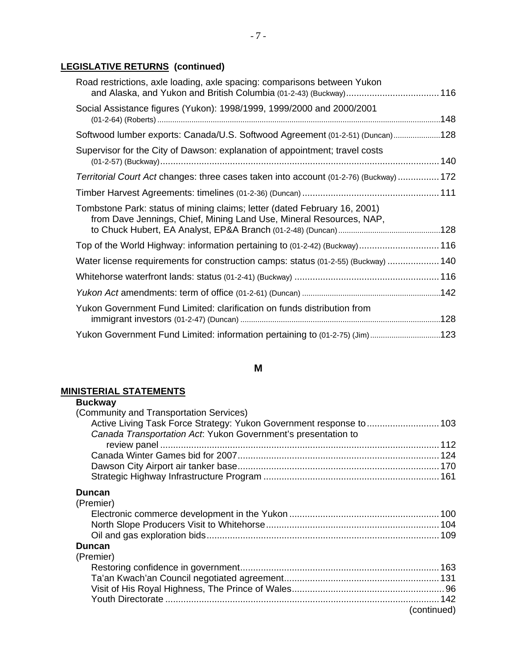| Road restrictions, axle loading, axle spacing: comparisons between Yukon<br>and Alaska, and Yukon and British Columbia (01-2-43) (Buckway)116    |  |
|--------------------------------------------------------------------------------------------------------------------------------------------------|--|
| Social Assistance figures (Yukon): 1998/1999, 1999/2000 and 2000/2001                                                                            |  |
| Softwood lumber exports: Canada/U.S. Softwood Agreement (01-2-51) (Duncan)128                                                                    |  |
| Supervisor for the City of Dawson: explanation of appointment; travel costs                                                                      |  |
| Territorial Court Act changes: three cases taken into account (01-2-76) (Buckway) 172                                                            |  |
|                                                                                                                                                  |  |
| Tombstone Park: status of mining claims; letter (dated February 16, 2001)<br>from Dave Jennings, Chief, Mining Land Use, Mineral Resources, NAP, |  |
| Top of the World Highway: information pertaining to (01-2-42) (Buckway) 116                                                                      |  |
| Water license requirements for construction camps: status (01-2-55) (Buckway)  140                                                               |  |
|                                                                                                                                                  |  |
|                                                                                                                                                  |  |
| Yukon Government Fund Limited: clarification on funds distribution from                                                                          |  |
| Yukon Government Fund Limited: information pertaining to (01-2-75) (Jim)123                                                                      |  |

## **M**

# **MINISTERIAL STATEMENTS**

| <b>Buckway</b>                                                       |             |
|----------------------------------------------------------------------|-------------|
| (Community and Transportation Services)                              |             |
| Active Living Task Force Strategy: Yukon Government response to  103 |             |
| Canada Transportation Act. Yukon Government's presentation to        |             |
|                                                                      |             |
|                                                                      |             |
|                                                                      |             |
|                                                                      |             |
| Duncan                                                               |             |
| (Premier)                                                            |             |
|                                                                      |             |
|                                                                      |             |
|                                                                      |             |
| Duncan                                                               |             |
| (Premier)                                                            |             |
|                                                                      |             |
|                                                                      |             |
|                                                                      |             |
|                                                                      |             |
|                                                                      | (continued) |
|                                                                      |             |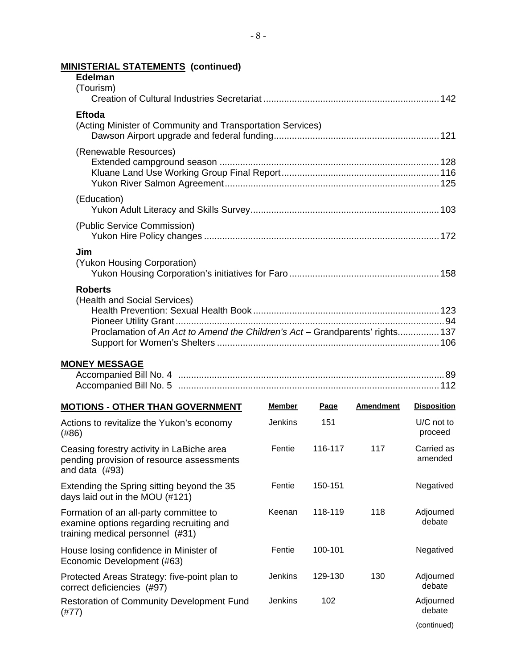| <b>Edelman</b>                                                                                                                  |                |         |                  |                       |
|---------------------------------------------------------------------------------------------------------------------------------|----------------|---------|------------------|-----------------------|
| (Tourism)                                                                                                                       |                |         |                  |                       |
| <b>Eftoda</b><br>(Acting Minister of Community and Transportation Services)                                                     |                |         |                  |                       |
| (Renewable Resources)                                                                                                           |                |         |                  |                       |
| (Education)                                                                                                                     |                |         |                  |                       |
| (Public Service Commission)                                                                                                     |                |         |                  |                       |
| Jim<br>(Yukon Housing Corporation)                                                                                              |                |         |                  |                       |
| <b>Roberts</b><br>(Health and Social Services)<br>Proclamation of An Act to Amend the Children's Act - Grandparents' rights 137 |                |         |                  |                       |
| <b>MONEY MESSAGE</b>                                                                                                            |                |         |                  |                       |
| <b>MOTIONS - OTHER THAN GOVERNMENT</b>                                                                                          | Member         | Page    | <b>Amendment</b> | <b>Disposition</b>    |
| Actions to revitalize the Yukon's economy<br>(#86)                                                                              | <b>Jenkins</b> | 151     |                  | U/C not to<br>proceed |
| Ceasing forestry activity in LaBiche area<br>pending provision of resource assessments<br>and data $(#93)$                      | Fentie         | 116-117 | 117              | Carried as<br>amended |
| Extending the Spring sitting beyond the 35<br>days laid out in the MOU (#121)                                                   | Fentie         | 150-151 |                  | Negatived             |
| Formation of an all-party committee to<br>examine options regarding recruiting and<br>training medical personnel (#31)          | Keenan         | 118-119 | 118              | Adjourned<br>debate   |
| House losing confidence in Minister of<br>Economic Development (#63)                                                            | Fentie         | 100-101 |                  | Negatived             |
| Protected Areas Strategy: five-point plan to<br>correct deficiencies (#97)                                                      | Jenkins        | 129-130 | 130              | Adjourned<br>debate   |

(continued)

# **MINISTERIAL STATEMENTS (continued)**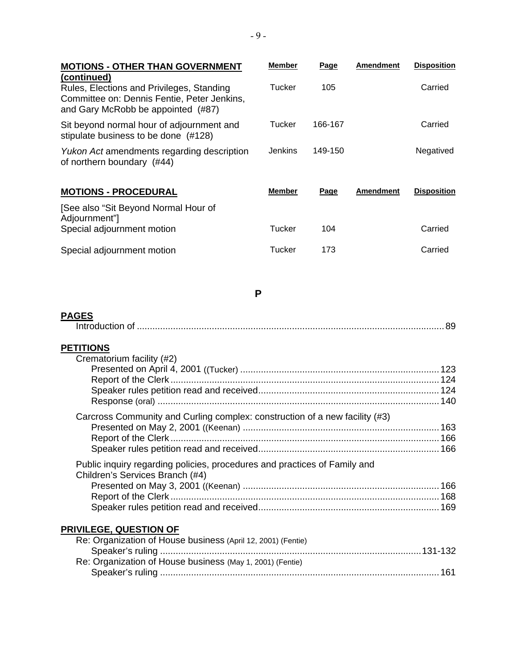| <b>MOTIONS - OTHER THAN GOVERNMENT</b>                                                                                                              | <b>Member</b>  | Page    | <b>Amendment</b> | <b>Disposition</b> |
|-----------------------------------------------------------------------------------------------------------------------------------------------------|----------------|---------|------------------|--------------------|
| (continued)<br>Rules, Elections and Privileges, Standing<br>Committee on: Dennis Fentie, Peter Jenkins,<br>and Gary McRobb be appointed (#87)       | Tucker         | 105     |                  | Carried            |
| Sit beyond normal hour of adjournment and<br>stipulate business to be done (#128)                                                                   | Tucker         | 166-167 |                  | Carried            |
| Yukon Act amendments regarding description<br>of northern boundary (#44)                                                                            | <b>Jenkins</b> | 149-150 |                  | Negatived          |
| <b>MOTIONS - PROCEDURAL</b>                                                                                                                         | <b>Member</b>  | Page    | <b>Amendment</b> | <b>Disposition</b> |
| [See also "Sit Beyond Normal Hour of<br>Adjournment"]                                                                                               |                |         |                  |                    |
| Special adjournment motion                                                                                                                          | <b>Tucker</b>  | 104     |                  | Carried            |
| Special adjournment motion                                                                                                                          | <b>Tucker</b>  | 173     |                  | Carried            |
| <b>PAGES</b>                                                                                                                                        | P              |         |                  |                    |
| <b>PETITIONS</b><br>Crematorium facility (#2)                                                                                                       |                |         |                  |                    |
| Carcross Community and Curling complex: construction of a new facility (#3)                                                                         |                |         |                  |                    |
| Public inquiry regarding policies, procedures and practices of Family and<br>Children's Services Branch (#4)                                        |                |         |                  |                    |
| PRIVILEGE, QUESTION OF<br>Re: Organization of House business (April 12, 2001) (Fentie)<br>Re: Organization of House business (May 1, 2001) (Fentie) |                |         |                  |                    |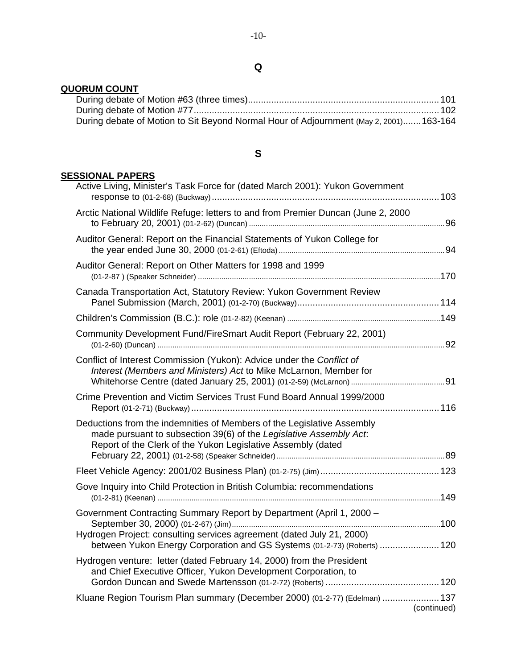## **QUORUM COUNT**

| During debate of Motion to Sit Beyond Normal Hour of Adjournment (May 2, 2001) 163-164 |  |
|----------------------------------------------------------------------------------------|--|

# **S**

## **SESSIONAL PAPERS**

| Active Living, Minister's Task Force for (dated March 2001): Yukon Government                                                                                                                                |             |
|--------------------------------------------------------------------------------------------------------------------------------------------------------------------------------------------------------------|-------------|
| Arctic National Wildlife Refuge: letters to and from Premier Duncan (June 2, 2000                                                                                                                            |             |
| Auditor General: Report on the Financial Statements of Yukon College for                                                                                                                                     |             |
| Auditor General: Report on Other Matters for 1998 and 1999                                                                                                                                                   |             |
| Canada Transportation Act, Statutory Review: Yukon Government Review                                                                                                                                         |             |
|                                                                                                                                                                                                              |             |
| Community Development Fund/FireSmart Audit Report (February 22, 2001)                                                                                                                                        |             |
| Conflict of Interest Commission (Yukon): Advice under the Conflict of<br>Interest (Members and Ministers) Act to Mike McLarnon, Member for                                                                   |             |
| Crime Prevention and Victim Services Trust Fund Board Annual 1999/2000                                                                                                                                       |             |
| Deductions from the indemnities of Members of the Legislative Assembly<br>made pursuant to subsection 39(6) of the Legislative Assembly Act.<br>Report of the Clerk of the Yukon Legislative Assembly (dated |             |
|                                                                                                                                                                                                              |             |
| Gove Inquiry into Child Protection in British Columbia: recommendations                                                                                                                                      |             |
| Government Contracting Summary Report by Department (April 1, 2000 -<br>Hydrogen Project: consulting services agreement (dated July 21, 2000)                                                                |             |
| between Yukon Energy Corporation and GS Systems (01-2-73) (Roberts)  120                                                                                                                                     |             |
| Hydrogen venture: letter (dated February 14, 2000) from the President<br>and Chief Executive Officer, Yukon Development Corporation, to                                                                      |             |
| Kluane Region Tourism Plan summary (December 2000) (01-2-77) (Edelman)  137                                                                                                                                  | (continued) |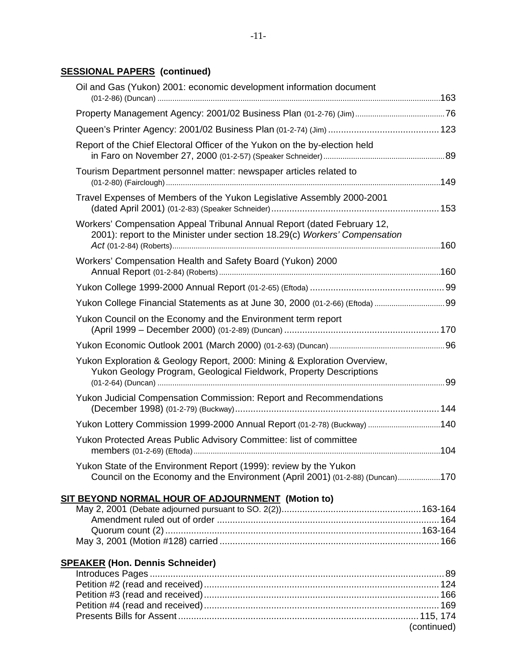# **SESSIONAL PAPERS (continued)**

| Oil and Gas (Yukon) 2001: economic development information document                                                                                   |      |
|-------------------------------------------------------------------------------------------------------------------------------------------------------|------|
|                                                                                                                                                       |      |
|                                                                                                                                                       |      |
| Report of the Chief Electoral Officer of the Yukon on the by-election held                                                                            |      |
| Tourism Department personnel matter: newspaper articles related to                                                                                    |      |
| Travel Expenses of Members of the Yukon Legislative Assembly 2000-2001                                                                                |      |
| Workers' Compensation Appeal Tribunal Annual Report (dated February 12,<br>2001): report to the Minister under section 18.29(c) Workers' Compensation |      |
| Workers' Compensation Health and Safety Board (Yukon) 2000                                                                                            |      |
|                                                                                                                                                       |      |
|                                                                                                                                                       |      |
| Yukon Council on the Economy and the Environment term report                                                                                          |      |
|                                                                                                                                                       |      |
| Yukon Exploration & Geology Report, 2000: Mining & Exploration Overview,<br>Yukon Geology Program, Geological Fieldwork, Property Descriptions        |      |
| Yukon Judicial Compensation Commission: Report and Recommendations                                                                                    |      |
| Yukon Lottery Commission 1999-2000 Annual Report (01-2-78) (Buckway) 140                                                                              |      |
| Yukon Protected Areas Public Advisory Committee: list of committee                                                                                    |      |
| Yukon State of the Environment Report (1999): review by the Yukon<br>Council on the Economy and the Environment (April 2001) (01-2-88) (Duncan)170    |      |
| SIT BEYOND NORMAL HOUR OF ADJOURNMENT (Motion to)                                                                                                     |      |
| $M_{\odot}$ 2.2001 (Debate adjourned pure use to $SO(2(2))$                                                                                           | 1021 |

# **SPEAKER (Hon. Dennis Schneider)**

| (continued) |
|-------------|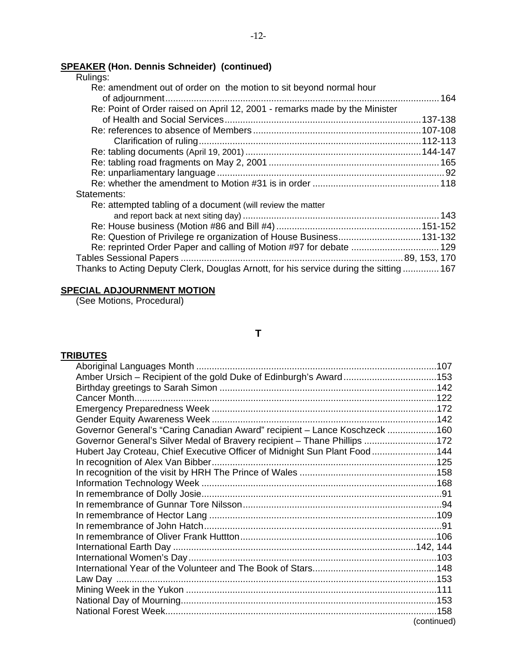## **SPEAKER (Hon. Dennis Schneider) (continued)**

| Rulings:                                                                               |  |
|----------------------------------------------------------------------------------------|--|
| Re: amendment out of order on the motion to sit beyond normal hour                     |  |
|                                                                                        |  |
| Re: Point of Order raised on April 12, 2001 - remarks made by the Minister             |  |
|                                                                                        |  |
|                                                                                        |  |
|                                                                                        |  |
|                                                                                        |  |
|                                                                                        |  |
|                                                                                        |  |
|                                                                                        |  |
| Statements:                                                                            |  |
| Re: attempted tabling of a document (will review the matter                            |  |
|                                                                                        |  |
|                                                                                        |  |
| Re: Question of Privilege re organization of House Business131-132                     |  |
| Re: reprinted Order Paper and calling of Motion #97 for debate  129                    |  |
|                                                                                        |  |
| Thanks to Acting Deputy Clerk, Douglas Arnott, for his service during the sitting  167 |  |

## **SPECIAL ADJOURNMENT MOTION**

(See Motions, Procedural)

## **T**

## **TRIBUTES**

| Amber Ursich - Recipient of the gold Duke of Edinburgh's Award153          |             |
|----------------------------------------------------------------------------|-------------|
|                                                                            |             |
|                                                                            |             |
|                                                                            |             |
|                                                                            |             |
| Governor General's "Caring Canadian Award" recipient - Lance Koschzeck 160 |             |
| Governor General's Silver Medal of Bravery recipient - Thane Phillips 172  |             |
| Hubert Jay Croteau, Chief Executive Officer of Midnight Sun Plant Food144  |             |
|                                                                            |             |
|                                                                            |             |
|                                                                            |             |
|                                                                            |             |
|                                                                            |             |
|                                                                            |             |
|                                                                            |             |
|                                                                            |             |
|                                                                            |             |
|                                                                            |             |
|                                                                            |             |
|                                                                            |             |
|                                                                            |             |
|                                                                            |             |
|                                                                            |             |
|                                                                            | (continued) |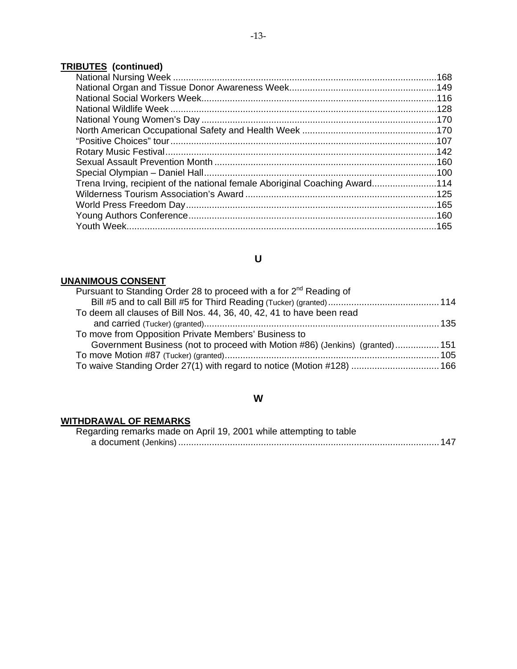# **TRIBUTES (continued)**

| Trena Irving, recipient of the national female Aboriginal Coaching Award114 |  |
|-----------------------------------------------------------------------------|--|
|                                                                             |  |
|                                                                             |  |
|                                                                             |  |
|                                                                             |  |
|                                                                             |  |

# **U**

# **UNANIMOUS CONSENT**

| Pursuant to Standing Order 28 to proceed with a for 2 <sup>nd</sup> Reading of |  |
|--------------------------------------------------------------------------------|--|
|                                                                                |  |
| To deem all clauses of Bill Nos. 44, 36, 40, 42, 41 to have been read          |  |
|                                                                                |  |
| To move from Opposition Private Members' Business to                           |  |
| Government Business (not to proceed with Motion #86) (Jenkins) (granted) 151   |  |
|                                                                                |  |
| To waive Standing Order 27(1) with regard to notice (Motion #128)  166         |  |

## **W**

# **WITHDRAWAL OF REMARKS**

| Regarding remarks made on April 19, 2001 while attempting to table |  |
|--------------------------------------------------------------------|--|
|                                                                    |  |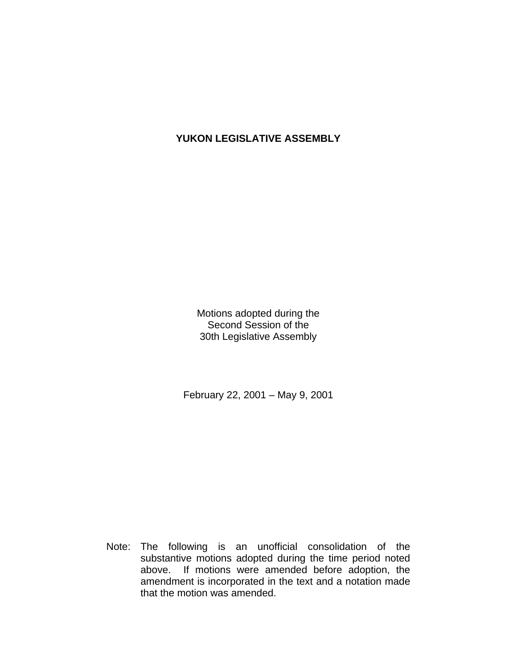# **YUKON LEGISLATIVE ASSEMBLY**

Motions adopted during the Second Session of the 30th Legislative Assembly

February 22, 2001 – May 9, 2001

 Note: The following is an unofficial consolidation of the substantive motions adopted during the time period noted above. If motions were amended before adoption, the amendment is incorporated in the text and a notation made that the motion was amended.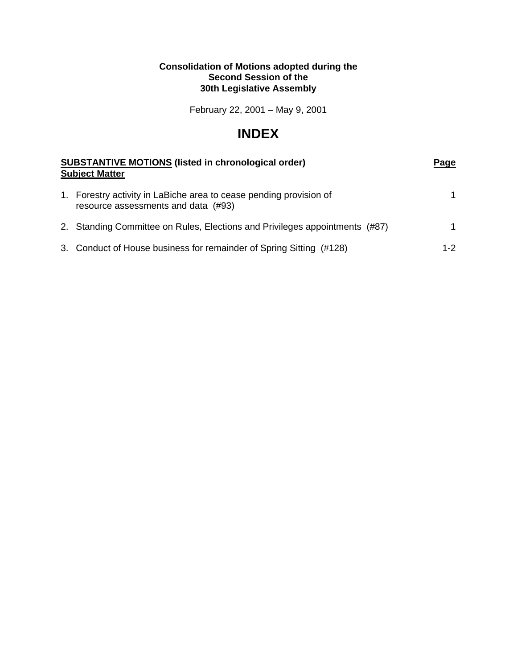## **Consolidation of Motions adopted during the Second Session of the 30th Legislative Assembly**

February 22, 2001 – May 9, 2001

# **INDEX**

| <b>SUBSTANTIVE MOTIONS (listed in chronological order)</b><br><b>Subject Matter</b> |                                                                                                           | Page    |
|-------------------------------------------------------------------------------------|-----------------------------------------------------------------------------------------------------------|---------|
|                                                                                     | 1. Forestry activity in LaBiche area to cease pending provision of<br>resource assessments and data (#93) |         |
|                                                                                     | 2. Standing Committee on Rules, Elections and Privileges appointments (#87)                               |         |
|                                                                                     | 3. Conduct of House business for remainder of Spring Sitting (#128)                                       | $1 - 2$ |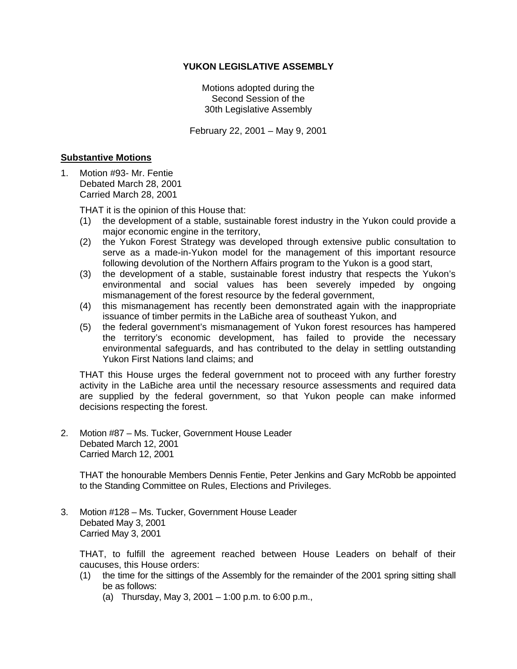## **YUKON LEGISLATIVE ASSEMBLY**

Motions adopted during the Second Session of the 30th Legislative Assembly

February 22, 2001 – May 9, 2001

#### **Substantive Motions**

1. Motion #93- Mr. Fentie Debated March 28, 2001 Carried March 28, 2001

THAT it is the opinion of this House that:

- (1) the development of a stable, sustainable forest industry in the Yukon could provide a major economic engine in the territory,
- (2) the Yukon Forest Strategy was developed through extensive public consultation to serve as a made-in-Yukon model for the management of this important resource following devolution of the Northern Affairs program to the Yukon is a good start,
- (3) the development of a stable, sustainable forest industry that respects the Yukon's environmental and social values has been severely impeded by ongoing mismanagement of the forest resource by the federal government,
- (4) this mismanagement has recently been demonstrated again with the inappropriate issuance of timber permits in the LaBiche area of southeast Yukon, and
- (5) the federal government's mismanagement of Yukon forest resources has hampered the territory's economic development, has failed to provide the necessary environmental safeguards, and has contributed to the delay in settling outstanding Yukon First Nations land claims; and

 THAT this House urges the federal government not to proceed with any further forestry activity in the LaBiche area until the necessary resource assessments and required data are supplied by the federal government, so that Yukon people can make informed decisions respecting the forest.

2. Motion #87 – Ms. Tucker, Government House Leader Debated March 12, 2001 Carried March 12, 2001

 THAT the honourable Members Dennis Fentie, Peter Jenkins and Gary McRobb be appointed to the Standing Committee on Rules, Elections and Privileges.

3. Motion #128 – Ms. Tucker, Government House Leader Debated May 3, 2001 Carried May 3, 2001

 THAT, to fulfill the agreement reached between House Leaders on behalf of their caucuses, this House orders:

- (1) the time for the sittings of the Assembly for the remainder of the 2001 spring sitting shall be as follows:
	- (a) Thursday, May 3, 2001 1:00 p.m. to 6:00 p.m.,